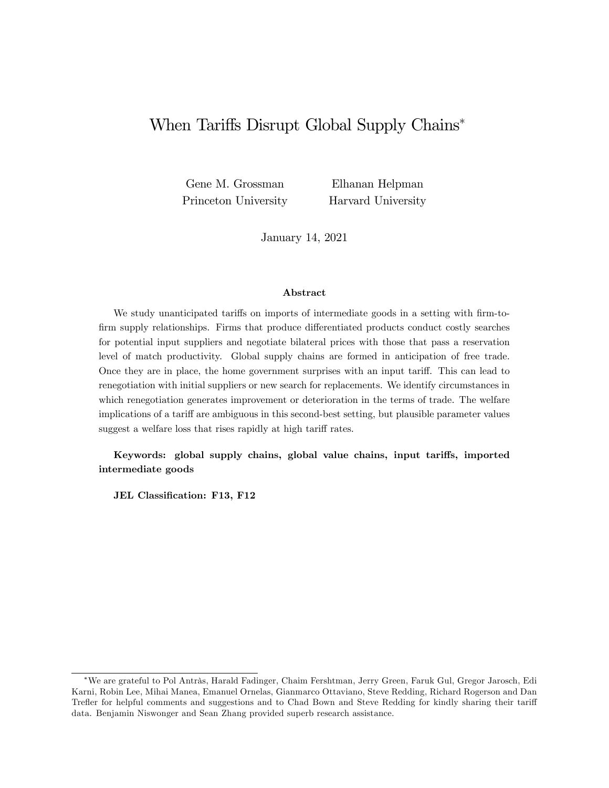# When Tariffs Disrupt Global Supply Chains<sup>\*</sup>

Gene M. Grossman Princeton University

Elhanan Helpman Harvard University

January 14, 2021

#### Abstract

We study unanticipated tariffs on imports of intermediate goods in a setting with firm-tofirm supply relationships. Firms that produce differentiated products conduct costly searches for potential input suppliers and negotiate bilateral prices with those that pass a reservation level of match productivity. Global supply chains are formed in anticipation of free trade. Once they are in place, the home government surprises with an input tariff. This can lead to renegotiation with initial suppliers or new search for replacements. We identify circumstances in which renegotiation generates improvement or deterioration in the terms of trade. The welfare implications of a tariff are ambiguous in this second-best setting, but plausible parameter values suggest a welfare loss that rises rapidly at high tariff rates.

Keywords: global supply chains, global value chains, input tariffs, imported intermediate goods

JEL Classification: F13, F12

<sup>\*</sup>We are grateful to Pol Antrås, Harald Fadinger, Chaim Fershtman, Jerry Green, Faruk Gul, Gregor Jarosch, Edi Karni, Robin Lee, Mihai Manea, Emanuel Ornelas, Gianmarco Ottaviano, Steve Redding, Richard Rogerson and Dan Trefler for helpful comments and suggestions and to Chad Bown and Steve Redding for kindly sharing their tariff data. Benjamin Niswonger and Sean Zhang provided superb research assistance.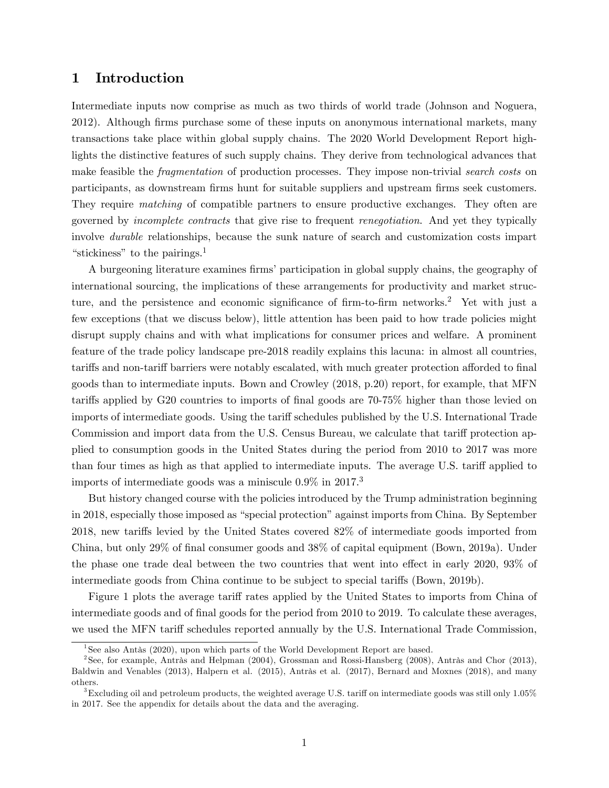## 1 Introduction

Intermediate inputs now comprise as much as two thirds of world trade (Johnson and Noguera, 2012). Although Örms purchase some of these inputs on anonymous international markets, many transactions take place within global supply chains. The 2020 World Development Report highlights the distinctive features of such supply chains. They derive from technological advances that make feasible the *fragmentation* of production processes. They impose non-trivial *search costs* on participants, as downstream firms hunt for suitable suppliers and upstream firms seek customers. They require matching of compatible partners to ensure productive exchanges. They often are governed by incomplete contracts that give rise to frequent renegotiation. And yet they typically involve durable relationships, because the sunk nature of search and customization costs impart "stickiness" to the pairings.<sup>1</sup>

A burgeoning literature examines firms' participation in global supply chains, the geography of international sourcing, the implications of these arrangements for productivity and market structure, and the persistence and economic significance of firm-to-firm networks.<sup>2</sup> Yet with just a few exceptions (that we discuss below), little attention has been paid to how trade policies might disrupt supply chains and with what implications for consumer prices and welfare. A prominent feature of the trade policy landscape pre-2018 readily explains this lacuna: in almost all countries, tariffs and non-tariff barriers were notably escalated, with much greater protection afforded to final goods than to intermediate inputs. Bown and Crowley (2018, p.20) report, for example, that MFN tariffs applied by G20 countries to imports of final goods are 70-75% higher than those levied on imports of intermediate goods. Using the tariff schedules published by the U.S. International Trade Commission and import data from the U.S. Census Bureau, we calculate that tariff protection applied to consumption goods in the United States during the period from 2010 to 2017 was more than four times as high as that applied to intermediate inputs. The average U.S. tariff applied to imports of intermediate goods was a miniscule  $0.9\%$  in 2017.<sup>3</sup>

But history changed course with the policies introduced by the Trump administration beginning in 2018, especially those imposed as "special protection" against imports from China. By September 2018, new tariffs levied by the United States covered 82% of intermediate goods imported from China, but only 29% of final consumer goods and 38% of capital equipment (Bown, 2019a). Under the phase one trade deal between the two countries that went into effect in early  $2020, 93\%$  of intermediate goods from China continue to be subject to special tariffs (Bown, 2019b).

Figure 1 plots the average tariff rates applied by the United States to imports from China of intermediate goods and of final goods for the period from 2010 to 2019. To calculate these averages, we used the MFN tariff schedules reported annually by the U.S. International Trade Commission,

<sup>&</sup>lt;sup>1</sup>See also Antàs (2020), upon which parts of the World Development Report are based.

 $2$ See, for example, Antràs and Helpman (2004), Grossman and Rossi-Hansberg (2008), Antràs and Chor (2013), Baldwin and Venables (2013), Halpern et al. (2015), Antràs et al. (2017), Bernard and Moxnes (2018), and many others.

<sup>&</sup>lt;sup>3</sup>Excluding oil and petroleum products, the weighted average U.S. tariff on intermediate goods was still only  $1.05\%$ in 2017. See the appendix for details about the data and the averaging.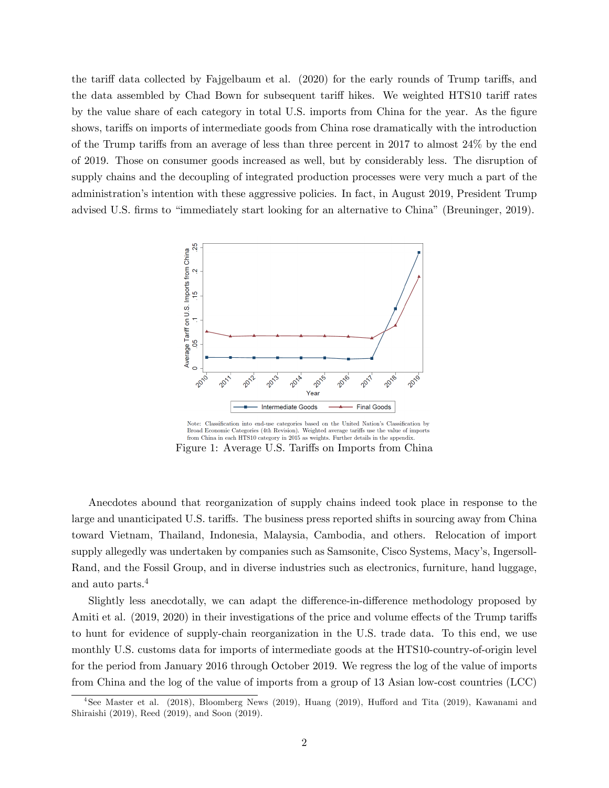the tariff data collected by Fajgelbaum et al.  $(2020)$  for the early rounds of Trump tariffs, and the data assembled by Chad Bown for subsequent tariff hikes. We weighted HTS10 tariff rates by the value share of each category in total U.S. imports from China for the year. As the figure shows, tariffs on imports of intermediate goods from China rose dramatically with the introduction of the Trump tariffs from an average of less than three percent in 2017 to almost  $24\%$  by the end of 2019. Those on consumer goods increased as well, but by considerably less. The disruption of supply chains and the decoupling of integrated production processes were very much a part of the administration's intention with these aggressive policies. In fact, in August 2019, President Trump advised U.S. firms to "immediately start looking for an alternative to China" (Breuninger, 2019).



Note: Classification into end-use categories based on the United Nation's Classification by Broad Economic Categories (4th Revision). Weighted average tariffs use the value of imports from China in each HTS10 category in 2015 as weights. Further details in the appendix. Figure 1: Average U.S. Tariffs on Imports from China

Anecdotes abound that reorganization of supply chains indeed took place in response to the large and unanticipated U.S. tariffs. The business press reported shifts in sourcing away from China toward Vietnam, Thailand, Indonesia, Malaysia, Cambodia, and others. Relocation of import supply allegedly was undertaken by companies such as Samsonite, Cisco Systems, Macy's, Ingersoll-Rand, and the Fossil Group, and in diverse industries such as electronics, furniture, hand luggage, and auto parts.<sup>4</sup>

Slightly less anecdotally, we can adapt the difference-in-difference methodology proposed by Amiti et al. (2019, 2020) in their investigations of the price and volume effects of the Trump tariffs to hunt for evidence of supply-chain reorganization in the U.S. trade data. To this end, we use monthly U.S. customs data for imports of intermediate goods at the HTS10-country-of-origin level for the period from January 2016 through October 2019. We regress the log of the value of imports from China and the log of the value of imports from a group of 13 Asian low-cost countries (LCC)

<sup>&</sup>lt;sup>4</sup>See Master et al. (2018), Bloomberg News (2019), Huang (2019), Hufford and Tita (2019), Kawanami and Shiraishi (2019), Reed (2019), and Soon (2019).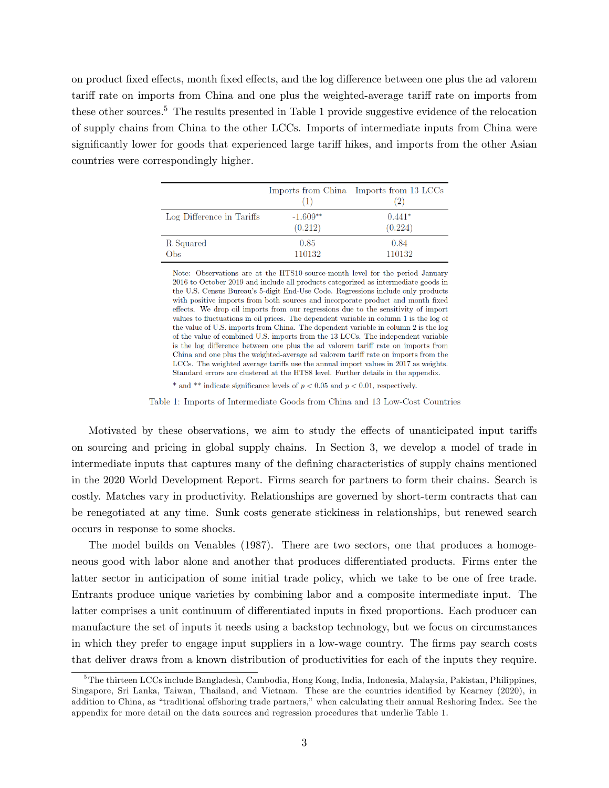on product fixed effects, month fixed effects, and the log difference between one plus the ad valorem tariff rate on imports from China and one plus the weighted-average tariff rate on imports from these other sources.<sup>5</sup> The results presented in Table 1 provide suggestive evidence of the relocation of supply chains from China to the other LCCs. Imports of intermediate inputs from China were significantly lower for goods that experienced large tariff hikes, and imports from the other Asian countries were correspondingly higher.

|                           | $\left(1\right)$      | Imports from China Imports from 13 LCCs<br>$\left( 2\right)$ |
|---------------------------|-----------------------|--------------------------------------------------------------|
| Log Difference in Tariffs | $-1.609**$<br>(0.212) | $0.441*$<br>(0.224)                                          |
| R Squared<br>Obs          | 0.85<br>110132        | 0.84<br>110132                                               |

Note: Observations are at the HTS10-source-month level for the period January  $2016$  to October 2019 and include all products categorized as intermediate goods in the U.S. Census Bureau's 5-digit End-Use Code. Regressions include only products with positive imports from both sources and incorporate product and month fixed effects. We drop oil imports from our regressions due to the sensitivity of import values to fluctuations in oil prices. The dependent variable in column 1 is the log of the value of U.S. imports from China. The dependent variable in column 2 is the log of the value of combined U.S. imports from the 13 LCCs. The independent variable is the log difference between one plus the ad valorem tariff rate on imports from China and one plus the weighted-average ad valorem tariff rate on imports from the LCCs. The weighted average tariffs use the annual import values in 2017 as weights. Standard errors are clustered at the HTS8 level. Further details in the appendix.

\* and \*\* indicate significance levels of  $p < 0.05$  and  $p < 0.01$ , respectively.

Table 1: Imports of Intermediate Goods from China and 13 Low-Cost Countries

Motivated by these observations, we aim to study the effects of unanticipated input tariffs on sourcing and pricing in global supply chains. In Section 3, we develop a model of trade in intermediate inputs that captures many of the defining characteristics of supply chains mentioned in the 2020 World Development Report. Firms search for partners to form their chains. Search is costly. Matches vary in productivity. Relationships are governed by short-term contracts that can be renegotiated at any time. Sunk costs generate stickiness in relationships, but renewed search occurs in response to some shocks.

The model builds on Venables (1987). There are two sectors, one that produces a homogeneous good with labor alone and another that produces differentiated products. Firms enter the latter sector in anticipation of some initial trade policy, which we take to be one of free trade. Entrants produce unique varieties by combining labor and a composite intermediate input. The latter comprises a unit continuum of differentiated inputs in fixed proportions. Each producer can manufacture the set of inputs it needs using a backstop technology, but we focus on circumstances in which they prefer to engage input suppliers in a low-wage country. The firms pay search costs that deliver draws from a known distribution of productivities for each of the inputs they require.

<sup>5</sup>The thirteen LCCs include Bangladesh, Cambodia, Hong Kong, India, Indonesia, Malaysia, Pakistan, Philippines, Singapore, Sri Lanka, Taiwan, Thailand, and Vietnam. These are the countries identified by Kearney (2020), in addition to China, as "traditional offshoring trade partners," when calculating their annual Reshoring Index. See the appendix for more detail on the data sources and regression procedures that underlie Table 1.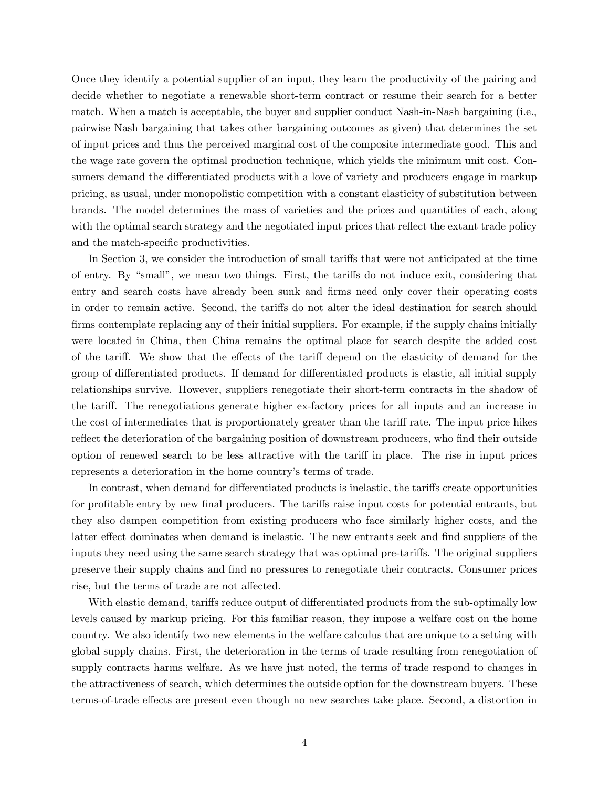Once they identify a potential supplier of an input, they learn the productivity of the pairing and decide whether to negotiate a renewable short-term contract or resume their search for a better match. When a match is acceptable, the buyer and supplier conduct Nash-in-Nash bargaining (i.e., pairwise Nash bargaining that takes other bargaining outcomes as given) that determines the set of input prices and thus the perceived marginal cost of the composite intermediate good. This and the wage rate govern the optimal production technique, which yields the minimum unit cost. Consumers demand the differentiated products with a love of variety and producers engage in markup pricing, as usual, under monopolistic competition with a constant elasticity of substitution between brands. The model determines the mass of varieties and the prices and quantities of each, along with the optimal search strategy and the negotiated input prices that reflect the extant trade policy and the match-specific productivities.

In Section 3, we consider the introduction of small tariffs that were not anticipated at the time of entry. By "small", we mean two things. First, the tariffs do not induce exit, considering that entry and search costs have already been sunk and firms need only cover their operating costs in order to remain active. Second, the tariffs do not alter the ideal destination for search should firms contemplate replacing any of their initial suppliers. For example, if the supply chains initially were located in China, then China remains the optimal place for search despite the added cost of the tariff. We show that the effects of the tariff depend on the elasticity of demand for the group of differentiated products. If demand for differentiated products is elastic, all initial supply relationships survive. However, suppliers renegotiate their short-term contracts in the shadow of the tariff. The renegotiations generate higher ex-factory prices for all inputs and an increase in the cost of intermediates that is proportionately greater than the tariff rate. The input price hikes reflect the deterioration of the bargaining position of downstream producers, who find their outside option of renewed search to be less attractive with the tariff in place. The rise in input prices represents a deterioration in the home country's terms of trade.

In contrast, when demand for differentiated products is inelastic, the tariffs create opportunities for profitable entry by new final producers. The tariffs raise input costs for potential entrants, but they also dampen competition from existing producers who face similarly higher costs, and the latter effect dominates when demand is inelastic. The new entrants seek and find suppliers of the inputs they need using the same search strategy that was optimal pre-tariffs. The original suppliers preserve their supply chains and Önd no pressures to renegotiate their contracts. Consumer prices rise, but the terms of trade are not affected.

With elastic demand, tariffs reduce output of differentiated products from the sub-optimally low levels caused by markup pricing. For this familiar reason, they impose a welfare cost on the home country. We also identify two new elements in the welfare calculus that are unique to a setting with global supply chains. First, the deterioration in the terms of trade resulting from renegotiation of supply contracts harms welfare. As we have just noted, the terms of trade respond to changes in the attractiveness of search, which determines the outside option for the downstream buyers. These terms-of-trade effects are present even though no new searches take place. Second, a distortion in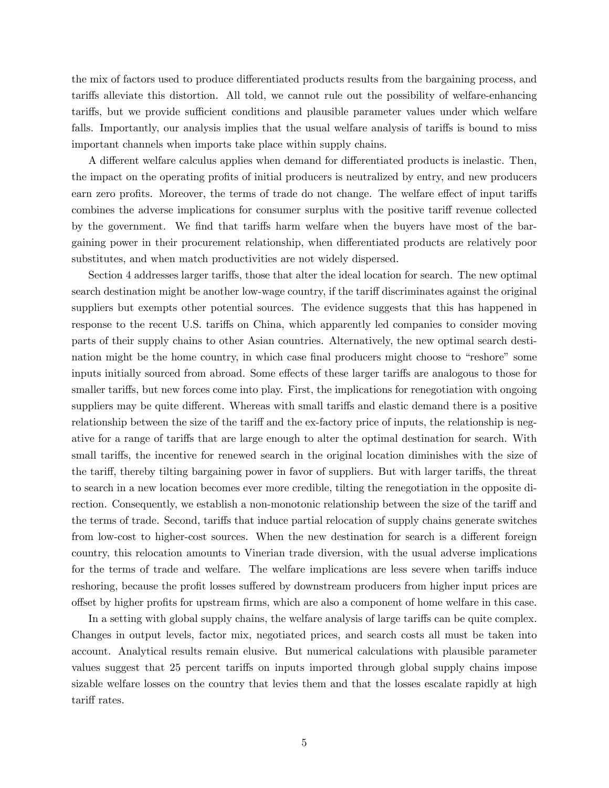the mix of factors used to produce differentiated products results from the bargaining process, and tari§s alleviate this distortion. All told, we cannot rule out the possibility of welfare-enhancing tariffs, but we provide sufficient conditions and plausible parameter values under which welfare falls. Importantly, our analysis implies that the usual welfare analysis of tariffs is bound to miss important channels when imports take place within supply chains.

A different welfare calculus applies when demand for differentiated products is inelastic. Then, the impact on the operating profits of initial producers is neutralized by entry, and new producers earn zero profits. Moreover, the terms of trade do not change. The welfare effect of input tariffs combines the adverse implications for consumer surplus with the positive tariff revenue collected by the government. We find that tariffs harm welfare when the buyers have most of the bargaining power in their procurement relationship, when differentiated products are relatively poor substitutes, and when match productivities are not widely dispersed.

Section 4 addresses larger tariffs, those that alter the ideal location for search. The new optimal search destination might be another low-wage country, if the tariff discriminates against the original suppliers but exempts other potential sources. The evidence suggests that this has happened in response to the recent U.S. tariffs on China, which apparently led companies to consider moving parts of their supply chains to other Asian countries. Alternatively, the new optimal search destination might be the home country, in which case final producers might choose to "reshore" some inputs initially sourced from abroad. Some effects of these larger tariffs are analogous to those for smaller tariffs, but new forces come into play. First, the implications for renegotiation with ongoing suppliers may be quite different. Whereas with small tariffs and elastic demand there is a positive relationship between the size of the tariff and the ex-factory price of inputs, the relationship is negative for a range of tariffs that are large enough to alter the optimal destination for search. With small tariffs, the incentive for renewed search in the original location diminishes with the size of the tariff, thereby tilting bargaining power in favor of suppliers. But with larger tariffs, the threat to search in a new location becomes ever more credible, tilting the renegotiation in the opposite direction. Consequently, we establish a non-monotonic relationship between the size of the tariff and the terms of trade. Second, tariffs that induce partial relocation of supply chains generate switches from low-cost to higher-cost sources. When the new destination for search is a different foreign country, this relocation amounts to Vinerian trade diversion, with the usual adverse implications for the terms of trade and welfare. The welfare implications are less severe when tariffs induce reshoring, because the profit losses suffered by downstream producers from higher input prices are offset by higher profits for upstream firms, which are also a component of home welfare in this case.

In a setting with global supply chains, the welfare analysis of large tariffs can be quite complex. Changes in output levels, factor mix, negotiated prices, and search costs all must be taken into account. Analytical results remain elusive. But numerical calculations with plausible parameter values suggest that 25 percent tariffs on inputs imported through global supply chains impose sizable welfare losses on the country that levies them and that the losses escalate rapidly at high tariff rates.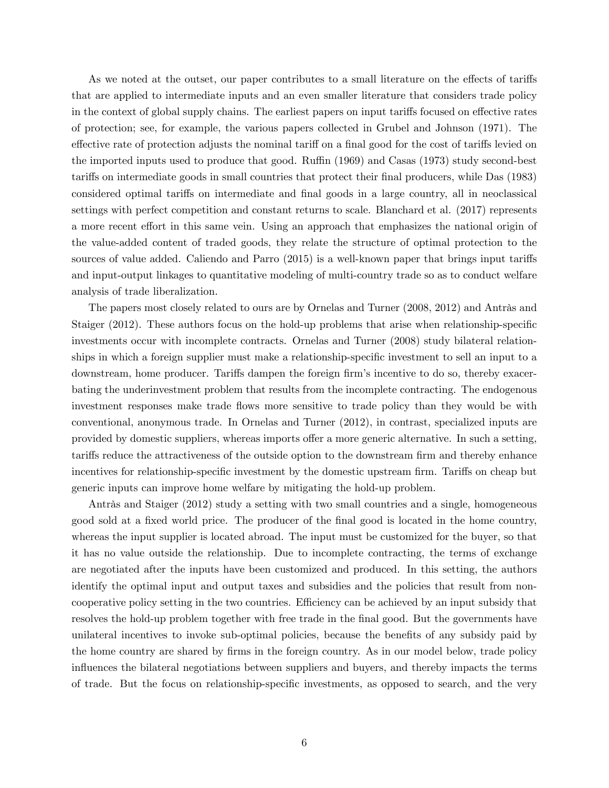As we noted at the outset, our paper contributes to a small literature on the effects of tariffs that are applied to intermediate inputs and an even smaller literature that considers trade policy in the context of global supply chains. The earliest papers on input tariffs focused on effective rates of protection; see, for example, the various papers collected in Grubel and Johnson (1971). The effective rate of protection adjusts the nominal tariff on a final good for the cost of tariffs levied on the imported inputs used to produce that good. Ruffin (1969) and Casas (1973) study second-best tariffs on intermediate goods in small countries that protect their final producers, while Das (1983) considered optimal tariffs on intermediate and final goods in a large country, all in neoclassical settings with perfect competition and constant returns to scale. Blanchard et al. (2017) represents a more recent effort in this same vein. Using an approach that emphasizes the national origin of the value-added content of traded goods, they relate the structure of optimal protection to the sources of value added. Caliendo and Parro (2015) is a well-known paper that brings input tariffs and input-output linkages to quantitative modeling of multi-country trade so as to conduct welfare analysis of trade liberalization.

The papers most closely related to ours are by Ornelas and Turner (2008, 2012) and Antràs and Staiger (2012). These authors focus on the hold-up problems that arise when relationship-specific investments occur with incomplete contracts. Ornelas and Turner (2008) study bilateral relationships in which a foreign supplier must make a relationship-specific investment to sell an input to a downstream, home producer. Tariffs dampen the foreign firm's incentive to do so, thereby exacerbating the underinvestment problem that results from the incomplete contracting. The endogenous investment responses make trade flows more sensitive to trade policy than they would be with conventional, anonymous trade. In Ornelas and Turner (2012), in contrast, specialized inputs are provided by domestic suppliers, whereas imports offer a more generic alternative. In such a setting, tariffs reduce the attractiveness of the outside option to the downstream firm and thereby enhance incentives for relationship-specific investment by the domestic upstream firm. Tariffs on cheap but generic inputs can improve home welfare by mitigating the hold-up problem.

Antràs and Staiger  $(2012)$  study a setting with two small countries and a single, homogeneous good sold at a fixed world price. The producer of the final good is located in the home country, whereas the input supplier is located abroad. The input must be customized for the buyer, so that it has no value outside the relationship. Due to incomplete contracting, the terms of exchange are negotiated after the inputs have been customized and produced. In this setting, the authors identify the optimal input and output taxes and subsidies and the policies that result from noncooperative policy setting in the two countries. Efficiency can be achieved by an input subsidy that resolves the hold-up problem together with free trade in the final good. But the governments have unilateral incentives to invoke sub-optimal policies, because the benefits of any subsidy paid by the home country are shared by firms in the foreign country. As in our model below, trade policy influences the bilateral negotiations between suppliers and buyers, and thereby impacts the terms of trade. But the focus on relationship-specific investments, as opposed to search, and the very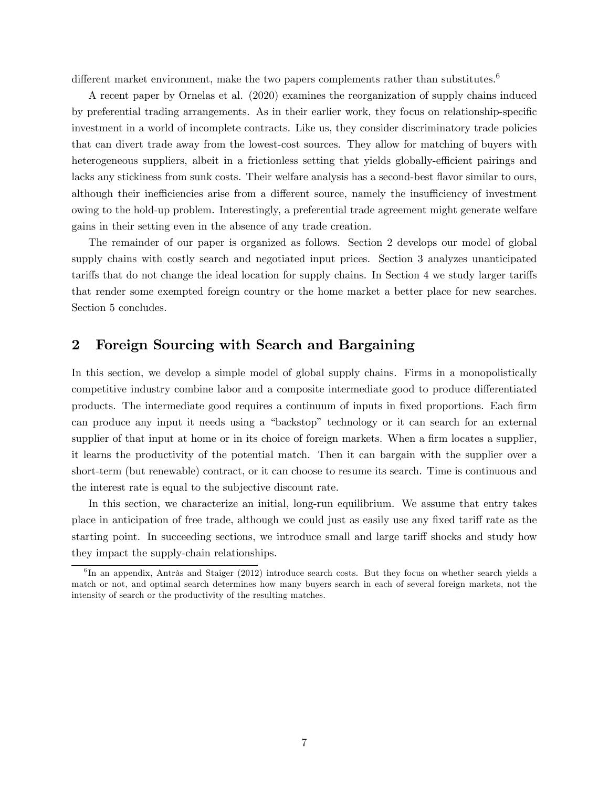different market environment, make the two papers complements rather than substitutes.<sup>6</sup>

A recent paper by Ornelas et al. (2020) examines the reorganization of supply chains induced by preferential trading arrangements. As in their earlier work, they focus on relationship-specific investment in a world of incomplete contracts. Like us, they consider discriminatory trade policies that can divert trade away from the lowest-cost sources. They allow for matching of buyers with heterogeneous suppliers, albeit in a frictionless setting that yields globally-efficient pairings and lacks any stickiness from sunk costs. Their welfare analysis has a second-best flavor similar to ours, although their inefficiencies arise from a different source, namely the insufficiency of investment owing to the hold-up problem. Interestingly, a preferential trade agreement might generate welfare gains in their setting even in the absence of any trade creation.

The remainder of our paper is organized as follows. Section 2 develops our model of global supply chains with costly search and negotiated input prices. Section 3 analyzes unanticipated tariffs that do not change the ideal location for supply chains. In Section 4 we study larger tariffs that render some exempted foreign country or the home market a better place for new searches. Section 5 concludes.

## 2 Foreign Sourcing with Search and Bargaining

In this section, we develop a simple model of global supply chains. Firms in a monopolistically competitive industry combine labor and a composite intermediate good to produce differentiated products. The intermediate good requires a continuum of inputs in Öxed proportions. Each Örm can produce any input it needs using a "backstop" technology or it can search for an external supplier of that input at home or in its choice of foreign markets. When a firm locates a supplier, it learns the productivity of the potential match. Then it can bargain with the supplier over a short-term (but renewable) contract, or it can choose to resume its search. Time is continuous and the interest rate is equal to the subjective discount rate.

In this section, we characterize an initial, long-run equilibrium. We assume that entry takes place in anticipation of free trade, although we could just as easily use any fixed tariff rate as the starting point. In succeeding sections, we introduce small and large tariff shocks and study how they impact the supply-chain relationships.

 ${}^{6}$ In an appendix, Antràs and Staiger (2012) introduce search costs. But they focus on whether search yields a match or not, and optimal search determines how many buyers search in each of several foreign markets, not the intensity of search or the productivity of the resulting matches.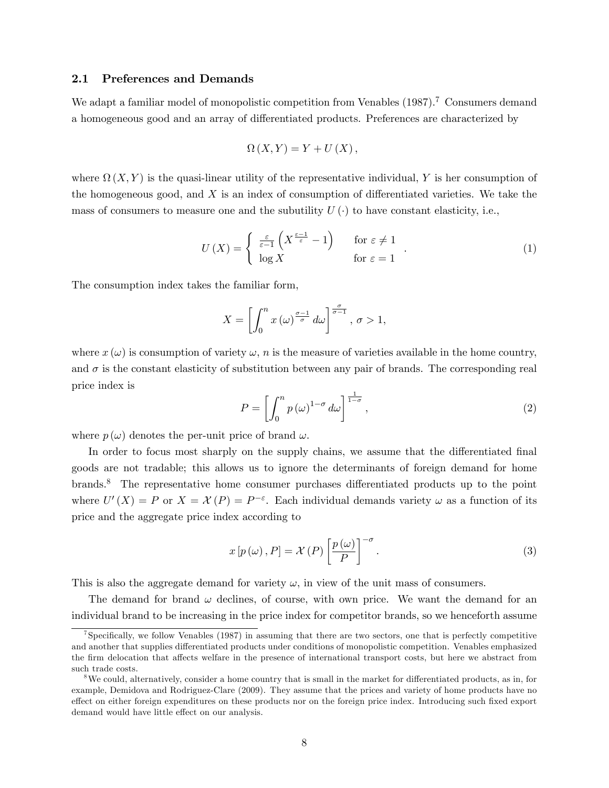### 2.1 Preferences and Demands

We adapt a familiar model of monopolistic competition from Venables  $(1987)$ .<sup>7</sup> Consumers demand a homogeneous good and an array of differentiated products. Preferences are characterized by

$$
\Omega\left(X,Y\right) = Y + U\left(X\right),\,
$$

where  $\Omega(X,Y)$  is the quasi-linear utility of the representative individual, Y is her consumption of the homogeneous good, and  $X$  is an index of consumption of differentiated varieties. We take the mass of consumers to measure one and the subutility  $U(\cdot)$  to have constant elasticity, i.e.,

$$
U\left(X\right) = \begin{cases} \frac{\varepsilon}{\varepsilon - 1} \left(X^{\frac{\varepsilon - 1}{\varepsilon}} - 1\right) & \text{for } \varepsilon \neq 1\\ \log X & \text{for } \varepsilon = 1 \end{cases} \tag{1}
$$

The consumption index takes the familiar form,

$$
X = \left[ \int_0^n x(\omega)^{\frac{\sigma - 1}{\sigma}} d\omega \right]^{\frac{\sigma}{\sigma - 1}}, \sigma > 1,
$$

where  $x(\omega)$  is consumption of variety  $\omega$ , n is the measure of varieties available in the home country, and  $\sigma$  is the constant elasticity of substitution between any pair of brands. The corresponding real price index is

$$
P = \left[ \int_0^n p(\omega)^{1-\sigma} d\omega \right]^{\frac{1}{1-\sigma}}, \tag{2}
$$

where  $p(\omega)$  denotes the per-unit price of brand  $\omega$ .

In order to focus most sharply on the supply chains, we assume that the differentiated final goods are not tradable; this allows us to ignore the determinants of foreign demand for home brands.<sup>8</sup> The representative home consumer purchases differentiated products up to the point where  $U'(X) = P$  or  $X = \mathcal{X}(P) = P^{-\varepsilon}$ . Each individual demands variety  $\omega$  as a function of its price and the aggregate price index according to

$$
x[p(\omega), P] = \mathcal{X}(P) \left[\frac{p(\omega)}{P}\right]^{-\sigma}.
$$
\n(3)

This is also the aggregate demand for variety  $\omega$ , in view of the unit mass of consumers.

The demand for brand  $\omega$  declines, of course, with own price. We want the demand for an individual brand to be increasing in the price index for competitor brands, so we henceforth assume

<sup>&</sup>lt;sup>7</sup>Specifically, we follow Venables (1987) in assuming that there are two sectors, one that is perfectly competitive and another that supplies differentiated products under conditions of monopolistic competition. Venables emphasized the firm delocation that affects welfare in the presence of international transport costs, but here we abstract from such trade costs.

 $8$ We could, alternatively, consider a home country that is small in the market for differentiated products, as in, for example, Demidova and Rodriguez-Clare (2009). They assume that the prices and variety of home products have no effect on either foreign expenditures on these products nor on the foreign price index. Introducing such fixed export demand would have little effect on our analysis.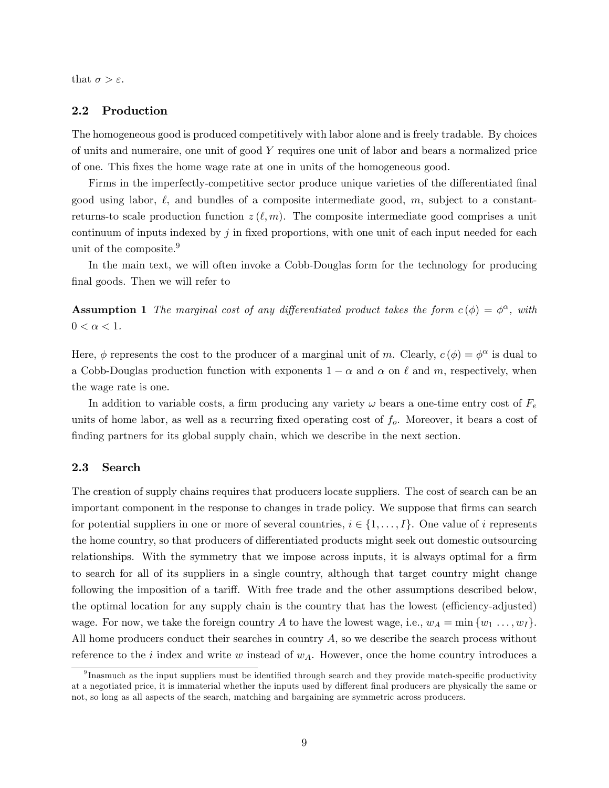that  $\sigma > \varepsilon$ .

#### 2.2 Production

The homogeneous good is produced competitively with labor alone and is freely tradable. By choices of units and numeraire, one unit of good Y requires one unit of labor and bears a normalized price of one. This Öxes the home wage rate at one in units of the homogeneous good.

Firms in the imperfectly-competitive sector produce unique varieties of the differentiated final good using labor,  $\ell$ , and bundles of a composite intermediate good, m, subject to a constantreturns-to scale production function  $z(\ell, m)$ . The composite intermediate good comprises a unit continuum of inputs indexed by  $j$  in fixed proportions, with one unit of each input needed for each unit of the composite.<sup>9</sup>

In the main text, we will often invoke a Cobb-Douglas form for the technology for producing final goods. Then we will refer to

**Assumption 1** The marginal cost of any differentiated product takes the form  $c(\phi) = \phi^{\alpha}$ , with  $0 < \alpha < 1$ .

Here,  $\phi$  represents the cost to the producer of a marginal unit of m. Clearly,  $c(\phi) = \phi^{\alpha}$  is dual to a Cobb-Douglas production function with exponents  $1 - \alpha$  and  $\alpha$  on  $\ell$  and m, respectively, when the wage rate is one.

In addition to variable costs, a firm producing any variety  $\omega$  bears a one-time entry cost of  $F_e$ units of home labor, as well as a recurring fixed operating cost of  $f<sub>o</sub>$ . Moreover, it bears a cost of finding partners for its global supply chain, which we describe in the next section.

#### 2.3 Search

The creation of supply chains requires that producers locate suppliers. The cost of search can be an important component in the response to changes in trade policy. We suppose that firms can search for potential suppliers in one or more of several countries,  $i \in \{1, \ldots, I\}$ . One value of i represents the home country, so that producers of differentiated products might seek out domestic outsourcing relationships. With the symmetry that we impose across inputs, it is always optimal for a firm to search for all of its suppliers in a single country, although that target country might change following the imposition of a tariff. With free trade and the other assumptions described below, the optimal location for any supply chain is the country that has the lowest (efficiency-adjusted) wage. For now, we take the foreign country A to have the lowest wage, i.e.,  $w_A = \min \{w_1, \ldots, w_I\}$ . All home producers conduct their searches in country  $A$ , so we describe the search process without reference to the i index and write w instead of  $w<sub>A</sub>$ . However, once the home country introduces a

 $^{9}$ Inasmuch as the input suppliers must be identified through search and they provide match-specific productivity at a negotiated price, it is immaterial whether the inputs used by different final producers are physically the same or not, so long as all aspects of the search, matching and bargaining are symmetric across producers.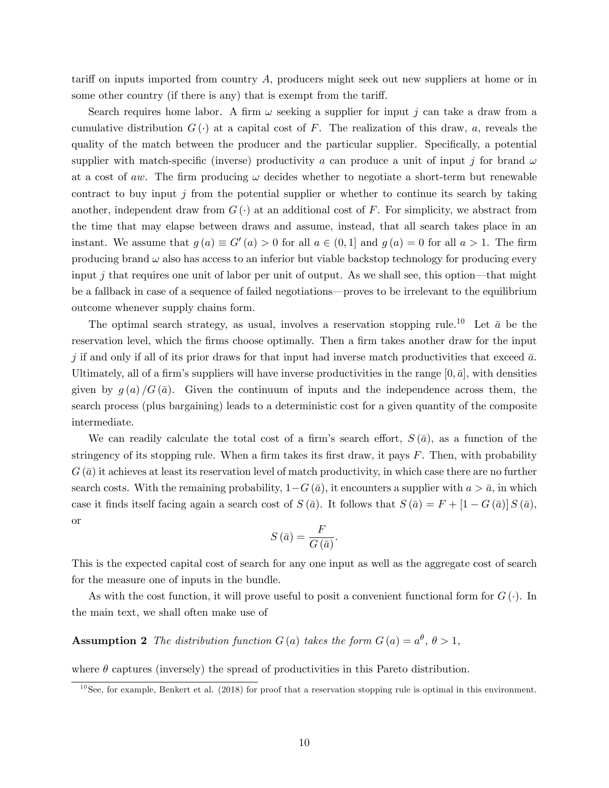tariff on inputs imported from country  $A$ , producers might seek out new suppliers at home or in some other country (if there is any) that is exempt from the tariff.

Search requires home labor. A firm  $\omega$  seeking a supplier for input j can take a draw from a cumulative distribution  $G(\cdot)$  at a capital cost of F. The realization of this draw, a, reveals the quality of the match between the producer and the particular supplier. Specifically, a potential supplier with match-specific (inverse) productivity a can produce a unit of input j for brand  $\omega$ at a cost of aw. The firm producing  $\omega$  decides whether to negotiate a short-term but renewable contract to buy input  $j$  from the potential supplier or whether to continue its search by taking another, independent draw from  $G(\cdot)$  at an additional cost of F. For simplicity, we abstract from the time that may elapse between draws and assume, instead, that all search takes place in an instant. We assume that  $g(a) \equiv G'(a) > 0$  for all  $a \in (0,1]$  and  $g(a) = 0$  for all  $a > 1$ . The firm producing brand  $\omega$  also has access to an inferior but viable backstop technology for producing every input j that requires one unit of labor per unit of output. As we shall see, this option—that might be a fallback in case of a sequence of failed negotiations—proves to be irrelevant to the equilibrium outcome whenever supply chains form.

The optimal search strategy, as usual, involves a reservation stopping rule.<sup>10</sup> Let  $\bar{a}$  be the reservation level, which the firms choose optimally. Then a firm takes another draw for the input j if and only if all of its prior draws for that input had inverse match productivities that exceed  $\bar{a}$ . Ultimately, all of a firm's suppliers will have inverse productivities in the range  $[0, \bar{a}]$ , with densities given by  $g(a)/G(\bar{a})$ . Given the continuum of inputs and the independence across them, the search process (plus bargaining) leads to a deterministic cost for a given quantity of the composite intermediate.

We can readily calculate the total cost of a firm's search effort,  $S(\bar{a})$ , as a function of the stringency of its stopping rule. When a firm takes its first draw, it pays  $F$ . Then, with probability  $G(\bar{a})$  it achieves at least its reservation level of match productivity, in which case there are no further search costs. With the remaining probability,  $1-G(\bar{a})$ , it encounters a supplier with  $a > \bar{a}$ , in which case it finds itself facing again a search cost of  $S(\bar{a})$ . It follows that  $S(\bar{a}) = F + [1 - G(\bar{a})] S(\bar{a})$ , or

$$
S\left(\bar{a}\right) = \frac{F}{G\left(\bar{a}\right)}.
$$

This is the expected capital cost of search for any one input as well as the aggregate cost of search for the measure one of inputs in the bundle.

As with the cost function, it will prove useful to posit a convenient functional form for  $G(\cdot)$ . In the main text, we shall often make use of

**Assumption 2** The distribution function  $G(a)$  takes the form  $G(a) = a^{\theta}, \theta > 1$ ,

where  $\theta$  captures (inversely) the spread of productivities in this Pareto distribution.

 $10$ See, for example, Benkert et al. (2018) for proof that a reservation stopping rule is optimal in this environment.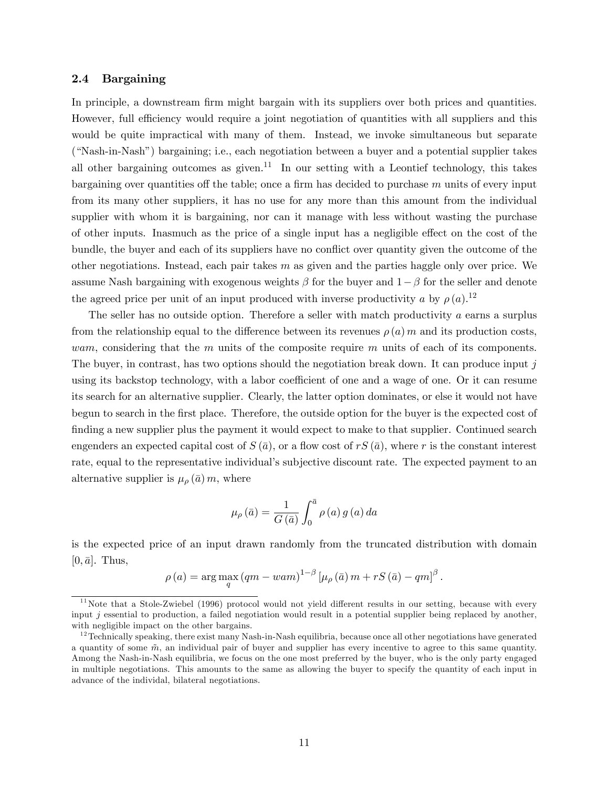## 2.4 Bargaining

In principle, a downstream firm might bargain with its suppliers over both prices and quantities. However, full efficiency would require a joint negotiation of quantities with all suppliers and this would be quite impractical with many of them. Instead, we invoke simultaneous but separate (ìNash-in-Nashî) bargaining; i.e., each negotiation between a buyer and a potential supplier takes all other bargaining outcomes as given.<sup>11</sup> In our setting with a Leontief technology, this takes bargaining over quantities off the table; once a firm has decided to purchase  $m$  units of every input from its many other suppliers, it has no use for any more than this amount from the individual supplier with whom it is bargaining, nor can it manage with less without wasting the purchase of other inputs. Inasmuch as the price of a single input has a negligible effect on the cost of the bundle, the buyer and each of its suppliers have no conflict over quantity given the outcome of the other negotiations. Instead, each pair takes  $m$  as given and the parties haggle only over price. We assume Nash bargaining with exogenous weights  $\beta$  for the buyer and  $1-\beta$  for the seller and denote the agreed price per unit of an input produced with inverse productivity a by  $\rho(a)$ .<sup>12</sup>

The seller has no outside option. Therefore a seller with match productivity  $a$  earns a surplus from the relationship equal to the difference between its revenues  $\rho(a)$  m and its production costs, *wam*, considering that the m units of the composite require m units of each of its components. The buyer, in contrast, has two options should the negotiation break down. It can produce input j using its backstop technology, with a labor coefficient of one and a wage of one. Or it can resume its search for an alternative supplier. Clearly, the latter option dominates, or else it would not have begun to search in the Örst place. Therefore, the outside option for the buyer is the expected cost of finding a new supplier plus the payment it would expect to make to that supplier. Continued search engenders an expected capital cost of  $S(\bar{a})$ , or a flow cost of  $rS(\bar{a})$ , where r is the constant interest rate, equal to the representative individual's subjective discount rate. The expected payment to an alternative supplier is  $\mu_{\rho}(\bar{a}) m$ , where

$$
\mu_{\rho}(\bar{a}) = \frac{1}{G(\bar{a})} \int_0^{\bar{a}} \rho(a) g(a) da
$$

is the expected price of an input drawn randomly from the truncated distribution with domain  $[0, \bar{a}]$ . Thus,

$$
\rho(a) = \arg \max_{q} (qm - wam)^{1-\beta} \left[ \mu_{\rho}(\bar{a}) m + rS(\bar{a}) - qm \right]^{\beta}.
$$

 $11$ Note that a Stole-Zwiebel (1996) protocol would not yield different results in our setting, because with every input  $i$  essential to production, a failed negotiation would result in a potential supplier being replaced by another, with negligible impact on the other bargains.

 $12$ Technically speaking, there exist many Nash-in-Nash equilibria, because once all other negotiations have generated a quantity of some  $\tilde{m}$ , an individual pair of buyer and supplier has every incentive to agree to this same quantity. Among the Nash-in-Nash equilibria, we focus on the one most preferred by the buyer, who is the only party engaged in multiple negotiations. This amounts to the same as allowing the buyer to specify the quantity of each input in advance of the individal, bilateral negotiations.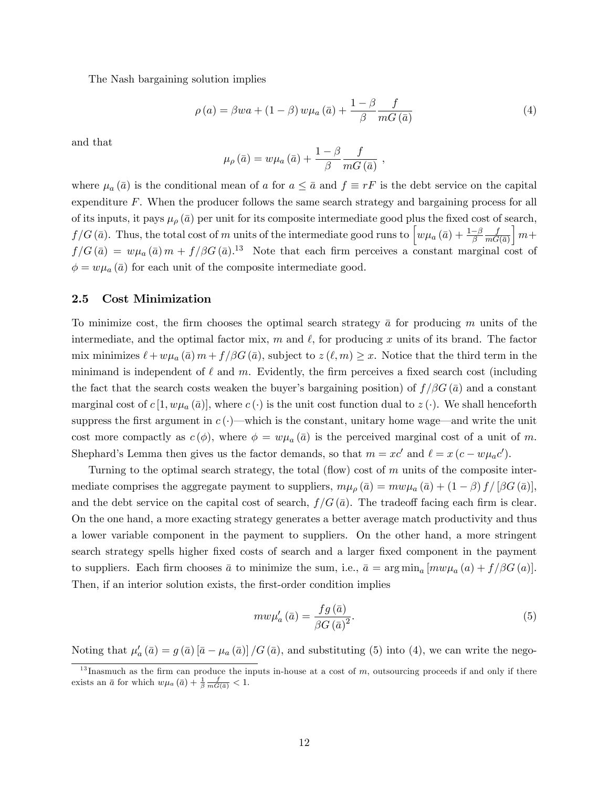The Nash bargaining solution implies

$$
\rho(a) = \beta wa + (1 - \beta) w \mu_a(\bar{a}) + \frac{1 - \beta}{\beta} \frac{f}{mG(\bar{a})}
$$
(4)

and that

$$
\mu_{\rho}(\bar{a}) = w \mu_a(\bar{a}) + \frac{1-\beta}{\beta} \frac{f}{mG(\bar{a})},
$$

where  $\mu_a(\bar{a})$  is the conditional mean of a for  $a \leq \bar{a}$  and  $f \equiv rF$  is the debt service on the capital expenditure F. When the producer follows the same search strategy and bargaining process for all of its inputs, it pays  $\mu_{\rho}(\bar{a})$  per unit for its composite intermediate good plus the fixed cost of search,  $f/G(\bar{a})$ . Thus, the total cost of m units of the intermediate good runs to  $\int w\mu_a(\bar{a}) + \frac{1-\beta}{\beta}$ f  $mG(\bar{a})$  $\mid m+$  $f/G(\bar{a}) = w\mu_a(\bar{a})m + f/\beta G(\bar{a})$ <sup>13</sup> Note that each firm perceives a constant marginal cost of  $\phi = w\mu_a(\bar{a})$  for each unit of the composite intermediate good.

#### 2.5 Cost Minimization

To minimize cost, the firm chooses the optimal search strategy  $\bar{a}$  for producing m units of the intermediate, and the optimal factor mix, m and  $\ell$ , for producing x units of its brand. The factor mix minimizes  $\ell + w\mu_a(\bar{a}) m + f/\beta G(\bar{a})$ , subject to  $z(\ell,m) \geq x$ . Notice that the third term in the minimand is independent of  $\ell$  and m. Evidently, the firm perceives a fixed search cost (including the fact that the search costs weaken the buyer's bargaining position) of  $f/\beta G(\bar{a})$  and a constant marginal cost of  $c [1, w \mu_a (\bar{a})]$ , where  $c (\cdot)$  is the unit cost function dual to  $z (\cdot)$ . We shall henceforth suppress the first argument in  $c(\cdot)$ —which is the constant, unitary home wage—and write the unit cost more compactly as  $c(\phi)$ , where  $\phi = w\mu_a(\bar{a})$  is the perceived marginal cost of a unit of m. Shephard's Lemma then gives us the factor demands, so that  $m = xc'$  and  $\ell = x (c - w\mu_a c')$ .

Turning to the optimal search strategy, the total (flow) cost of  $m$  units of the composite intermediate comprises the aggregate payment to suppliers,  $m\mu_{\rho}(\bar{a}) = m w \mu_{a}(\bar{a}) + (1 - \beta) f / [\beta G(\bar{a})],$ and the debt service on the capital cost of search,  $f/G(\bar{a})$ . The tradeoff facing each firm is clear. On the one hand, a more exacting strategy generates a better average match productivity and thus a lower variable component in the payment to suppliers. On the other hand, a more stringent search strategy spells higher fixed costs of search and a larger fixed component in the payment to suppliers. Each firm chooses  $\bar{a}$  to minimize the sum, i.e.,  $\bar{a} = \arg \min_a [m w \mu_a(a) + f/\beta G(a)]$ . Then, if an interior solution exists, the first-order condition implies

$$
m w \mu_a' \left( \bar{a} \right) = \frac{fg\left( \bar{a} \right)}{\beta G \left( \bar{a} \right)^2}.
$$
\n<sup>(5)</sup>

Noting that  $\mu'_a(\bar{a}) = g(\bar{a}) [\bar{a} - \mu_a(\bar{a})] / G(\bar{a})$ , and substituting (5) into (4), we can write the nego-

 $13$  Inasmuch as the firm can produce the inputs in-house at a cost of m, outsourcing proceeds if and only if there exists an  $\bar{a}$  for which  $w\mu_a(\bar{a}) + \frac{1}{\beta} \frac{f}{mG(\bar{a})} < 1$ .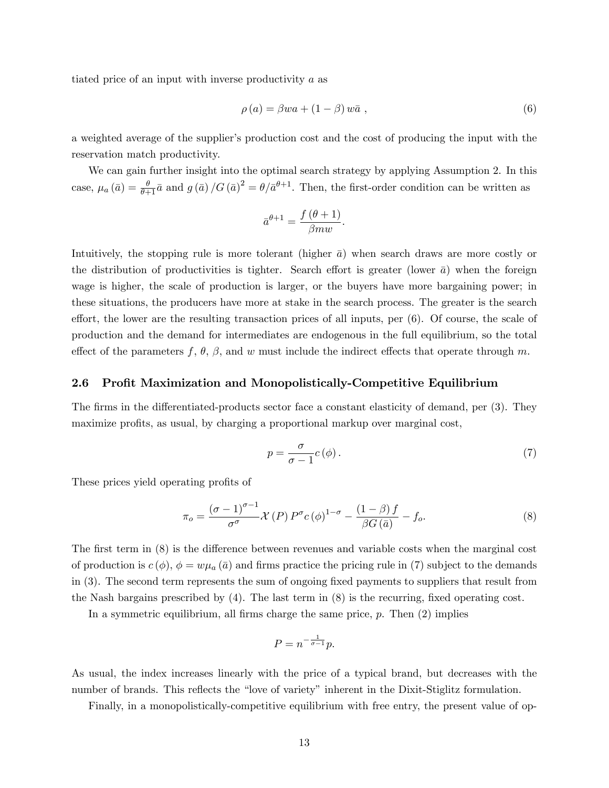tiated price of an input with inverse productivity a as

$$
\rho(a) = \beta w a + (1 - \beta) w \bar{a} , \qquad (6)
$$

a weighted average of the supplier's production cost and the cost of producing the input with the reservation match productivity.

We can gain further insight into the optimal search strategy by applying Assumption 2. In this case,  $\mu_a(\bar{a}) = \frac{\theta}{\theta+1}\bar{a}$  and  $g(\bar{a})/G(\bar{a})^2 = \theta/\bar{a}^{\theta+1}$ . Then, the first-order condition can be written as

$$
\bar{a}^{\theta+1} = \frac{f(\theta+1)}{\beta m w}.
$$

Intuitively, the stopping rule is more tolerant (higher  $\bar{a}$ ) when search draws are more costly or the distribution of productivities is tighter. Search effort is greater (lower  $\bar{a}$ ) when the foreign wage is higher, the scale of production is larger, or the buyers have more bargaining power; in these situations, the producers have more at stake in the search process. The greater is the search effort, the lower are the resulting transaction prices of all inputs, per  $(6)$ . Of course, the scale of production and the demand for intermediates are endogenous in the full equilibrium, so the total effect of the parameters  $f, \theta, \beta$ , and w must include the indirect effects that operate through m.

#### 2.6 Profit Maximization and Monopolistically-Competitive Equilibrium

The firms in the differentiated-products sector face a constant elasticity of demand, per (3). They maximize profits, as usual, by charging a proportional markup over marginal cost,

$$
p = \frac{\sigma}{\sigma - 1} c(\phi). \tag{7}
$$

These prices yield operating profits of

$$
\pi_o = \frac{(\sigma - 1)^{\sigma - 1}}{\sigma^{\sigma}} \mathcal{X}(P) P^{\sigma} c(\phi)^{1 - \sigma} - \frac{(1 - \beta)f}{\beta G(\bar{a})} - f_o.
$$
\n(8)

The first term in  $(8)$  is the difference between revenues and variable costs when the marginal cost of production is  $c(\phi)$ ,  $\phi = w\mu_a(\bar{a})$  and firms practice the pricing rule in (7) subject to the demands in (3). The second term represents the sum of ongoing Öxed payments to suppliers that result from the Nash bargains prescribed by  $(4)$ . The last term in  $(8)$  is the recurring, fixed operating cost.

In a symmetric equilibrium, all firms charge the same price,  $p$ . Then  $(2)$  implies

$$
P = n^{-\frac{1}{\sigma - 1}}p.
$$

As usual, the index increases linearly with the price of a typical brand, but decreases with the number of brands. This reflects the "love of variety" inherent in the Dixit-Stiglitz formulation.

Finally, in a monopolistically-competitive equilibrium with free entry, the present value of op-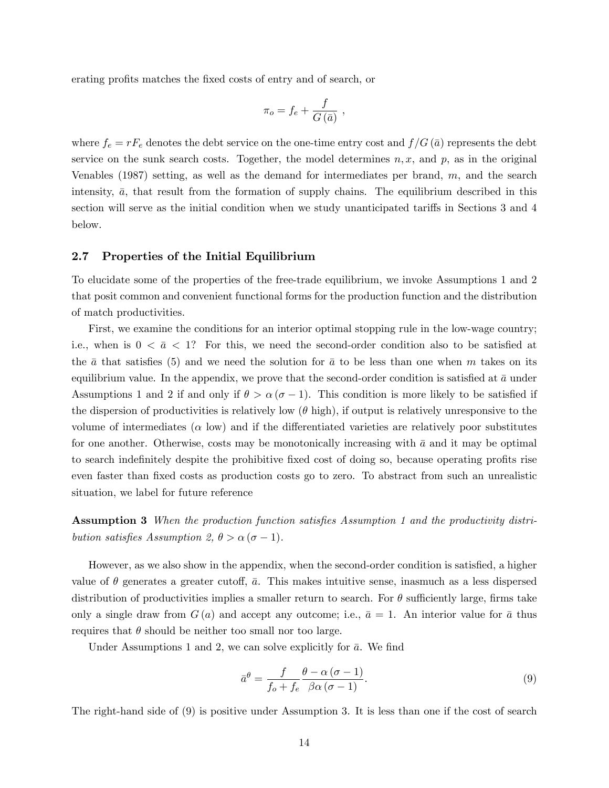erating profits matches the fixed costs of entry and of search, or

$$
\pi_o = f_e + \frac{f}{G(\bar{a})} ,
$$

where  $f_e = rF_e$  denotes the debt service on the one-time entry cost and  $f/G(\bar{a})$  represents the debt service on the sunk search costs. Together, the model determines  $n, x$ , and  $p$ , as in the original Venables (1987) setting, as well as the demand for intermediates per brand, m, and the search intensity,  $\bar{a}$ , that result from the formation of supply chains. The equilibrium described in this section will serve as the initial condition when we study unanticipated tariffs in Sections 3 and 4 below.

#### 2.7 Properties of the Initial Equilibrium

To elucidate some of the properties of the free-trade equilibrium, we invoke Assumptions 1 and 2 that posit common and convenient functional forms for the production function and the distribution of match productivities.

First, we examine the conditions for an interior optimal stopping rule in the low-wage country; i.e., when is  $0 < \bar{a} < 1$ ? For this, we need the second-order condition also to be satisfied at the  $\bar{a}$  that satisfies (5) and we need the solution for  $\bar{a}$  to be less than one when m takes on its equilibrium value. In the appendix, we prove that the second-order condition is satisfied at  $\bar{a}$  under Assumptions 1 and 2 if and only if  $\theta > \alpha (\sigma - 1)$ . This condition is more likely to be satisfied if the dispersion of productivities is relatively low  $(\theta \text{ high})$ , if output is relatively unresponsive to the volume of intermediates  $(\alpha \text{ low})$  and if the differentiated varieties are relatively poor substitutes for one another. Otherwise, costs may be monotonically increasing with  $\bar{a}$  and it may be optimal to search indefinitely despite the prohibitive fixed cost of doing so, because operating profits rise even faster than fixed costs as production costs go to zero. To abstract from such an unrealistic situation, we label for future reference

Assumption 3 When the production function satisfies Assumption 1 and the productivity distribution satisfies Assumption 2,  $\theta > \alpha (\sigma - 1)$ .

However, as we also show in the appendix, when the second-order condition is satisfied, a higher value of  $\theta$  generates a greater cutoff,  $\bar{a}$ . This makes intuitive sense, inasmuch as a less dispersed distribution of productivities implies a smaller return to search. For  $\theta$  sufficiently large, firms take only a single draw from  $G(a)$  and accept any outcome; i.e.,  $\bar{a} = 1$ . An interior value for  $\bar{a}$  thus requires that  $\theta$  should be neither too small nor too large.

Under Assumptions 1 and 2, we can solve explicitly for  $\bar{a}$ . We find

$$
\bar{a}^{\theta} = \frac{f}{f_o + f_e} \frac{\theta - \alpha (\sigma - 1)}{\beta \alpha (\sigma - 1)}.
$$
\n(9)

The right-hand side of (9) is positive under Assumption 3. It is less than one if the cost of search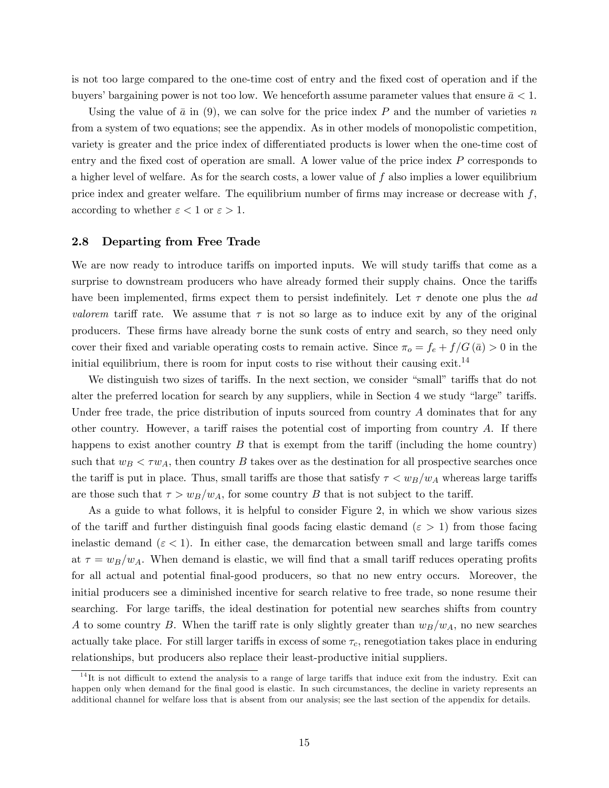is not too large compared to the one-time cost of entry and the Öxed cost of operation and if the buyers' bargaining power is not too low. We henceforth assume parameter values that ensure  $\bar{a} < 1$ .

Using the value of  $\bar{a}$  in (9), we can solve for the price index P and the number of varieties n from a system of two equations; see the appendix. As in other models of monopolistic competition, variety is greater and the price index of differentiated products is lower when the one-time cost of entry and the fixed cost of operation are small. A lower value of the price index  $P$  corresponds to a higher level of welfare. As for the search costs, a lower value of  $f$  also implies a lower equilibrium price index and greater welfare. The equilibrium number of firms may increase or decrease with  $f$ , according to whether  $\varepsilon < 1$  or  $\varepsilon > 1$ .

## 2.8 Departing from Free Trade

We are now ready to introduce tariffs on imported inputs. We will study tariffs that come as a surprise to downstream producers who have already formed their supply chains. Once the tariffs have been implemented, firms expect them to persist indefinitely. Let  $\tau$  denote one plus the ad valorem tariff rate. We assume that  $\tau$  is not so large as to induce exit by any of the original producers. These Örms have already borne the sunk costs of entry and search, so they need only cover their fixed and variable operating costs to remain active. Since  $\pi_o = f_e + f/G(\bar{a}) > 0$  in the initial equilibrium, there is room for input costs to rise without their causing exit.<sup>14</sup>

We distinguish two sizes of tariffs. In the next section, we consider "small" tariffs that do not alter the preferred location for search by any suppliers, while in Section 4 we study "large" tariffs. Under free trade, the price distribution of inputs sourced from country  $A$  dominates that for any other country. However, a tariff raises the potential cost of importing from country  $A$ . If there happens to exist another country  $B$  that is exempt from the tariff (including the home country) such that  $w_B < \tau w_A$ , then country B takes over as the destination for all prospective searches once the tariff is put in place. Thus, small tariffs are those that satisfy  $\tau < w_B/w_A$  whereas large tariffs are those such that  $\tau > w_B/w_A$ , for some country B that is not subject to the tariff.

As a guide to what follows, it is helpful to consider Figure 2, in which we show various sizes of the tariff and further distinguish final goods facing elastic demand ( $\varepsilon > 1$ ) from those facing inelastic demand ( $\varepsilon < 1$ ). In either case, the demarcation between small and large tariffs comes at  $\tau = w_B/w_A$ . When demand is elastic, we will find that a small tariff reduces operating profits for all actual and potential Önal-good producers, so that no new entry occurs. Moreover, the initial producers see a diminished incentive for search relative to free trade, so none resume their searching. For large tariffs, the ideal destination for potential new searches shifts from country A to some country B. When the tariff rate is only slightly greater than  $w_B/w_A$ , no new searches actually take place. For still larger tariffs in excess of some  $\tau_c$ , renegotiation takes place in enduring relationships, but producers also replace their least-productive initial suppliers.

 $14$ It is not difficult to extend the analysis to a range of large tariffs that induce exit from the industry. Exit can happen only when demand for the final good is elastic. In such circumstances, the decline in variety represents an additional channel for welfare loss that is absent from our analysis; see the last section of the appendix for details.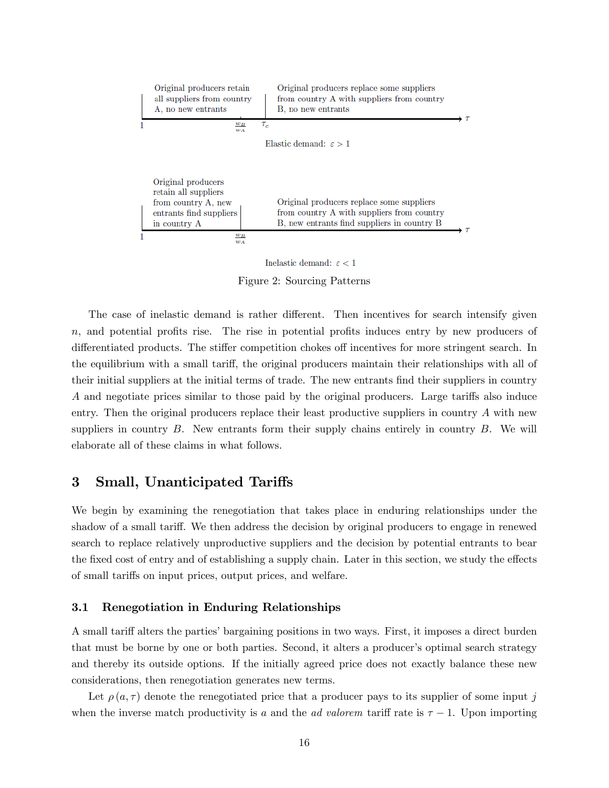|   | Original producers retain<br>all suppliers from country<br>A, no new entrants | Original producers replace some suppliers<br>from country A with suppliers from country<br>B, no new entrants |  |
|---|-------------------------------------------------------------------------------|---------------------------------------------------------------------------------------------------------------|--|
|   | $w_B$<br>$w_A$                                                                | $\tau_c$                                                                                                      |  |
|   |                                                                               | Elastic demand: $\varepsilon > 1$                                                                             |  |
|   |                                                                               |                                                                                                               |  |
|   | Original producers<br>retain all suppliers                                    |                                                                                                               |  |
|   | from country A, new                                                           | Original producers replace some suppliers                                                                     |  |
|   | entrants find suppliers<br>in country A                                       | from country A with suppliers from country<br>B, new entrants find suppliers in country B                     |  |
| 1 | $w_B$                                                                         |                                                                                                               |  |
|   | W A                                                                           |                                                                                                               |  |

Inelastic demand:  $\varepsilon < 1$ 

Figure 2: Sourcing Patterns

The case of inelastic demand is rather different. Then incentives for search intensify given  $n$ , and potential profits rise. The rise in potential profits induces entry by new producers of differentiated products. The stiffer competition chokes of incentives for more stringent search. In the equilibrium with a small tariff, the original producers maintain their relationships with all of their initial suppliers at the initial terms of trade. The new entrants find their suppliers in country A and negotiate prices similar to those paid by the original producers. Large tariffs also induce entry. Then the original producers replace their least productive suppliers in country A with new suppliers in country  $B$ . New entrants form their supply chains entirely in country  $B$ . We will elaborate all of these claims in what follows.

## 3 Small, Unanticipated Tariffs

We begin by examining the renegotiation that takes place in enduring relationships under the shadow of a small tariff. We then address the decision by original producers to engage in renewed search to replace relatively unproductive suppliers and the decision by potential entrants to bear the fixed cost of entry and of establishing a supply chain. Later in this section, we study the effects of small tariffs on input prices, output prices, and welfare.

## 3.1 Renegotiation in Enduring Relationships

A small tariff alters the parties' bargaining positions in two ways. First, it imposes a direct burden that must be borne by one or both parties. Second, it alters a producer's optimal search strategy and thereby its outside options. If the initially agreed price does not exactly balance these new considerations, then renegotiation generates new terms.

Let  $\rho(a, \tau)$  denote the renegotiated price that a producer pays to its supplier of some input j when the inverse match productivity is a and the ad valorem tariff rate is  $\tau - 1$ . Upon importing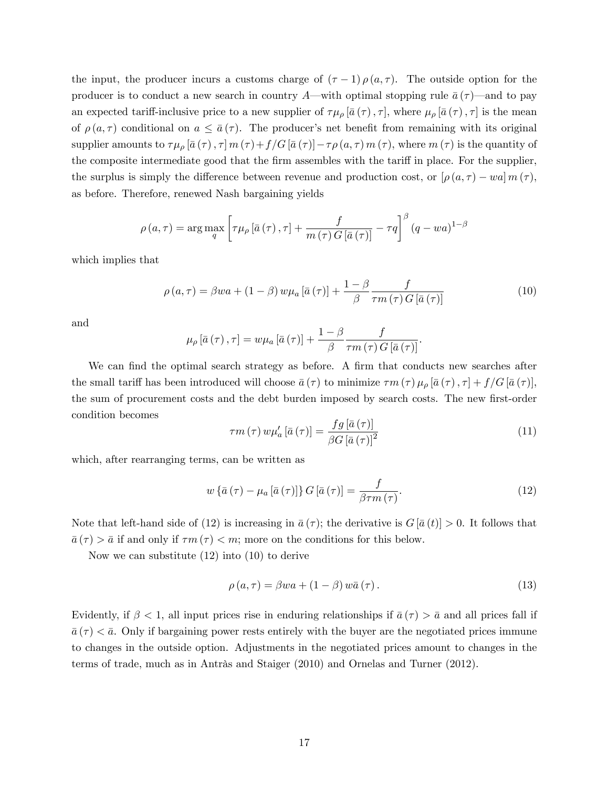the input, the producer incurs a customs charge of  $(\tau - 1) \rho(a, \tau)$ . The outside option for the producer is to conduct a new search in country A—with optimal stopping rule  $\bar{a}(\tau)$ —and to pay an expected tariff-inclusive price to a new supplier of  $\tau\mu_{\rho}$  [ $\bar{a}(\tau), \tau$ ], where  $\mu_{\rho}$  [ $\bar{a}(\tau), \tau$ ] is the mean of  $\rho(a, \tau)$  conditional on  $a \leq \bar{a}(\tau)$ . The producer's net benefit from remaining with its original supplier amounts to  $\tau\mu_{\rho}$   $[\bar{a}(\tau), \tau]$   $m(\tau)+f/G$   $[\bar{a}(\tau)]-\tau\rho(a,\tau)$   $m(\tau)$ , where  $m(\tau)$  is the quantity of the composite intermediate good that the firm assembles with the tariff in place. For the supplier, the surplus is simply the difference between revenue and production cost, or  $[\rho(a, \tau) - wa] m(\tau)$ , as before. Therefore, renewed Nash bargaining yields

$$
\rho(a,\tau) = \arg \max_{q} \left[ \tau \mu_{\rho} \left[ \bar{a} \left( \tau \right), \tau \right] + \frac{f}{m \left( \tau \right) G \left[ \bar{a} \left( \tau \right) \right]} - \tau q \right]^{\beta} (q - wa)^{1-\beta}
$$

which implies that

$$
\rho(a,\tau) = \beta wa + (1-\beta) w \mu_a \left[\bar{a}(\tau)\right] + \frac{1-\beta}{\beta} \frac{f}{\tau m(\tau) G \left[\bar{a}(\tau)\right]}
$$
(10)

and

$$
\mu_{\rho}\left[\bar{a}\left(\tau\right),\tau\right] = w\mu_{a}\left[\bar{a}\left(\tau\right)\right] + \frac{1-\beta}{\beta}\frac{f}{\tau m\left(\tau\right)G\left[\bar{a}\left(\tau\right)\right]}.
$$

We can find the optimal search strategy as before. A firm that conducts new searches after the small tariff has been introduced will choose  $\bar{a}(\tau)$  to minimize  $\tau m(\tau) \mu_{\rho} [\bar{a}(\tau), \tau] + f/G[\bar{a}(\tau)],$ the sum of procurement costs and the debt burden imposed by search costs. The new first-order condition becomes

$$
\tau m\left(\tau\right) w\mu_a'\left[\bar{a}\left(\tau\right)\right] = \frac{fg\left[\bar{a}\left(\tau\right)\right]}{\beta G\left[\bar{a}\left(\tau\right)\right]^2} \tag{11}
$$

which, after rearranging terms, can be written as

$$
w\left\{\bar{a}\left(\tau\right) - \mu_a\left[\bar{a}\left(\tau\right)\right]\right\}G\left[\bar{a}\left(\tau\right)\right] = \frac{f}{\beta\tau m\left(\tau\right)}.\tag{12}
$$

Note that left-hand side of (12) is increasing in  $\bar{a}(\tau)$ ; the derivative is  $G|\bar{a}(t)| > 0$ . It follows that  $\bar{a}(\tau) > \bar{a}$  if and only if  $\tau m(\tau) < m$ ; more on the conditions for this below.

Now we can substitute (12) into (10) to derive

$$
\rho(a,\tau) = \beta wa + (1-\beta) w\bar{a}(\tau).
$$
 (13)

Evidently, if  $\beta < 1$ , all input prices rise in enduring relationships if  $\bar{a}(\tau) > \bar{a}$  and all prices fall if  $\bar{a}(\tau) < \bar{a}$ . Only if bargaining power rests entirely with the buyer are the negotiated prices immune to changes in the outside option. Adjustments in the negotiated prices amount to changes in the terms of trade, much as in Antràs and Staiger  $(2010)$  and Ornelas and Turner  $(2012)$ .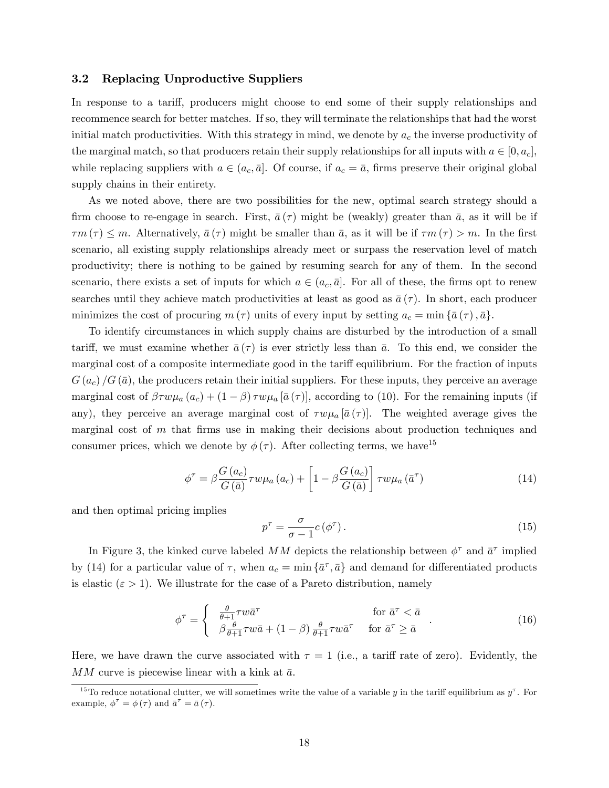### 3.2 Replacing Unproductive Suppliers

In response to a tariff, producers might choose to end some of their supply relationships and recommence search for better matches. If so, they will terminate the relationships that had the worst initial match productivities. With this strategy in mind, we denote by  $a_c$  the inverse productivity of the marginal match, so that producers retain their supply relationships for all inputs with  $a \in [0, a_c]$ , while replacing suppliers with  $a \in (a_c, \bar{a}]$ . Of course, if  $a_c = \bar{a}$ , firms preserve their original global supply chains in their entirety.

As we noted above, there are two possibilities for the new, optimal search strategy should a firm choose to re-engage in search. First,  $\bar{a}(\tau)$  might be (weakly) greater than  $\bar{a}$ , as it will be if  $\tau m (\tau) \leq m$ . Alternatively,  $\bar{a} (\tau)$  might be smaller than  $\bar{a}$ , as it will be if  $\tau m (\tau) > m$ . In the first scenario, all existing supply relationships already meet or surpass the reservation level of match productivity; there is nothing to be gained by resuming search for any of them. In the second scenario, there exists a set of inputs for which  $a \in (a_c, \bar{a}]$ . For all of these, the firms opt to renew searches until they achieve match productivities at least as good as  $\bar{a}(\tau)$ . In short, each producer minimizes the cost of procuring  $m(\tau)$  units of every input by setting  $a_c = \min\{\bar{a}(\tau), \bar{a}\}.$ 

To identify circumstances in which supply chains are disturbed by the introduction of a small tariff, we must examine whether  $\bar{a}(\tau)$  is ever strictly less than  $\bar{a}$ . To this end, we consider the marginal cost of a composite intermediate good in the tariff equilibrium. For the fraction of inputs  $G(a_c)/G(\bar{a})$ , the producers retain their initial suppliers. For these inputs, they perceive an average marginal cost of  $\beta \tau w \mu_a (a_c) + (1 - \beta) \tau w \mu_a [\bar{a} (\tau)]$ , according to (10). For the remaining inputs (if any), they perceive an average marginal cost of  $\tau w \mu_a \overline{a}(\tau)$ . The weighted average gives the marginal cost of  $m$  that firms use in making their decisions about production techniques and consumer prices, which we denote by  $\phi(\tau)$ . After collecting terms, we have<sup>15</sup>

$$
\phi^{\tau} = \beta \frac{G(a_c)}{G(\bar{a})} \tau w \mu_a(a_c) + \left[1 - \beta \frac{G(a_c)}{G(\bar{a})}\right] \tau w \mu_a(\bar{a}^{\tau}) \tag{14}
$$

and then optimal pricing implies

$$
p^{\tau} = \frac{\sigma}{\sigma - 1} c(\phi^{\tau}). \tag{15}
$$

In Figure 3, the kinked curve labeled MM depicts the relationship between  $\phi^{\tau}$  and  $\bar{a}^{\tau}$  implied by (14) for a particular value of  $\tau$ , when  $a_c = \min\{\bar{a}^{\tau}, \bar{a}\}\$  and demand for differentiated products is elastic  $(\varepsilon > 1)$ . We illustrate for the case of a Pareto distribution, namely

$$
\phi^{\tau} = \begin{cases} \frac{\theta}{\theta + 1} \tau w \bar{a}^{\tau} & \text{for } \bar{a}^{\tau} < \bar{a} \\ \beta \frac{\theta}{\theta + 1} \tau w \bar{a} + (1 - \beta) \frac{\theta}{\theta + 1} \tau w \bar{a}^{\tau} & \text{for } \bar{a}^{\tau} \ge \bar{a} \end{cases} (16)
$$

Here, we have drawn the curve associated with  $\tau = 1$  (i.e., a tariff rate of zero). Evidently, the  $MM$  curve is piecewise linear with a kink at  $\bar{a}$ .

<sup>&</sup>lt;sup>15</sup>To reduce notational clutter, we will sometimes write the value of a variable y in the tariff equilibrium as  $y^{\tau}$ . For example,  $\phi^{\tau} = \phi(\tau)$  and  $\bar{a}^{\tau} = \bar{a}(\tau)$ .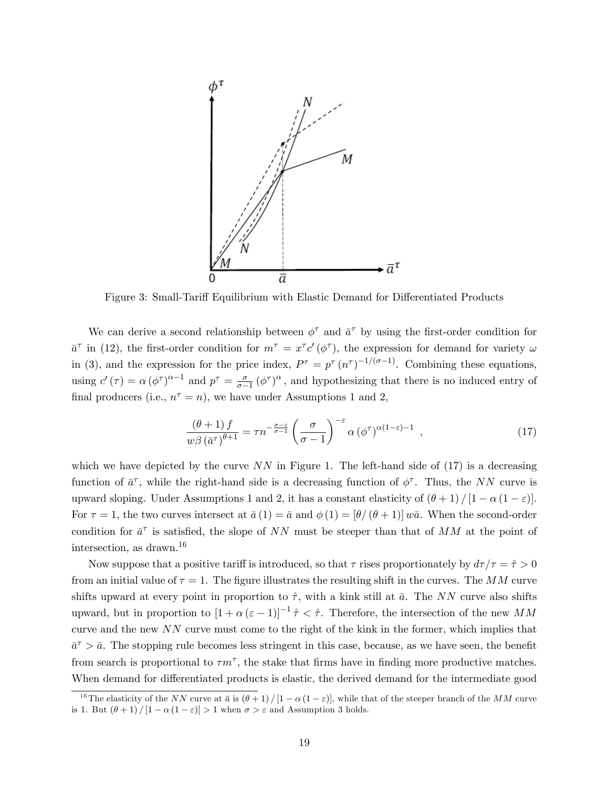

Figure 3: Small-Tariff Equilibrium with Elastic Demand for Differentiated Products

We can derive a second relationship between  $\phi^{\tau}$  and  $\bar{a}^{\tau}$  by using the first-order condition for  $\bar{a}^{\tau}$  in (12), the first-order condition for  $m^{\tau} = x^{\tau}c'(\phi^{\tau})$ , the expression for demand for variety  $\omega$ in (3), and the expression for the price index,  $P^{\tau} = p^{\tau} (n^{\tau})^{-1/(\sigma-1)}$ . Combining these equations, using  $c'(\tau) = \alpha (\phi^{\tau})^{\alpha-1}$  and  $p^{\tau} = \frac{\sigma}{\sigma - 1}$  $\frac{\sigma}{\sigma-1}$  ( $\phi^{\tau}$ )<sup> $\alpha$ </sup>, and hypothesizing that there is no induced entry of final producers (i.e.,  $n^{\tau} = n$ ), we have under Assumptions 1 and 2,

$$
\frac{(\theta+1)f}{w\beta(\bar{a}^{\tau})^{\theta+1}} = \tau n^{-\frac{\sigma-\varepsilon}{\sigma-1}} \left(\frac{\sigma}{\sigma-1}\right)^{-\varepsilon} \alpha (\phi^{\tau})^{\alpha(1-\varepsilon)-1} ,\qquad (17)
$$

which we have depicted by the curve  $NN$  in Figure 1. The left-hand side of (17) is a decreasing function of  $\bar{a}^{\tau}$ , while the right-hand side is a decreasing function of  $\phi^{\tau}$ . Thus, the NN curve is upward sloping. Under Assumptions 1 and 2, it has a constant elasticity of  $(\theta + 1)/[1 - \alpha(1 - \varepsilon)]$ . For  $\tau = 1$ , the two curves intersect at  $\bar{a}(1) = \bar{a}$  and  $\phi(1) = [\theta/(\theta+1)]w\bar{a}$ . When the second-order condition for  $\bar{a}^{\tau}$  is satisfied, the slope of NN must be steeper than that of MM at the point of intersection, as drawn.<sup>16</sup>

Now suppose that a positive tariff is introduced, so that  $\tau$  rises proportionately by  $d\tau/\tau = \hat{\tau} > 0$ from an initial value of  $\tau = 1$ . The figure illustrates the resulting shift in the curves. The MM curve shifts upward at every point in proportion to  $\hat{\tau}$ , with a kink still at  $\bar{a}$ . The NN curve also shifts upward, but in proportion to  $[1 + \alpha (\varepsilon - 1)]^{-1} \hat{\tau} < \hat{\tau}$ . Therefore, the intersection of the new MM curve and the new  $NN$  curve must come to the right of the kink in the former, which implies that  $\bar{a}^{\tau} > \bar{a}$ . The stopping rule becomes less stringent in this case, because, as we have seen, the benefit from search is proportional to  $\tau m^{\tau}$ , the stake that firms have in finding more productive matches. When demand for differentiated products is elastic, the derived demand for the intermediate good

<sup>&</sup>lt;sup>16</sup>The elasticity of the NN curve at  $\bar{a}$  is  $(\theta + 1) / [1 - \alpha (1 - \varepsilon)]$ , while that of the steeper branch of the MM curve is 1. But  $(\theta + 1) / [1 - \alpha (1 - \varepsilon)] > 1$  when  $\sigma > \varepsilon$  and Assumption 3 holds.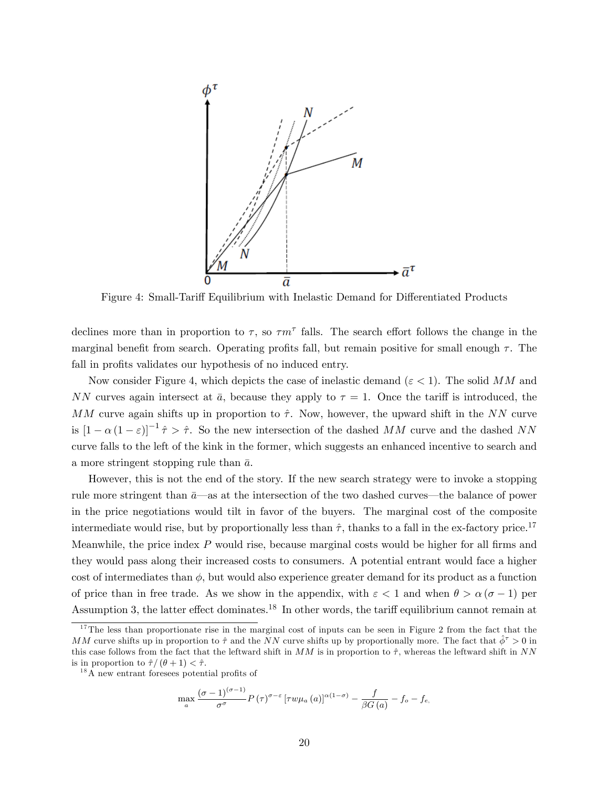

Figure 4: Small-Tariff Equilibrium with Inelastic Demand for Differentiated Products

declines more than in proportion to  $\tau$ , so  $\tau m^{\tau}$  falls. The search effort follows the change in the marginal benefit from search. Operating profits fall, but remain positive for small enough  $\tau$ . The fall in profits validates our hypothesis of no induced entry.

Now consider Figure 4, which depicts the case of inelastic demand ( $\varepsilon < 1$ ). The solid MM and NN curves again intersect at  $\bar{a}$ , because they apply to  $\tau = 1$ . Once the tariff is introduced, the MM curve again shifts up in proportion to  $\hat{\tau}$ . Now, however, the upward shift in the NN curve is  $[1 - \alpha (1 - \varepsilon)]^{-1} \hat{\tau} > \hat{\tau}$ . So the new intersection of the dashed MM curve and the dashed NN curve falls to the left of the kink in the former, which suggests an enhanced incentive to search and a more stringent stopping rule than  $\bar{a}$ .

However, this is not the end of the story. If the new search strategy were to invoke a stopping rule more stringent than  $\bar{a}$ —as at the intersection of the two dashed curves—the balance of power in the price negotiations would tilt in favor of the buyers. The marginal cost of the composite intermediate would rise, but by proportionally less than  $\hat{\tau}$ , thanks to a fall in the ex-factory price.<sup>17</sup> Meanwhile, the price index  $P$  would rise, because marginal costs would be higher for all firms and they would pass along their increased costs to consumers. A potential entrant would face a higher cost of intermediates than  $\phi$ , but would also experience greater demand for its product as a function of price than in free trade. As we show in the appendix, with  $\varepsilon < 1$  and when  $\theta > \alpha (\sigma - 1)$  per Assumption 3, the latter effect dominates.<sup>18</sup> In other words, the tariff equilibrium cannot remain at

$$
\max_{a} \frac{(\sigma-1)^{(\sigma-1)}}{\sigma^{\sigma}} P(\tau)^{\sigma-\varepsilon} \left[ \tau w \mu_a(a) \right]^{\alpha(1-\sigma)} - \frac{f}{\beta G(a)} - f_o - f_{e,}
$$

 $17$ The less than proportionate rise in the marginal cost of inputs can be seen in Figure 2 from the fact that the MM curve shifts up in proportion to  $\hat{\tau}$  and the NN curve shifts up by proportionally more. The fact that  $\hat{\phi}^{\tau} > 0$  in this case follows from the fact that the leftward shift in  $MM$  is in proportion to  $\hat{\tau}$ , whereas the leftward shift in NN is in proportion to  $\hat{\tau} / (\theta + 1) < \hat{\tau}$ .

 $18$ A new entrant foresees potential profits of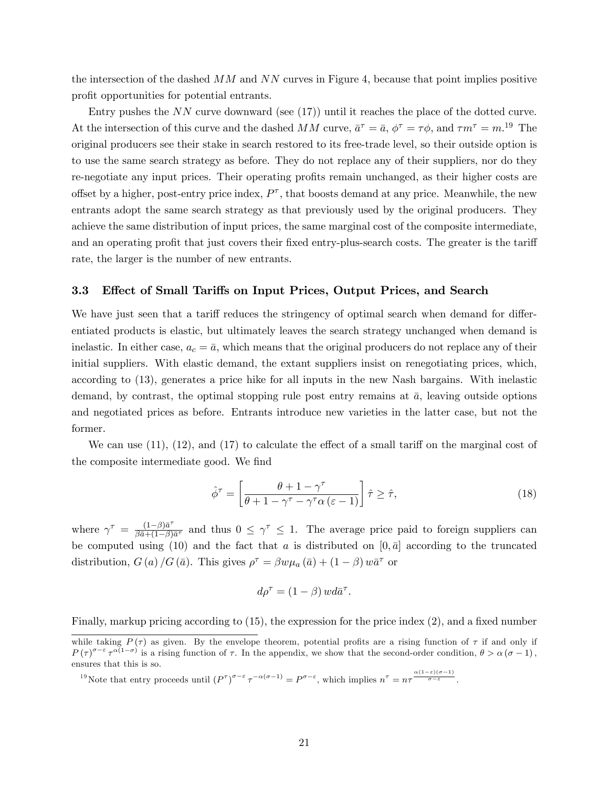the intersection of the dashed  $MM$  and  $NN$  curves in Figure 4, because that point implies positive profit opportunities for potential entrants.

Entry pushes the NN curve downward (see (17)) until it reaches the place of the dotted curve. At the intersection of this curve and the dashed MM curve,  $\bar{a}^{\tau} = \bar{a}$ ,  $\phi^{\tau} = \tau \phi$ , and  $\tau m^{\tau} = m$ .<sup>19</sup> The original producers see their stake in search restored to its free-trade level, so their outside option is to use the same search strategy as before. They do not replace any of their suppliers, nor do they re-negotiate any input prices. Their operating profits remain unchanged, as their higher costs are offset by a higher, post-entry price index,  $P^{\tau}$ , that boosts demand at any price. Meanwhile, the new entrants adopt the same search strategy as that previously used by the original producers. They achieve the same distribution of input prices, the same marginal cost of the composite intermediate, and an operating profit that just covers their fixed entry-plus-search costs. The greater is the tariff rate, the larger is the number of new entrants.

## 3.3 Effect of Small Tariffs on Input Prices, Output Prices, and Search

We have just seen that a tariff reduces the stringency of optimal search when demand for differentiated products is elastic, but ultimately leaves the search strategy unchanged when demand is inelastic. In either case,  $a_c = \bar{a}$ , which means that the original producers do not replace any of their initial suppliers. With elastic demand, the extant suppliers insist on renegotiating prices, which, according to (13), generates a price hike for all inputs in the new Nash bargains. With inelastic demand, by contrast, the optimal stopping rule post entry remains at  $\bar{a}$ , leaving outside options and negotiated prices as before. Entrants introduce new varieties in the latter case, but not the former.

We can use  $(11)$ ,  $(12)$ , and  $(17)$  to calculate the effect of a small tariff on the marginal cost of the composite intermediate good. We find

$$
\hat{\phi}^{\tau} = \left[\frac{\theta + 1 - \gamma^{\tau}}{\theta + 1 - \gamma^{\tau} - \gamma^{\tau}\alpha\left(\varepsilon - 1\right)}\right] \hat{\tau} \ge \hat{\tau},\tag{18}
$$

where  $\gamma^{\tau} = \frac{(1-\beta)\bar{a}^{\tau}}{\beta \bar{a} + (1-\beta)}$  $\frac{(1-\beta)\bar{a}'}{\beta\bar{a}+(1-\beta)\bar{a}'}$  and thus  $0 \leq \gamma^{\tau} \leq 1$ . The average price paid to foreign suppliers can be computed using (10) and the fact that a is distributed on  $[0, \bar{a}]$  according to the truncated distribution,  $G(a)/G(\bar{a})$ . This gives  $\rho^{\tau} = \beta w \mu_a(\bar{a}) + (1 - \beta) w \bar{a}^{\tau}$  or

$$
d\rho^{\tau} = (1 - \beta) w d\bar{a}^{\tau}.
$$

Finally, markup pricing according to  $(15)$ , the expression for the price index  $(2)$ , and a fixed number

while taking  $P(\tau)$  as given. By the envelope theorem, potential profits are a rising function of  $\tau$  if and only if  $P(\tau)^{\sigma-\varepsilon} \tau^{\alpha(1-\sigma)}$  is a rising function of  $\tau$ . In the appendix, we show that the second-order condition,  $\theta > \alpha(\sigma-1)$ , ensures that this is so.

<sup>&</sup>lt;sup>19</sup>Note that entry proceeds until  $(P^{\tau})^{\sigma-\varepsilon} \tau^{-\alpha(\sigma-1)} = P^{\sigma-\varepsilon}$ , which implies  $n^{\tau} = n\tau^{\frac{\alpha(1-\varepsilon)(\sigma-1)}{\sigma-\varepsilon}}$ .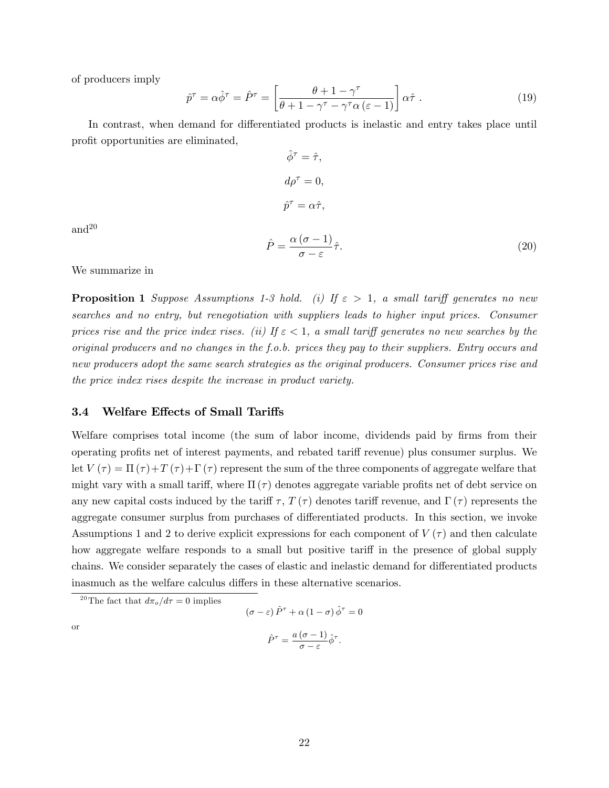of producers imply

$$
\hat{p}^{\tau} = \alpha \hat{\phi}^{\tau} = \hat{P}^{\tau} = \left[ \frac{\theta + 1 - \gamma^{\tau}}{\theta + 1 - \gamma^{\tau} - \gamma^{\tau} \alpha (\varepsilon - 1)} \right] \alpha \hat{\tau} . \tag{19}
$$

In contrast, when demand for differentiated products is inelastic and entry takes place until profit opportunities are eliminated,

$$
\hat{\phi}^{\tau} = \hat{\tau},
$$
  
\n
$$
d\rho^{\tau} = 0,
$$
  
\n
$$
\hat{p}^{\tau} = \alpha \hat{\tau},
$$
  
\n
$$
\hat{P} = \frac{\alpha (\sigma - 1)}{\sigma - \varepsilon} \hat{\tau}.
$$
\n(20)

and<sup>20</sup>

We summarize in

**Proposition 1** Suppose Assumptions 1-3 hold. (i) If  $\varepsilon > 1$ , a small tariff generates no new searches and no entry, but renegotiation with suppliers leads to higher input prices. Consumer prices rise and the price index rises. (ii) If  $\varepsilon < 1$ , a small tariff generates no new searches by the original producers and no changes in the f.o.b. prices they pay to their suppliers. Entry occurs and new producers adopt the same search strategies as the original producers. Consumer prices rise and the price index rises despite the increase in product variety.

#### 3.4 Welfare Effects of Small Tariffs

Welfare comprises total income (the sum of labor income, dividends paid by firms from their operating profits net of interest payments, and rebated tariff revenue) plus consumer surplus. We let  $V(\tau) = \Pi(\tau) + T(\tau) + \Gamma(\tau)$  represent the sum of the three components of aggregate welfare that might vary with a small tariff, where  $\Pi(\tau)$  denotes aggregate variable profits net of debt service on any new capital costs induced by the tariff  $\tau$ ,  $T(\tau)$  denotes tariff revenue, and  $\Gamma(\tau)$  represents the aggregate consumer surplus from purchases of differentiated products. In this section, we invoke Assumptions 1 and 2 to derive explicit expressions for each component of  $V(\tau)$  and then calculate how aggregate welfare responds to a small but positive tariff in the presence of global supply chains. We consider separately the cases of elastic and inelastic demand for differentiated products inasmuch as the welfare calculus differs in these alternative scenarios.

<sup>20</sup>The fact that  $d\pi_o/d\tau = 0$  implies

$$
(\sigma - \varepsilon) \hat{P}^{\tau} + \alpha (1 - \sigma) \hat{\phi}^{\tau} = 0
$$

$$
\hat{P}^{\tau} = \frac{a (\sigma - 1)}{\sigma - \varepsilon} \hat{\phi}^{\tau}.
$$

or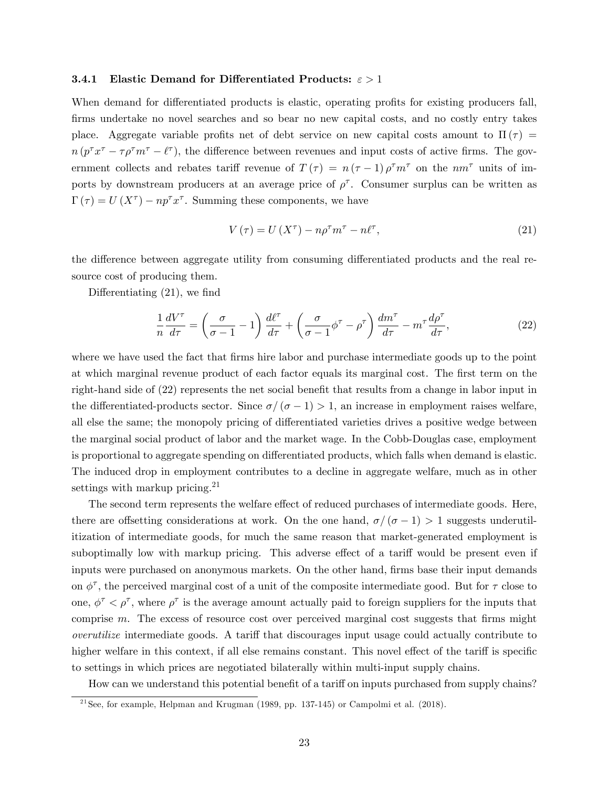#### **3.4.1** Elastic Demand for Differentiated Products:  $\epsilon > 1$

When demand for differentiated products is elastic, operating profits for existing producers fall, firms undertake no novel searches and so bear no new capital costs, and no costly entry takes place. Aggregate variable profits net of debt service on new capital costs amount to  $\Pi(\tau)$  $n (p^{\tau} x^{\tau} - \tau \rho^{\tau} m^{\tau} - \ell^{\tau}),$  the difference between revenues and input costs of active firms. The government collects and rebates tariff revenue of  $T(\tau) = n(\tau - 1) \rho^{\tau} m^{\tau}$  on the  $n m^{\tau}$  units of imports by downstream producers at an average price of  $\rho^{\tau}$ . Consumer surplus can be written as  $\Gamma(\tau) = U(X^{\tau}) - np^{\tau}x^{\tau}$ . Summing these components, we have

$$
V(\tau) = U(X^{\tau}) - n\rho^{\tau}m^{\tau} - n\ell^{\tau}, \qquad (21)
$$

the difference between aggregate utility from consuming differentiated products and the real resource cost of producing them.

Differentiating  $(21)$ , we find

$$
\frac{1}{n}\frac{dV^{\tau}}{d\tau} = \left(\frac{\sigma}{\sigma - 1} - 1\right)\frac{d\ell^{\tau}}{d\tau} + \left(\frac{\sigma}{\sigma - 1}\phi^{\tau} - \rho^{\tau}\right)\frac{dm^{\tau}}{d\tau} - m^{\tau}\frac{d\rho^{\tau}}{d\tau},\tag{22}
$$

where we have used the fact that firms hire labor and purchase intermediate goods up to the point at which marginal revenue product of each factor equals its marginal cost. The first term on the right-hand side of  $(22)$  represents the net social benefit that results from a change in labor input in the differentiated-products sector. Since  $\sigma/(\sigma-1) > 1$ , an increase in employment raises welfare, all else the same; the monopoly pricing of differentiated varieties drives a positive wedge between the marginal social product of labor and the market wage. In the Cobb-Douglas case, employment is proportional to aggregate spending on differentiated products, which falls when demand is elastic. The induced drop in employment contributes to a decline in aggregate welfare, much as in other settings with markup pricing. $21$ 

The second term represents the welfare effect of reduced purchases of intermediate goods. Here, there are offsetting considerations at work. On the one hand,  $\sigma/(\sigma-1) > 1$  suggests underutilitization of intermediate goods, for much the same reason that market-generated employment is suboptimally low with markup pricing. This adverse effect of a tariff would be present even if inputs were purchased on anonymous markets. On the other hand, firms base their input demands on  $\phi^{\tau}$ , the perceived marginal cost of a unit of the composite intermediate good. But for  $\tau$  close to one,  $\phi^{\tau} < \rho^{\tau}$ , where  $\rho^{\tau}$  is the average amount actually paid to foreign suppliers for the inputs that comprise  $m$ . The excess of resource cost over perceived marginal cost suggests that firms might overutilize intermediate goods. A tariff that discourages input usage could actually contribute to higher welfare in this context, if all else remains constant. This novel effect of the tariff is specific to settings in which prices are negotiated bilaterally within multi-input supply chains.

How can we understand this potential benefit of a tariff on inputs purchased from supply chains?

<sup>&</sup>lt;sup>21</sup>See, for example, Helpman and Krugman (1989, pp. 137-145) or Campolmi et al. (2018).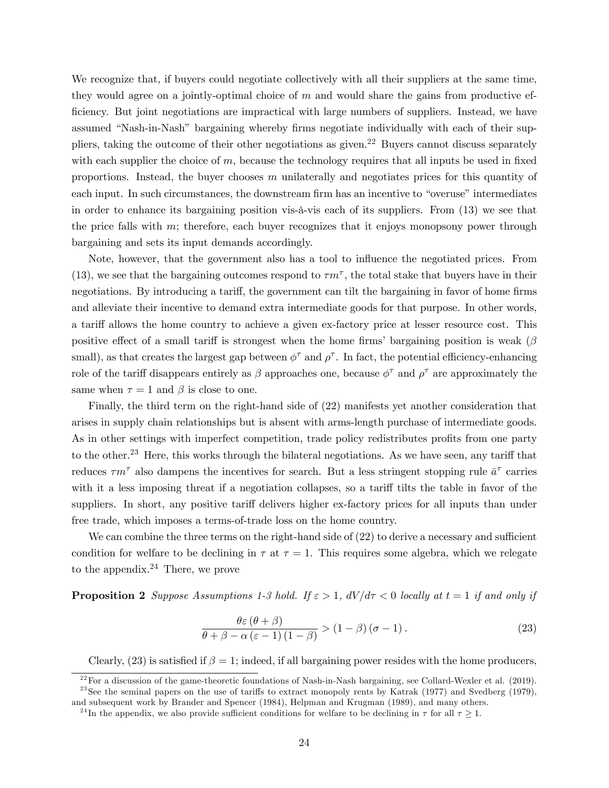We recognize that, if buyers could negotiate collectively with all their suppliers at the same time, they would agree on a jointly-optimal choice of  $m$  and would share the gains from productive efficiency. But joint negotiations are impractical with large numbers of suppliers. Instead, we have assumed "Nash-in-Nash" bargaining whereby firms negotiate individually with each of their suppliers, taking the outcome of their other negotiations as given.<sup>22</sup> Buyers cannot discuss separately with each supplier the choice of  $m$ , because the technology requires that all inputs be used in fixed proportions. Instead, the buyer chooses  $m$  unilaterally and negotiates prices for this quantity of each input. In such circumstances, the downstream firm has an incentive to "overuse" intermediates in order to enhance its bargaining position vis- $\alpha$ -vis each of its suppliers. From (13) we see that the price falls with  $m$ ; therefore, each buyer recognizes that it enjoys monopsony power through bargaining and sets its input demands accordingly.

Note, however, that the government also has a tool to influence the negotiated prices. From (13), we see that the bargaining outcomes respond to  $\tau m^{\tau}$ , the total stake that buyers have in their negotiations. By introducing a tariff, the government can tilt the bargaining in favor of home firms and alleviate their incentive to demand extra intermediate goods for that purpose. In other words, a tariff allows the home country to achieve a given ex-factory price at lesser resource cost. This positive effect of a small tariff is strongest when the home firms' bargaining position is weak ( $\beta$ ) small), as that creates the largest gap between  $\phi^{\tau}$  and  $\rho^{\tau}$ . In fact, the potential efficiency-enhancing role of the tariff disappears entirely as  $\beta$  approaches one, because  $\phi^{\tau}$  and  $\rho^{\tau}$  are approximately the same when  $\tau = 1$  and  $\beta$  is close to one.

Finally, the third term on the right-hand side of (22) manifests yet another consideration that arises in supply chain relationships but is absent with arms-length purchase of intermediate goods. As in other settings with imperfect competition, trade policy redistributes profits from one party to the other.<sup>23</sup> Here, this works through the bilateral negotiations. As we have seen, any tariff that reduces  $\tau m^{\tau}$  also dampens the incentives for search. But a less stringent stopping rule  $\bar{a}^{\tau}$  carries with it a less imposing threat if a negotiation collapses, so a tariff tilts the table in favor of the suppliers. In short, any positive tariff delivers higher ex-factory prices for all inputs than under free trade, which imposes a terms-of-trade loss on the home country.

We can combine the three terms on the right-hand side of  $(22)$  to derive a necessary and sufficient condition for welfare to be declining in  $\tau$  at  $\tau = 1$ . This requires some algebra, which we relegate to the appendix. $24$  There, we prove

**Proposition 2** Suppose Assumptions 1-3 hold. If  $\varepsilon > 1$ ,  $dV/d\tau < 0$  locally at  $t = 1$  if and only if

$$
\frac{\theta \varepsilon (\theta + \beta)}{\theta + \beta - \alpha (\varepsilon - 1) (1 - \beta)} > (1 - \beta) (\sigma - 1).
$$
 (23)

Clearly, (23) is satisfied if  $\beta = 1$ ; indeed, if all bargaining power resides with the home producers,

 $^{22}$ For a discussion of the game-theoretic foundations of Nash-in-Nash bargaining, see Collard-Wexler et al. (2019). <sup>23</sup>See the seminal papers on the use of tariffs to extract monopoly rents by Katrak (1977) and Svedberg (1979), and subsequent work by Brander and Spencer (1984), Helpman and Krugman (1989), and many others.

<sup>&</sup>lt;sup>24</sup>In the appendix, we also provide sufficient conditions for welfare to be declining in  $\tau$  for all  $\tau \geq 1$ .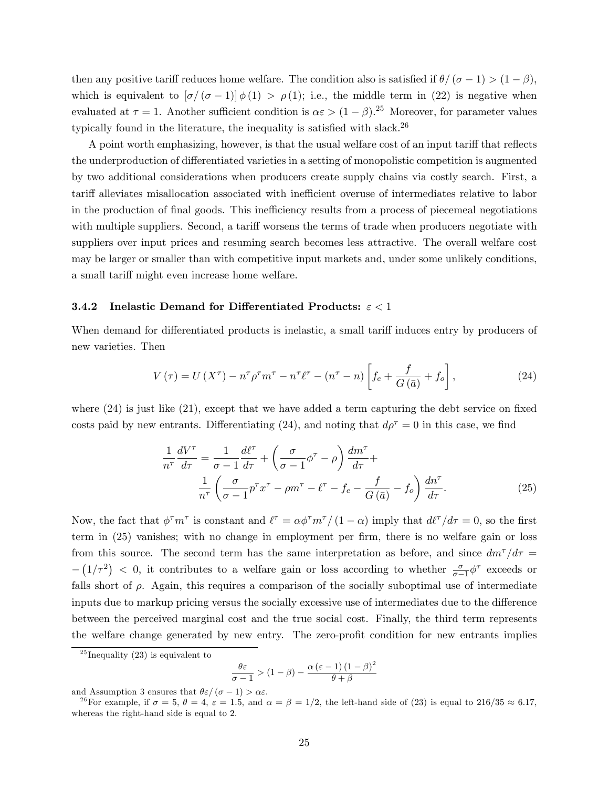then any positive tariff reduces home welfare. The condition also is satisfied if  $\theta/(\sigma-1) > (1-\beta)$ , which is equivalent to  $[\sigma/(\sigma-1)] \phi(1) > \rho(1)$ ; i.e., the middle term in (22) is negative when evaluated at  $\tau = 1$ . Another sufficient condition is  $\alpha \varepsilon > (1 - \beta)$ .<sup>25</sup> Moreover, for parameter values typically found in the literature, the inequality is satisfied with slack.<sup>26</sup>

A point worth emphasizing, however, is that the usual welfare cost of an input tariff that reflects the underproduction of differentiated varieties in a setting of monopolistic competition is augmented by two additional considerations when producers create supply chains via costly search. First, a tariff alleviates misallocation associated with inefficient overuse of intermediates relative to labor in the production of final goods. This inefficiency results from a process of piecemeal negotiations with multiple suppliers. Second, a tariff worsens the terms of trade when producers negotiate with suppliers over input prices and resuming search becomes less attractive. The overall welfare cost may be larger or smaller than with competitive input markets and, under some unlikely conditions, a small tariff might even increase home welfare.

## 3.4.2 Inelastic Demand for Differentiated Products:  $\epsilon < 1$

When demand for differentiated products is inelastic, a small tariff induces entry by producers of new varieties. Then

$$
V\left(\tau\right) = U\left(X^{\tau}\right) - n^{\tau}\rho^{\tau}m^{\tau} - n^{\tau}\ell^{\tau} - \left(n^{\tau} - n\right)\left[f_e + \frac{f}{G\left(\bar{a}\right)} + f_o\right],\tag{24}
$$

where  $(24)$  is just like  $(21)$ , except that we have added a term capturing the debt service on fixed costs paid by new entrants. Differentiating (24), and noting that  $d\rho^{\tau} = 0$  in this case, we find

$$
\frac{1}{n^{\tau}} \frac{dV^{\tau}}{d\tau} = \frac{1}{\sigma - 1} \frac{d\ell^{\tau}}{d\tau} + \left(\frac{\sigma}{\sigma - 1} \phi^{\tau} - \rho\right) \frac{dm^{\tau}}{d\tau} + \frac{1}{n^{\tau}} \left(\frac{\sigma}{\sigma - 1} p^{\tau} x^{\tau} - \rho m^{\tau} - \ell^{\tau} - f_e - \frac{f}{G(\bar{a})} - f_o\right) \frac{dn^{\tau}}{d\tau}.
$$
\n(25)

Now, the fact that  $\phi^{\tau}m^{\tau}$  is constant and  $\ell^{\tau} = \alpha \phi^{\tau}m^{\tau}/(1-\alpha)$  imply that  $d\ell^{\tau}/d\tau = 0$ , so the first term in (25) vanishes; with no change in employment per firm, there is no welfare gain or loss from this source. The second term has the same interpretation as before, and since  $dm<sup>\tau</sup>/d\tau =$  $- (1/\tau^2) < 0$ , it contributes to a welfare gain or loss according to whether  $\frac{\sigma}{\sigma-1} \phi^{\tau}$  exceeds or falls short of  $\rho$ . Again, this requires a comparison of the socially suboptimal use of intermediate inputs due to markup pricing versus the socially excessive use of intermediates due to the difference between the perceived marginal cost and the true social cost. Finally, the third term represents the welfare change generated by new entry. The zero-profit condition for new entrants implies

$$
\frac{\theta \varepsilon}{\sigma - 1} > (1 - \beta) - \frac{\alpha (\varepsilon - 1) (1 - \beta)^2}{\theta + \beta}
$$

and Assumption 3 ensures that  $\theta \varepsilon / (\sigma - 1) > \alpha \varepsilon$ .

<sup>&</sup>lt;sup>25</sup> Inequality (23) is equivalent to

<sup>&</sup>lt;sup>26</sup> For example, if  $\sigma = 5$ ,  $\theta = 4$ ,  $\varepsilon = 1.5$ , and  $\alpha = \beta = 1/2$ , the left-hand side of (23) is equal to 216/35  $\approx 6.17$ , whereas the right-hand side is equal to 2.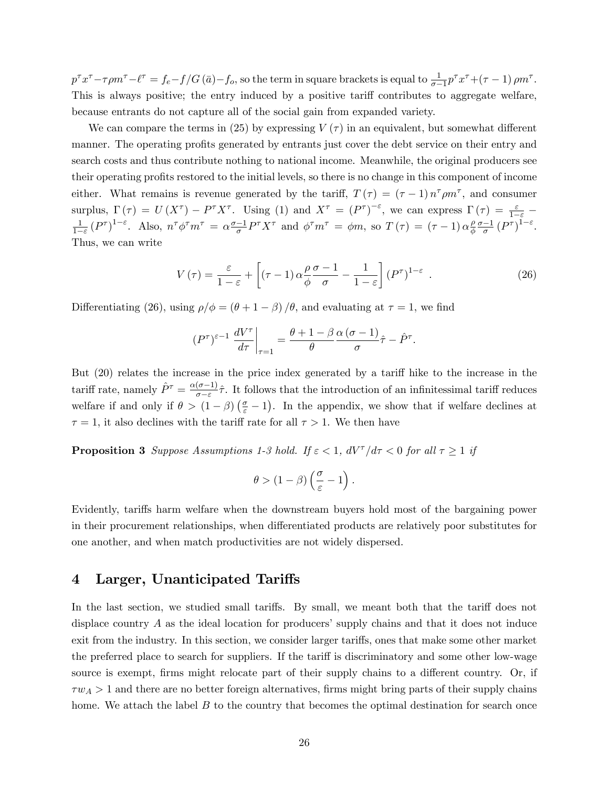$p^{\tau}x^{\tau} - \tau\rho m^{\tau} - \ell^{\tau} = f_e - f/G(\bar{a}) - f_o$ , so the term in square brackets is equal to  $\frac{1}{\sigma - 1}p^{\tau}x^{\tau} + (\tau - 1)\rho m^{\tau}$ . This is always positive; the entry induced by a positive tariff contributes to aggregate welfare, because entrants do not capture all of the social gain from expanded variety.

We can compare the terms in (25) by expressing  $V(\tau)$  in an equivalent, but somewhat different manner. The operating profits generated by entrants just cover the debt service on their entry and search costs and thus contribute nothing to national income. Meanwhile, the original producers see their operating profits restored to the initial levels, so there is no change in this component of income either. What remains is revenue generated by the tariff,  $T(\tau) = (\tau - 1) n^{\tau} \rho m^{\tau}$ , and consumer surplus,  $\Gamma(\tau) = U(X^{\tau}) - P^{\tau} X^{\tau}$ . Using (1) and  $X^{\tau} = (P^{\tau})^{-\varepsilon}$ , we can express  $\Gamma(\tau) = \frac{\varepsilon}{1-\varepsilon} - \frac{1}{(P^{\tau})^{1-\varepsilon}}$ . Also  $T^{\tau} \wedge T^{\tau} = \gamma \sigma^{-1} P^{\tau} X^{\tau}$  and  $\gamma^{T} \wedge T^{\tau} = \gamma P^{\tau} (T) = (\tau - 1) \gamma P^{\tau} \frac{\sigma - 1}{(P$  $\frac{1}{1-\varepsilon}(P^{\tau})^{1-\varepsilon}$ . Also,  $n^{\tau}\phi^{\tau}m^{\tau} = \alpha \frac{\sigma-1}{\sigma}P^{\tau}X^{\tau}$  and  $\phi^{\tau}m^{\tau} = \phi m$ , so  $T(\tau) = (\tau - 1)\alpha \frac{\rho}{\phi}$  $\frac{\rho}{\phi} \frac{\sigma - 1}{\sigma} (P^{\tau})^{1-\varepsilon}.$ Thus, we can write

$$
V\left(\tau\right) = \frac{\varepsilon}{1-\varepsilon} + \left[ \left(\tau - 1\right) \alpha \frac{\rho}{\phi} \frac{\sigma - 1}{\sigma} - \frac{1}{1-\varepsilon} \right] \left(P^{\tau}\right)^{1-\varepsilon} . \tag{26}
$$

Differentiating (26), using  $\rho/\phi = (\theta + 1 - \beta)/\theta$ , and evaluating at  $\tau = 1$ , we find

$$
(P^{\tau})^{\varepsilon-1} \left. \frac{dV^{\tau}}{d\tau} \right|_{\tau=1} = \frac{\theta + 1 - \beta}{\theta} \frac{\alpha (\sigma - 1)}{\sigma} \hat{\tau} - \hat{P}^{\tau}.
$$

But (20) relates the increase in the price index generated by a tariff hike to the increase in the tariff rate, namely  $\hat{P}^{\tau} = \frac{\alpha(\sigma - 1)}{\sigma - \varepsilon}$  $\frac{(\sigma-1)}{\sigma-\varepsilon}\hat{\tau}$ . It follows that the introduction of an infinitessimal tariff reduces welfare if and only if  $\theta > (1 - \beta) \left( \frac{\sigma}{\varepsilon} - 1 \right)$ . In the appendix, we show that if welfare declines at  $\tau = 1$ , it also declines with the tariff rate for all  $\tau > 1$ . We then have

**Proposition 3** Suppose Assumptions 1-3 hold. If  $\varepsilon < 1$ ,  $dV^{\tau}/d\tau < 0$  for all  $\tau \ge 1$  if

$$
\theta > (1 - \beta) \left( \frac{\sigma}{\varepsilon} - 1 \right).
$$

Evidently, tariffs harm welfare when the downstream buyers hold most of the bargaining power in their procurement relationships, when differentiated products are relatively poor substitutes for one another, and when match productivities are not widely dispersed.

## 4 Larger, Unanticipated Tariffs

In the last section, we studied small tariffs. By small, we meant both that the tariff does not displace country  $A$  as the ideal location for producers' supply chains and that it does not induce exit from the industry. In this section, we consider larger tariffs, ones that make some other market the preferred place to search for suppliers. If the tariff is discriminatory and some other low-wage source is exempt, firms might relocate part of their supply chains to a different country. Or, if  $\tau w_A > 1$  and there are no better foreign alternatives, firms might bring parts of their supply chains home. We attach the label  $B$  to the country that becomes the optimal destination for search once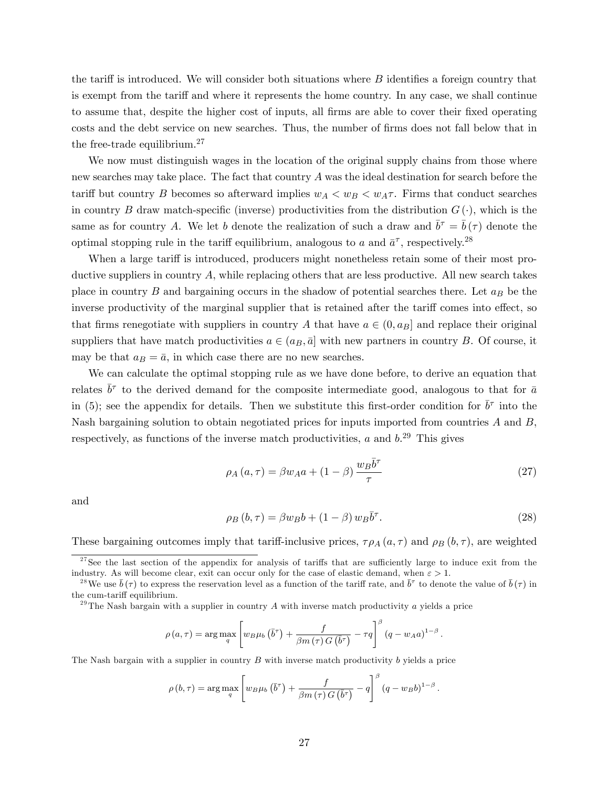the tariff is introduced. We will consider both situations where  $B$  identifies a foreign country that is exempt from the tariff and where it represents the home country. In any case, we shall continue to assume that, despite the higher cost of inputs, all firms are able to cover their fixed operating costs and the debt service on new searches. Thus, the number of firms does not fall below that in the free-trade equilibrium.<sup>27</sup>

We now must distinguish wages in the location of the original supply chains from those where new searches may take place. The fact that country A was the ideal destination for search before the tariff but country B becomes so afterward implies  $w_A < w_B < w_A \tau$ . Firms that conduct searches in country B draw match-specific (inverse) productivities from the distribution  $G(\cdot)$ , which is the same as for country A. We let b denote the realization of such a draw and  $\bar{b}^{\tau} = \bar{b}(\tau)$  denote the optimal stopping rule in the tariff equilibrium, analogous to a and  $\bar{a}^{\tau}$ , respectively.<sup>28</sup>

When a large tariff is introduced, producers might nonetheless retain some of their most productive suppliers in country  $A$ , while replacing others that are less productive. All new search takes place in country  $B$  and bargaining occurs in the shadow of potential searches there. Let  $a_B$  be the inverse productivity of the marginal supplier that is retained after the tariff comes into effect, so that firms renegotiate with suppliers in country A that have  $a \in (0, a_B]$  and replace their original suppliers that have match productivities  $a \in (a_B, \bar{a}]$  with new partners in country B. Of course, it may be that  $a_B = \bar{a}$ , in which case there are no new searches.

We can calculate the optimal stopping rule as we have done before, to derive an equation that relates  $\bar{b}^{\tau}$  to the derived demand for the composite intermediate good, analogous to that for  $\bar{a}$ in (5); see the appendix for details. Then we substitute this first-order condition for  $\bar{b}^{\tau}$  into the Nash bargaining solution to obtain negotiated prices for inputs imported from countries A and B, respectively, as functions of the inverse match productivities,  $a$  and  $b$ <sup>29</sup> This gives

$$
\rho_A(a,\tau) = \beta w_A a + (1-\beta) \frac{w_B \bar{b}^\tau}{\tau}
$$
\n(27)

and

$$
\rho_B(b,\tau) = \beta w_B b + (1-\beta) w_B \overline{b}^\tau. \tag{28}
$$

.

These bargaining outcomes imply that tariff-inclusive prices,  $\tau \rho_A(a, \tau)$  and  $\rho_B(b, \tau)$ , are weighted

<sup>29</sup>The Nash bargain with a supplier in country A with inverse match productivity a yields a price

$$
\rho(a,\tau) = \arg\max_{q} \left[ w_B \mu_b \left( \overline{b}^{\tau} \right) + \frac{f}{\beta m \left( \tau \right) G \left( \overline{b}^{\tau} \right)} - \tau q \right]^{\beta} \left( q - w_A a \right)^{1-\beta}.
$$

The Nash bargain with a supplier in country  $B$  with inverse match productivity  $b$  yields a price

$$
\rho(b,\tau) = \arg \max_{q} \left[ w_B \mu_b \left( \bar{b}^{\tau} \right) + \frac{f}{\beta m \left( \tau \right) G \left( \bar{b}^{\tau} \right)} - q \right]^{\beta} \left( q - w_B b \right)^{1-\beta}
$$

 $27$ See the last section of the appendix for analysis of tariffs that are sufficiently large to induce exit from the industry. As will become clear, exit can occur only for the case of elastic demand, when  $\varepsilon > 1$ .

<sup>&</sup>lt;sup>28</sup>We use  $\bar{b}(\tau)$  to express the reservation level as a function of the tariff rate, and  $\bar{b}^{\tau}$  to denote the value of  $\bar{b}(\tau)$  in the cum-tariff equilibrium.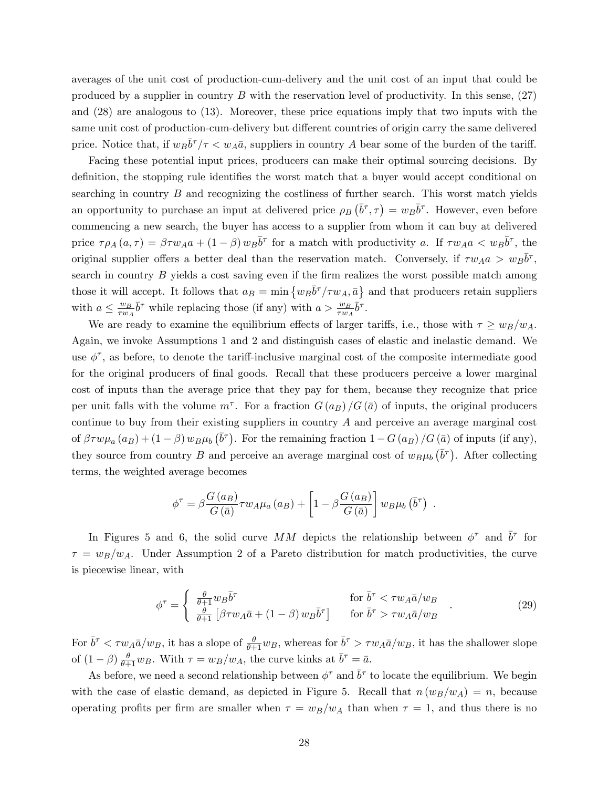averages of the unit cost of production-cum-delivery and the unit cost of an input that could be produced by a supplier in country  $B$  with the reservation level of productivity. In this sense,  $(27)$ and (28) are analogous to (13). Moreover, these price equations imply that two inputs with the same unit cost of production-cum-delivery but different countries of origin carry the same delivered price. Notice that, if  $w_B\bar{b}^\tau/\tau < w_A\bar{a}$ , suppliers in country A bear some of the burden of the tariff.

Facing these potential input prices, producers can make their optimal sourcing decisions. By definition, the stopping rule identifies the worst match that a buyer would accept conditional on searching in country  $B$  and recognizing the costliness of further search. This worst match yields an opportunity to purchase an input at delivered price  $\rho_B(\bar{b}^{\tau}, \tau) = w_B \bar{b}^{\tau}$ . However, even before commencing a new search, the buyer has access to a supplier from whom it can buy at delivered price  $\tau \rho_A(a, \tau) = \beta \tau w_A a + (1 - \beta) w_B \overline{b}^{\tau}$  for a match with productivity a. If  $\tau w_A a < w_B \overline{b}^{\tau}$ , the original supplier offers a better deal than the reservation match. Conversely, if  $\tau w_A a > w_B \bar{b}^{\tau}$ , search in country  $B$  yields a cost saving even if the firm realizes the worst possible match among those it will accept. It follows that  $a_B = \min \{ w_B \overline{b}^\tau / \tau w_A, \overline{a} \}$  and that producers retain suppliers with  $a \leq \frac{w_B}{\tau w_A}$  $\frac{w_B}{\tau w_A} \bar{b}^\tau$  while replacing those (if any) with  $a > \frac{w_B}{\tau w_A} \bar{b}^\tau$ .

We are ready to examine the equilibrium effects of larger tariffs, i.e., those with  $\tau \geq w_B/w_A$ . Again, we invoke Assumptions 1 and 2 and distinguish cases of elastic and inelastic demand. We use  $\phi^{\tau}$ , as before, to denote the tariff-inclusive marginal cost of the composite intermediate good for the original producers of final goods. Recall that these producers perceive a lower marginal cost of inputs than the average price that they pay for them, because they recognize that price per unit falls with the volume  $m^{\tau}$ . For a fraction  $G(a_B)/G(\bar{a})$  of inputs, the original producers continue to buy from their existing suppliers in country A and perceive an average marginal cost of  $\beta \tau w \mu_a(a_B) + (1 - \beta) w_B \mu_b(\bar{b}^{\tau})$ . For the remaining fraction  $1 - G(a_B)/G(\bar{a})$  of inputs (if any), they source from country B and perceive an average marginal cost of  $w_B\mu_b(\bar{b}^{\tau})$ . After collecting terms, the weighted average becomes

$$
\phi^{\tau} = \beta \frac{G\left(a_{B}\right)}{G\left(\bar{a}\right)} \tau w_{A}\mu_{a}\left(a_{B}\right) + \left[1 - \beta \frac{G\left(a_{B}\right)}{G\left(\bar{a}\right)}\right]w_{B}\mu_{b}\left(\bar{b}^{\tau}\right) .
$$

In Figures 5 and 6, the solid curve MM depicts the relationship between  $\phi^{\tau}$  and  $\bar{b}^{\tau}$  for  $\tau = w_B/w_A$ . Under Assumption 2 of a Pareto distribution for match productivities, the curve is piecewise linear, with

$$
\phi^{\tau} = \begin{cases} \frac{\theta}{\theta + 1} w_B \bar{b}^{\tau} & \text{for } \bar{b}^{\tau} < \tau w_A \bar{a}/w_B\\ \frac{\theta}{\theta + 1} \left[ \beta \tau w_A \bar{a} + (1 - \beta) w_B \bar{b}^{\tau} \right] & \text{for } \bar{b}^{\tau} > \tau w_A \bar{a}/w_B \end{cases}
$$
(29)

For  $\bar{b}^{\tau} < \tau w_A \bar{a}/w_B$ , it has a slope of  $\frac{\theta}{\theta+1} w_B$ , whereas for  $\bar{b}^{\tau} > \tau w_A \bar{a}/w_B$ , it has the shallower slope of  $(1 - \beta) \frac{\theta}{\theta + 1} w_B$ . With  $\tau = w_B/w_A$ , the curve kinks at  $\bar{b}^{\tau} = \bar{a}$ .

As before, we need a second relationship between  $\phi^{\tau}$  and  $\bar{b}^{\tau}$  to locate the equilibrium. We begin with the case of elastic demand, as depicted in Figure 5. Recall that  $n(w_B/w_A) = n$ , because operating profits per firm are smaller when  $\tau = w_B/w_A$  than when  $\tau = 1$ , and thus there is no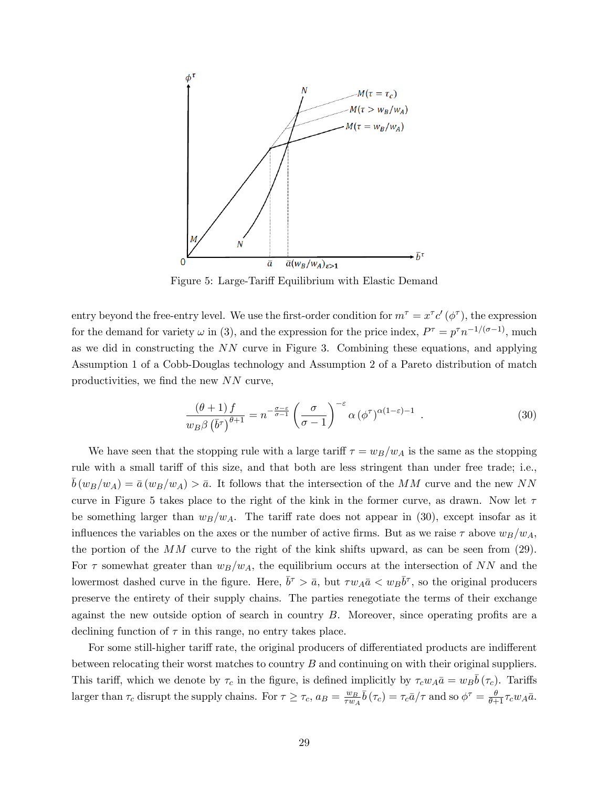

Figure 5: Large-Tariff Equilibrium with Elastic Demand

entry beyond the free-entry level. We use the first-order condition for  $m^{\tau} = x^{\tau} c' (\phi^{\tau})$ , the expression for the demand for variety  $\omega$  in (3), and the expression for the price index,  $P^{\tau} = p^{\tau} n^{-1/(\sigma-1)}$ , much as we did in constructing the NN curve in Figure 3. Combining these equations, and applying Assumption 1 of a Cobb-Douglas technology and Assumption 2 of a Pareto distribution of match productivities, we find the new  $NN$  curve,

$$
\frac{(\theta+1)f}{w_B\beta(\bar{b}^\tau)^{\theta+1}} = n^{-\frac{\sigma-\varepsilon}{\sigma-1}} \left(\frac{\sigma}{\sigma-1}\right)^{-\varepsilon} \alpha (\phi^\tau)^{\alpha(1-\varepsilon)-1} . \tag{30}
$$

We have seen that the stopping rule with a large tariff  $\tau = w_B/w_A$  is the same as the stopping rule with a small tariff of this size, and that both are less stringent than under free trade; i.e.,  $\bar{b}(w_B/w_A) = \bar{a}(w_B/w_A) > \bar{a}$ . It follows that the intersection of the MM curve and the new NN curve in Figure 5 takes place to the right of the kink in the former curve, as drawn. Now let  $\tau$ be something larger than  $w_B/w_A$ . The tariff rate does not appear in (30), except insofar as it influences the variables on the axes or the number of active firms. But as we raise  $\tau$  above  $w_B/w_A$ , the portion of the  $MM$  curve to the right of the kink shifts upward, as can be seen from (29). For  $\tau$  somewhat greater than  $w_B/w_A$ , the equilibrium occurs at the intersection of NN and the lowermost dashed curve in the figure. Here,  $\bar{b}^{\tau} > \bar{a}$ , but  $\tau w_A \bar{a} < w_B \bar{b}^{\tau}$ , so the original producers preserve the entirety of their supply chains. The parties renegotiate the terms of their exchange against the new outside option of search in country  $B$ . Moreover, since operating profits are a declining function of  $\tau$  in this range, no entry takes place.

For some still-higher tariff rate, the original producers of differentiated products are indifferent between relocating their worst matches to country  $B$  and continuing on with their original suppliers. This tariff, which we denote by  $\tau_c$  in the figure, is defined implicitly by  $\tau_c w_A \bar{a} = w_B \bar{b}(\tau_c)$ . Tariffs larger than  $\tau_c$  disrupt the supply chains. For  $\tau \ge \tau_c$ ,  $a_B = \frac{w_B}{\tau w_A}$  $\frac{w_B}{\tau w_A} \bar{b}(\tau_c) = \tau_c \bar{a}/\tau$  and so  $\phi^{\tau} = \frac{\theta}{\theta + 1} \tau_c w_A \bar{a}$ .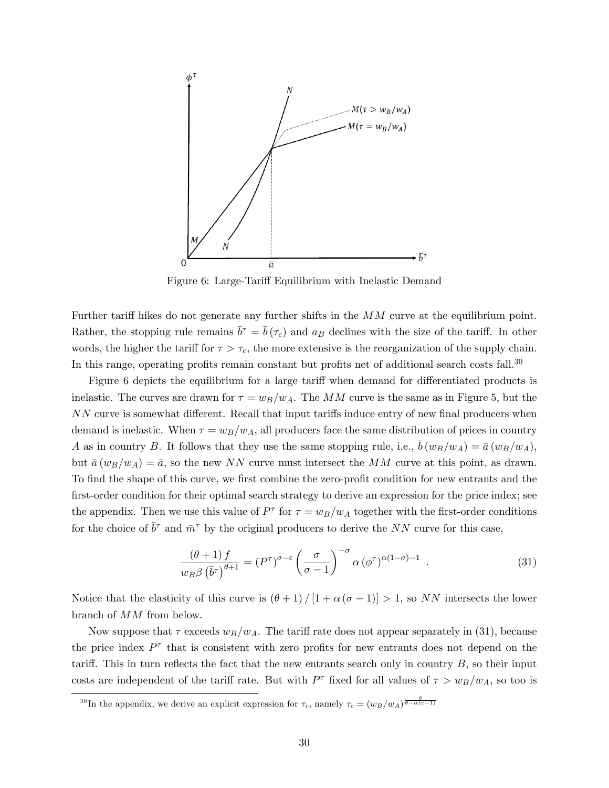

Figure 6: Large-Tariff Equilibrium with Inelastic Demand

Further tariff hikes do not generate any further shifts in the  $MM$  curve at the equilibrium point. Rather, the stopping rule remains  $\bar{b}^{\tau} = \bar{b}(\tau_c)$  and  $a_B$  declines with the size of the tariff. In other words, the higher the tariff for  $\tau > \tau_c$ , the more extensive is the reorganization of the supply chain. In this range, operating profits remain constant but profits net of additional search costs fall.<sup>30</sup>

Figure 6 depicts the equilibrium for a large tariff when demand for differentiated products is inelastic. The curves are drawn for  $\tau = w_B/w_A$ . The MM curve is the same as in Figure 5, but the  $NN$  curve is somewhat different. Recall that input tariffs induce entry of new final producers when demand is inelastic. When  $\tau = w_B/w_A$ , all producers face the same distribution of prices in country A as in country B. It follows that they use the same stopping rule, i.e.,  $\bar{b}(w_B/w_A) = \bar{a}(w_B/w_A)$ , but  $\bar{a}(w_B/w_A) = \bar{a}$ , so the new NN curve must intersect the MM curve at this point, as drawn. To find the shape of this curve, we first combine the zero-profit condition for new entrants and the first-order condition for their optimal search strategy to derive an expression for the price index; see the appendix. Then we use this value of  $P^{\tau}$  for  $\tau = w_B/w_A$  together with the first-order conditions for the choice of  $\bar{b}^{\tau}$  and  $\bar{m}^{\tau}$  by the original producers to derive the NN curve for this case,

$$
\frac{(\theta+1)f}{w_B \beta \left(\bar{b}^\tau\right)^{\theta+1}} = (P^\tau)^{\sigma-\varepsilon} \left(\frac{\sigma}{\sigma-1}\right)^{-\sigma} \alpha \left(\phi^\tau\right)^{\alpha(1-\sigma)-1} . \tag{31}
$$

Notice that the elasticity of this curve is  $(\theta + 1) / [1 + \alpha (\sigma - 1)] > 1$ , so NN intersects the lower branch of MM from below.

Now suppose that  $\tau$  exceeds  $w_B/w_A$ . The tariff rate does not appear separately in (31), because the price index  $P^{\tau}$  that is consistent with zero profits for new entrants does not depend on the tariff. This in turn reflects the fact that the new entrants search only in country  $B$ , so their input costs are independent of the tariff rate. But with  $P^{\tau}$  fixed for all values of  $\tau > w_B/w_A$ , so too is

<sup>&</sup>lt;sup>30</sup>In the appendix, we derive an explicit expression for  $\tau_c$ , namely  $\tau_c = (w_B/w_A)^{\frac{\theta}{\theta - \alpha(\varepsilon - 1)}}$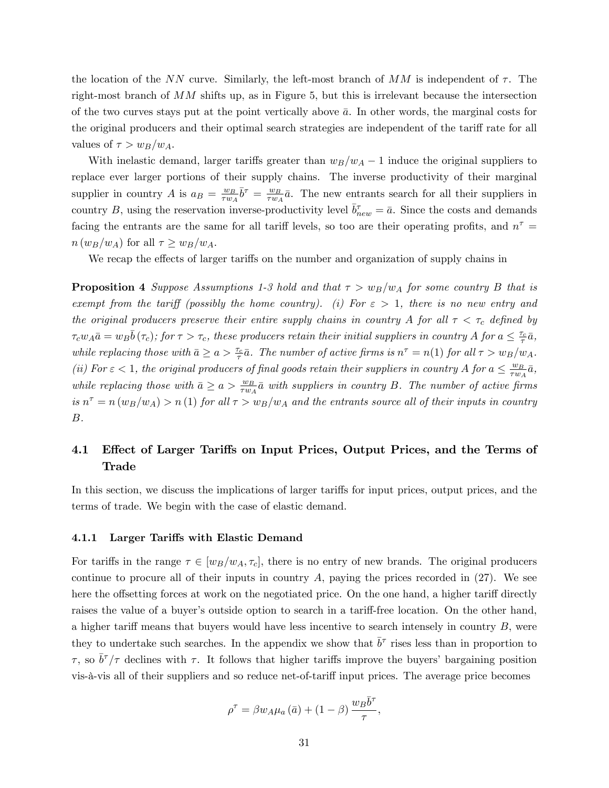the location of the NN curve. Similarly, the left-most branch of  $MM$  is independent of  $\tau$ . The right-most branch of  $MM$  shifts up, as in Figure 5, but this is irrelevant because the intersection of the two curves stays put at the point vertically above  $\bar{a}$ . In other words, the marginal costs for the original producers and their optimal search strategies are independent of the tariff rate for all values of  $\tau > w_B/w_A$ .

With inelastic demand, larger tariffs greater than  $w_B/w_A - 1$  induce the original suppliers to replace ever larger portions of their supply chains. The inverse productivity of their marginal supplier in country A is  $a_B = \frac{w_B}{\tau w_B}$  $\frac{w_B}{\tau w_A} \bar{b}^\tau = \frac{w_B}{\tau w_A}$  $\frac{w_B}{\tau w_A} \bar{a}$ . The new entrants search for all their suppliers in country B, using the reservation inverse-productivity level  $\bar{b}_{new}^{\tau} = \bar{a}$ . Since the costs and demands facing the entrants are the same for all tariff levels, so too are their operating profits, and  $n^{\tau} =$  $n(w_B/w_A)$  for all  $\tau \geq w_B/w_A$ .

We recap the effects of larger tariffs on the number and organization of supply chains in

**Proposition 4** Suppose Assumptions 1-3 hold and that  $\tau > w_B/w_A$  for some country B that is exempt from the tariff (possibly the home country). (i) For  $\varepsilon > 1$ , there is no new entry and the original producers preserve their entire supply chains in country A for all  $\tau < \tau_c$  defined by  $\tau_c w_A \bar{a} = w_B \bar{b}(\tau_c)$ ; for  $\tau > \tau_c$ , these producers retain their initial suppliers in country A for  $a \leq \frac{\tau_c}{\tau} \bar{a}$ , while replacing those with  $\bar{a} \ge a > \frac{\tau_c}{\tau} \bar{a}$ . The number of active firms is  $n^{\tau} = n(1)$  for all  $\tau > w_B/w_A$ . (ii) For  $\varepsilon$  < 1, the original producers of final goods retain their suppliers in country A for  $a \leq \frac{w_B}{\tau w_A}$  $\frac{w_B}{\tau w_A} \bar{a},$ while replacing those with  $\bar{a} \ge a > \frac{w_B}{\tau w_A} \bar{a}$  with suppliers in country B. The number of active firms is  $n^{\tau} = n (w_B/w_A) > n (1)$  for all  $\tau > w_B/w_A$  and the entrants source all of their inputs in country B.

## 4.1 Effect of Larger Tariffs on Input Prices, Output Prices, and the Terms of Trade

In this section, we discuss the implications of larger tariffs for input prices, output prices, and the terms of trade. We begin with the case of elastic demand.

#### 4.1.1 Larger Tariffs with Elastic Demand

For tariffs in the range  $\tau \in [w_B/w_A, \tau_c]$ , there is no entry of new brands. The original producers continue to procure all of their inputs in country  $A$ , paying the prices recorded in  $(27)$ . We see here the offsetting forces at work on the negotiated price. On the one hand, a higher tariff directly raises the value of a buyer's outside option to search in a tariff-free location. On the other hand, a higher tariff means that buyers would have less incentive to search intensely in country  $B$ , were they to undertake such searches. In the appendix we show that  $\bar{b}^{\tau}$  rises less than in proportion to  $\tau$ , so  $\bar{b}^{\tau}/\tau$  declines with  $\tau$ . It follows that higher tariffs improve the buyers' bargaining position vis- $\alpha$ -vis all of their suppliers and so reduce net-of-tariff input prices. The average price becomes

$$
\rho^{\tau} = \beta w_A \mu_a \left( \bar{a} \right) + (1 - \beta) \frac{w_B \bar{b}^{\tau}}{\tau},
$$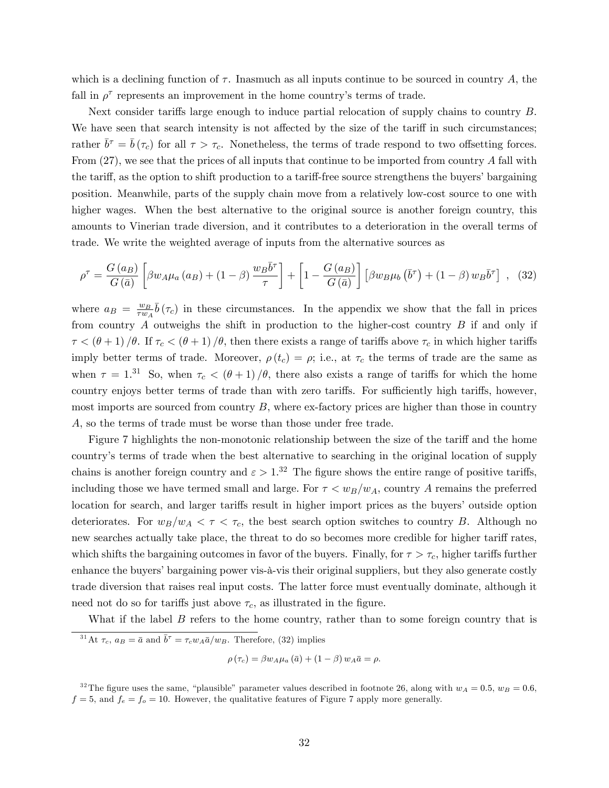which is a declining function of  $\tau$ . Inasmuch as all inputs continue to be sourced in country A, the fall in  $\rho^{\tau}$  represents an improvement in the home country's terms of trade.

Next consider tariffs large enough to induce partial relocation of supply chains to country  $B$ . We have seen that search intensity is not affected by the size of the tariff in such circumstances; rather  $\bar{b}^{\tau} = \bar{b}(\tau_c)$  for all  $\tau > \tau_c$ . Nonetheless, the terms of trade respond to two offsetting forces. From  $(27)$ , we see that the prices of all inputs that continue to be imported from country A fall with the tariff, as the option to shift production to a tariff-free source strengthens the buyers' bargaining position. Meanwhile, parts of the supply chain move from a relatively low-cost source to one with higher wages. When the best alternative to the original source is another foreign country, this amounts to Vinerian trade diversion, and it contributes to a deterioration in the overall terms of trade. We write the weighted average of inputs from the alternative sources as

$$
\rho^{\tau} = \frac{G(a_B)}{G(\bar{a})} \left[ \beta w_A \mu_a(a_B) + (1 - \beta) \frac{w_B \bar{b}^{\tau}}{\tau} \right] + \left[ 1 - \frac{G(a_B)}{G(\bar{a})} \right] \left[ \beta w_B \mu_b \left( \bar{b}^{\tau} \right) + (1 - \beta) w_B \bar{b}^{\tau} \right] , \tag{32}
$$

where  $a_B = \frac{w_B}{\tau w_B}$  $\frac{w_B}{\tau w_A} \bar{b}(\tau_c)$  in these circumstances. In the appendix we show that the fall in prices from country  $A$  outweighs the shift in production to the higher-cost country  $B$  if and only if  $\tau < (\theta + 1) / \theta$ . If  $\tau_c < (\theta + 1) / \theta$ , then there exists a range of tariffs above  $\tau_c$  in which higher tariffs imply better terms of trade. Moreover,  $\rho(t_c) = \rho$ ; i.e., at  $\tau_c$  the terms of trade are the same as when  $\tau = 1.31$  So, when  $\tau_c < (\theta + 1)/\theta$ , there also exists a range of tariffs for which the home country enjoys better terms of trade than with zero tariffs. For sufficiently high tariffs, however, most imports are sourced from country  $B$ , where ex-factory prices are higher than those in country A, so the terms of trade must be worse than those under free trade.

Figure 7 highlights the non-monotonic relationship between the size of the tariff and the home countryís terms of trade when the best alternative to searching in the original location of supply chains is another foreign country and  $\varepsilon > 1$ .<sup>32</sup> The figure shows the entire range of positive tariffs, including those we have termed small and large. For  $\tau < w_B/w_A$ , country A remains the preferred location for search, and larger tariffs result in higher import prices as the buyers' outside option deteriorates. For  $w_B/w_A < \tau < \tau_c$ , the best search option switches to country B. Although no new searches actually take place, the threat to do so becomes more credible for higher tariff rates, which shifts the bargaining outcomes in favor of the buyers. Finally, for  $\tau > \tau_c$ , higher tariffs further enhance the buyers' bargaining power vis-à-vis their original suppliers, but they also generate costly trade diversion that raises real input costs. The latter force must eventually dominate, although it need not do so for tariffs just above  $\tau_c$ , as illustrated in the figure.

What if the label  $B$  refers to the home country, rather than to some foreign country that is

$$
\rho\left(\tau_c\right) = \beta w_A \mu_a\left(\bar{a}\right) + \left(1 - \beta\right) w_A \bar{a} = \rho.
$$

<sup>&</sup>lt;sup>31</sup>At  $\tau_c$ ,  $a_B = \bar{a}$  and  $\bar{b}^{\tau} = \tau_c w_A \bar{a}/w_B$ . Therefore, (32) implies

<sup>&</sup>lt;sup>32</sup>The figure uses the same, "plausible" parameter values described in footnote 26, along with  $w_A = 0.5$ ,  $w_B = 0.6$ ,  $f = 5$ , and  $f_e = f_o = 10$ . However, the qualitative features of Figure 7 apply more generally.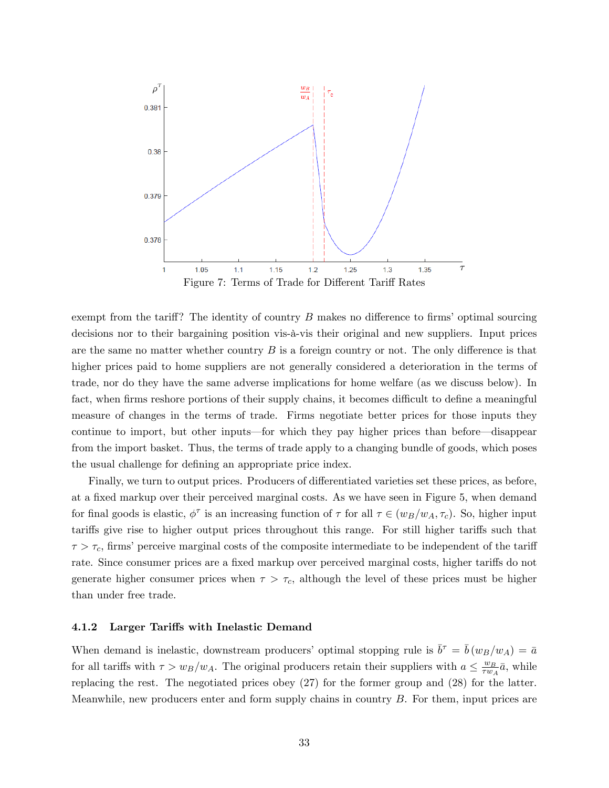

exempt from the tariff? The identity of country  $B$  makes no difference to firms' optimal sourcing decisions nor to their bargaining position vis-à-vis their original and new suppliers. Input prices are the same no matter whether country  $B$  is a foreign country or not. The only difference is that higher prices paid to home suppliers are not generally considered a deterioration in the terms of trade, nor do they have the same adverse implications for home welfare (as we discuss below). In fact, when firms reshore portions of their supply chains, it becomes difficult to define a meaningful measure of changes in the terms of trade. Firms negotiate better prices for those inputs they continue to import, but other inputs—for which they pay higher prices than before—disappear from the import basket. Thus, the terms of trade apply to a changing bundle of goods, which poses the usual challenge for defining an appropriate price index.

Finally, we turn to output prices. Producers of differentiated varieties set these prices, as before, at a fixed markup over their perceived marginal costs. As we have seen in Figure 5, when demand for final goods is elastic,  $\phi^{\tau}$  is an increasing function of  $\tau$  for all  $\tau \in (w_B/w_A, \tau_c)$ . So, higher input tariffs give rise to higher output prices throughout this range. For still higher tariffs such that  $\tau > \tau_c$ , firms' perceive marginal costs of the composite intermediate to be independent of the tariff rate. Since consumer prices are a fixed markup over perceived marginal costs, higher tariffs do not generate higher consumer prices when  $\tau > \tau_c$ , although the level of these prices must be higher than under free trade.

#### 4.1.2 Larger Tariffs with Inelastic Demand

When demand is inelastic, downstream producers' optimal stopping rule is  $\bar{b}^{\tau} = \bar{b}(w_B/w_A) = \bar{a}$ for all tariffs with  $\tau > w_B/w_A$ . The original producers retain their suppliers with  $a \leq \frac{w_B}{\tau w_A}$  $\frac{w_B}{\tau w_A} \bar{a}$ , while replacing the rest. The negotiated prices obey (27) for the former group and (28) for the latter. Meanwhile, new producers enter and form supply chains in country  $B$ . For them, input prices are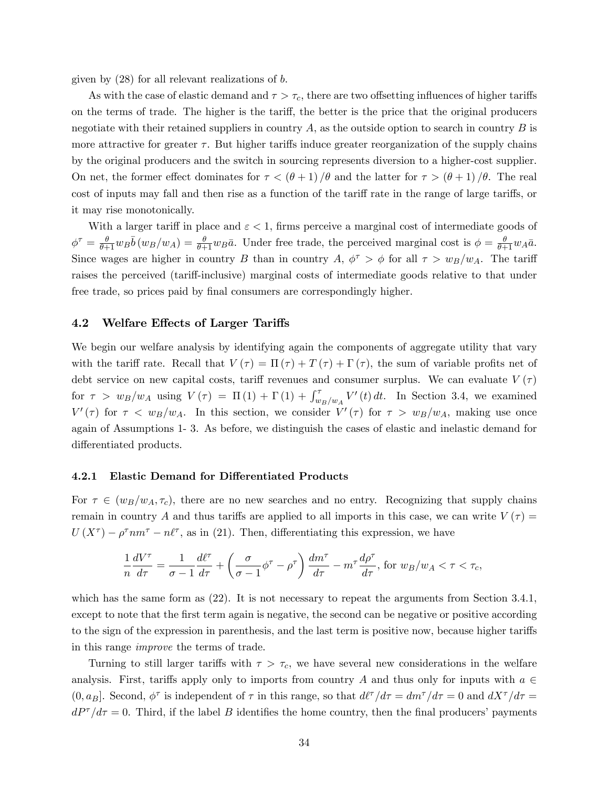given by  $(28)$  for all relevant realizations of b.

As with the case of elastic demand and  $\tau > \tau_c$ , there are two offsetting influences of higher tariffs on the terms of trade. The higher is the tariff, the better is the price that the original producers negotiate with their retained suppliers in country  $A$ , as the outside option to search in country  $B$  is more attractive for greater  $\tau$ . But higher tariffs induce greater reorganization of the supply chains by the original producers and the switch in sourcing represents diversion to a higher-cost supplier. On net, the former effect dominates for  $\tau < (\theta + 1) / \theta$  and the latter for  $\tau > (\theta + 1) / \theta$ . The real cost of inputs may fall and then rise as a function of the tariff rate in the range of large tariffs, or it may rise monotonically.

With a larger tariff in place and  $\varepsilon < 1$ , firms perceive a marginal cost of intermediate goods of  $\phi^{\tau} = \frac{\theta}{\theta+1} w_B \bar{b} (w_B/w_A) = \frac{\theta}{\theta+1} w_B \bar{a}$ . Under free trade, the perceived marginal cost is  $\phi = \frac{\theta}{\theta+1} w_A \bar{a}$ . Since wages are higher in country B than in country A,  $\phi^{\tau} > \phi$  for all  $\tau > w_B/w_A$ . The tariff raises the perceived (tariff-inclusive) marginal costs of intermediate goods relative to that under free trade, so prices paid by final consumers are correspondingly higher.

#### 4.2 Welfare Effects of Larger Tariffs

We begin our welfare analysis by identifying again the components of aggregate utility that vary with the tariff rate. Recall that  $V(\tau) = \Pi(\tau) + T(\tau) + \Gamma(\tau)$ , the sum of variable profits net of debt service on new capital costs, tariff revenues and consumer surplus. We can evaluate  $V(\tau)$ for  $\tau > w_B/w_A$  using  $V(\tau) = \Pi(1) + \Gamma(1) + \int_{w_B/w_A}^{\tau} V'(t) dt$ . In Section 3.4, we examined  $V'(\tau)$  for  $\tau < w_B/w_A$ . In this section, we consider  $V'(\tau)$  for  $\tau > w_B/w_A$ , making use once again of Assumptions 1- 3. As before, we distinguish the cases of elastic and inelastic demand for differentiated products.

#### 4.2.1 Elastic Demand for Differentiated Products

For  $\tau \in (w_B/w_A, \tau_c)$ , there are no new searches and no entry. Recognizing that supply chains remain in country A and thus tariffs are applied to all imports in this case, we can write  $V(\tau)$  =  $U(X^{\tau}) - \rho^{\tau}nm^{\tau} - n\ell^{\tau}$ , as in (21). Then, differentiating this expression, we have

$$
\frac{1}{n}\frac{dV^{\tau}}{d\tau} = \frac{1}{\sigma - 1}\frac{d\ell^{\tau}}{d\tau} + \left(\frac{\sigma}{\sigma - 1}\phi^{\tau} - \rho^{\tau}\right)\frac{dm^{\tau}}{d\tau} - m^{\tau}\frac{d\rho^{\tau}}{d\tau}, \text{ for } w_B/w_A < \tau < \tau_c,
$$

which has the same form as  $(22)$ . It is not necessary to repeat the arguments from Section 3.4.1, except to note that the first term again is negative, the second can be negative or positive according to the sign of the expression in parenthesis, and the last term is positive now, because higher tariffs in this range improve the terms of trade.

Turning to still larger tariffs with  $\tau > \tau_c$ , we have several new considerations in the welfare analysis. First, tariffs apply only to imports from country A and thus only for inputs with  $a \in$  $(0, a_B]$ . Second,  $\phi^{\tau}$  is independent of  $\tau$  in this range, so that  $d\ell^{\tau}/d\tau = dm^{\tau}/d\tau = 0$  and  $dX^{\tau}/d\tau =$  $dP^{\tau}/d\tau = 0$ . Third, if the label B identifies the home country, then the final producers' payments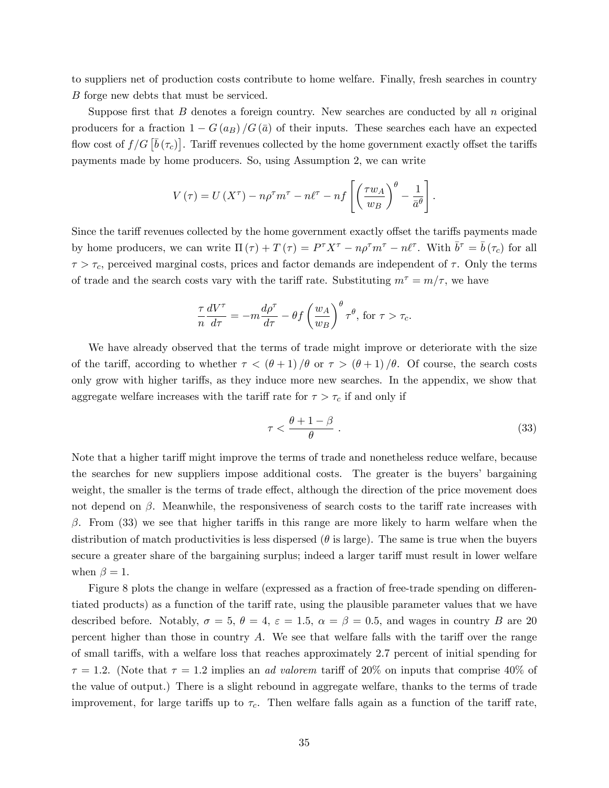to suppliers net of production costs contribute to home welfare. Finally, fresh searches in country B forge new debts that must be serviced.

Suppose first that  $B$  denotes a foreign country. New searches are conducted by all  $n$  original producers for a fraction  $1 - G(a_B)/G(\bar{a})$  of their inputs. These searches each have an expected flow cost of  $f/G\left[\bar{b}\left(\tau_c\right)\right]$ . Tariff revenues collected by the home government exactly offset the tariffs payments made by home producers. So, using Assumption 2, we can write

$$
V(\tau) = U(X^{\tau}) - n\rho^{\tau}m^{\tau} - n\ell^{\tau} - nf\left[\left(\frac{\tau w_A}{w_B}\right)^{\theta} - \frac{1}{\bar{a}^{\theta}}\right].
$$

Since the tariff revenues collected by the home government exactly offset the tariffs payments made by home producers, we can write  $\Pi(\tau) + T(\tau) = P^{\tau} X^{\tau} - n \rho^{\tau} m^{\tau} - n \ell^{\tau}$ . With  $\bar{b}^{\tau} = \bar{b}(\tau_c)$  for all  $\tau > \tau_c$ , perceived marginal costs, prices and factor demands are independent of  $\tau$ . Only the terms of trade and the search costs vary with the tariff rate. Substituting  $m^{\tau} = m/\tau$ , we have

$$
\frac{\tau}{n}\frac{dV^{\tau}}{d\tau} = -m\frac{d\rho^{\tau}}{d\tau} - \theta f \left(\frac{w_A}{w_B}\right)^{\theta} \tau^{\theta}, \text{ for } \tau > \tau_c.
$$

We have already observed that the terms of trade might improve or deteriorate with the size of the tariff, according to whether  $\tau < (\theta + 1) / \theta$  or  $\tau > (\theta + 1) / \theta$ . Of course, the search costs only grow with higher tariffs, as they induce more new searches. In the appendix, we show that aggregate welfare increases with the tariff rate for  $\tau > \tau_c$  if and only if

$$
\tau < \frac{\theta + 1 - \beta}{\theta} \tag{33}
$$

Note that a higher tariff might improve the terms of trade and nonetheless reduce welfare, because the searches for new suppliers impose additional costs. The greater is the buyers' bargaining weight, the smaller is the terms of trade effect, although the direction of the price movement does not depend on  $\beta$ . Meanwhile, the responsiveness of search costs to the tariff rate increases with  $\beta$ . From (33) we see that higher tariffs in this range are more likely to harm welfare when the distribution of match productivities is less dispersed ( $\theta$  is large). The same is true when the buyers secure a greater share of the bargaining surplus; indeed a larger tariff must result in lower welfare when  $\beta = 1$ .

Figure 8 plots the change in welfare (expressed as a fraction of free-trade spending on differentiated products) as a function of the tariff rate, using the plausible parameter values that we have described before. Notably,  $\sigma = 5$ ,  $\theta = 4$ ,  $\varepsilon = 1.5$ ,  $\alpha = \beta = 0.5$ , and wages in country B are 20 percent higher than those in country  $A$ . We see that welfare falls with the tariff over the range of small tari§s, with a welfare loss that reaches approximately 2.7 percent of initial spending for  $\tau = 1.2$ . (Note that  $\tau = 1.2$  implies an *ad valorem* tariff of 20% on inputs that comprise 40% of the value of output.) There is a slight rebound in aggregate welfare, thanks to the terms of trade improvement, for large tariffs up to  $\tau_c$ . Then welfare falls again as a function of the tariff rate,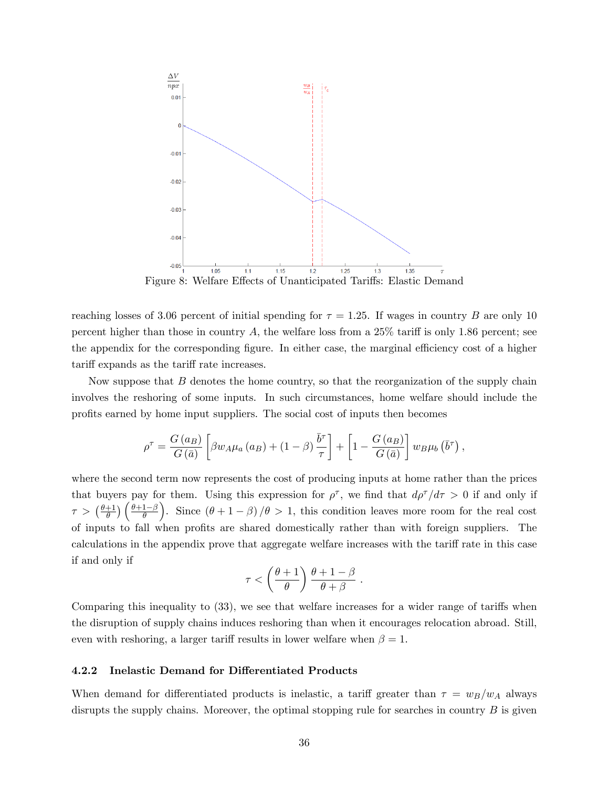

Figure 8: Welfare Effects of Unanticipated Tariffs: Elastic Demand

reaching losses of 3.06 percent of initial spending for  $\tau = 1.25$ . If wages in country B are only 10 percent higher than those in country A, the welfare loss from a  $25\%$  tariff is only 1.86 percent; see the appendix for the corresponding figure. In either case, the marginal efficiency cost of a higher tariff expands as the tariff rate increases.

Now suppose that  $B$  denotes the home country, so that the reorganization of the supply chain involves the reshoring of some inputs. In such circumstances, home welfare should include the profits earned by home input suppliers. The social cost of inputs then becomes

$$
\rho^{\tau} = \frac{G(a_B)}{G(\bar{a})} \left[ \beta w_A \mu_a \left( a_B \right) + \left( 1 - \beta \right) \frac{\bar{b}^{\tau}}{\tau} \right] + \left[ 1 - \frac{G(a_B)}{G(\bar{a})} \right] w_B \mu_b \left( \bar{b}^{\tau} \right),
$$

where the second term now represents the cost of producing inputs at home rather than the prices that buyers pay for them. Using this expression for  $\rho^{\tau}$ , we find that  $d\rho^{\tau}/d\tau > 0$  if and only if  $\tau > (\frac{\theta+1}{\theta})$  $\frac{+1}{\theta}$ )  $\left(\frac{\theta+1-\beta}{\theta}\right)$ ). Since  $(\theta + 1 - \beta)/\theta > 1$ , this condition leaves more room for the real cost of inputs to fall when profits are shared domestically rather than with foreign suppliers. The calculations in the appendix prove that aggregate welfare increases with the tariff rate in this case if and only if

$$
\tau < \left(\frac{\theta+1}{\theta}\right) \frac{\theta+1-\beta}{\theta+\beta}
$$

.

Comparing this inequality to  $(33)$ , we see that welfare increases for a wider range of tariffs when the disruption of supply chains induces reshoring than when it encourages relocation abroad. Still, even with reshoring, a larger tariff results in lower welfare when  $\beta = 1$ .

#### 4.2.2 Inelastic Demand for Differentiated Products

When demand for differentiated products is inelastic, a tariff greater than  $\tau = w_B/w_A$  always disrupts the supply chains. Moreover, the optimal stopping rule for searches in country  $B$  is given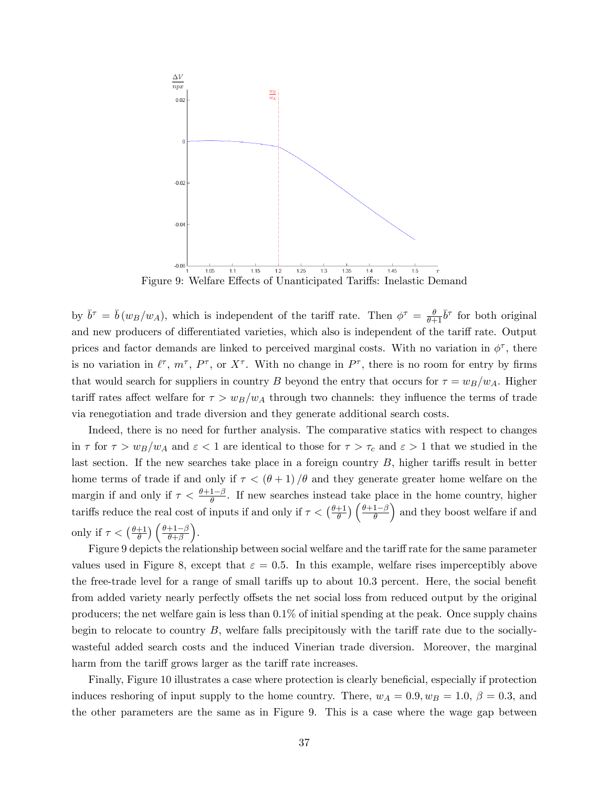

Figure 9: Welfare Effects of Unanticipated Tariffs: Inelastic Demand

by  $\bar{b}^{\tau} = \bar{b}(w_B/w_A)$ , which is independent of the tariff rate. Then  $\phi^{\tau} = \frac{\theta}{\theta + \tau}$  $\frac{\theta}{\theta+1}\bar{b}^{\tau}$  for both original and new producers of differentiated varieties, which also is independent of the tariff rate. Output prices and factor demands are linked to perceived marginal costs. With no variation in  $\phi^{\tau}$ , there is no variation in  $\ell^{\tau}$ ,  $m^{\tau}$ ,  $P^{\tau}$ , or  $X^{\tau}$ . With no change in  $P^{\tau}$ , there is no room for entry by firms that would search for suppliers in country B beyond the entry that occurs for  $\tau = w_B/w_A$ . Higher tariff rates affect welfare for  $\tau > w_B/w_A$  through two channels: they influence the terms of trade via renegotiation and trade diversion and they generate additional search costs.

Indeed, there is no need for further analysis. The comparative statics with respect to changes in  $\tau$  for  $\tau > w_B/w_A$  and  $\varepsilon < 1$  are identical to those for  $\tau > \tau_c$  and  $\varepsilon > 1$  that we studied in the last section. If the new searches take place in a foreign country  $B$ , higher tariffs result in better home terms of trade if and only if  $\tau < (\theta + 1)$  / $\theta$  and they generate greater home welfare on the margin if and only if  $\tau < \frac{\theta + 1 - \beta}{\theta}$ . If new searches instead take place in the home country, higher tariffs reduce the real cost of inputs if and only if  $\tau < (\frac{\theta + 1}{\theta})$  $\frac{+1}{\theta}$ )  $\left(\frac{\theta+1-\beta}{\theta}\right)$ ) and they boost welfare if and only if  $\tau < (\frac{\theta+1}{\theta})$  $\frac{+1}{\theta}$ )  $\left(\frac{\theta+1-\beta}{\theta+\beta}\right)$ .

Figure 9 depicts the relationship between social welfare and the tariff rate for the same parameter values used in Figure 8, except that  $\varepsilon = 0.5$ . In this example, welfare rises imperceptibly above the free-trade level for a range of small tariffs up to about 10.3 percent. Here, the social benefit from added variety nearly perfectly offsets the net social loss from reduced output by the original producers; the net welfare gain is less than 0.1% of initial spending at the peak. Once supply chains begin to relocate to country  $B$ , welfare falls precipitously with the tariff rate due to the sociallywasteful added search costs and the induced Vinerian trade diversion. Moreover, the marginal harm from the tariff grows larger as the tariff rate increases.

Finally, Figure 10 illustrates a case where protection is clearly beneficial, especially if protection induces reshoring of input supply to the home country. There,  $w_A = 0.9, w_B = 1.0, \beta = 0.3$ , and the other parameters are the same as in Figure 9. This is a case where the wage gap between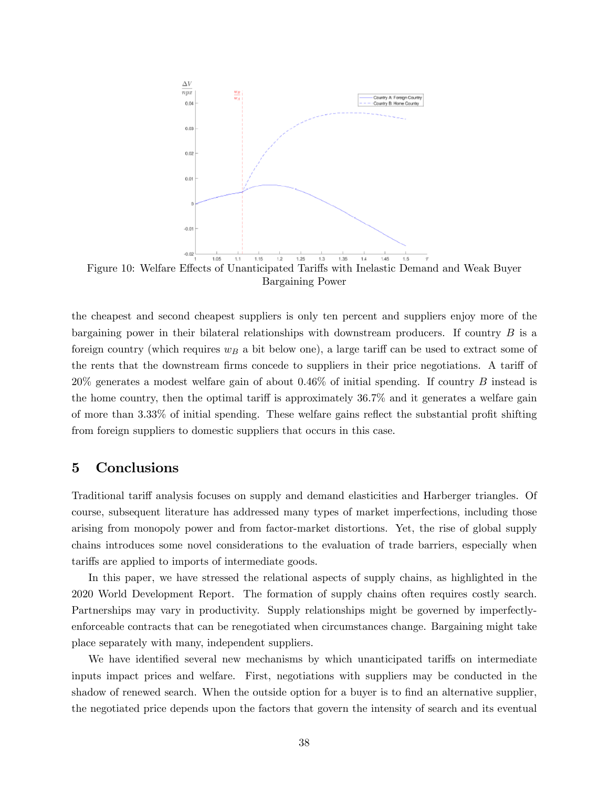

Bargaining Power

the cheapest and second cheapest suppliers is only ten percent and suppliers enjoy more of the bargaining power in their bilateral relationships with downstream producers. If country  $B$  is a foreign country (which requires  $w_B$  a bit below one), a large tariff can be used to extract some of the rents that the downstream firms concede to suppliers in their price negotiations. A tariff of 20% generates a modest welfare gain of about 0.46% of initial spending. If country B instead is the home country, then the optimal tariff is approximately  $36.7\%$  and it generates a welfare gain of more than  $3.33\%$  of initial spending. These welfare gains reflect the substantial profit shifting from foreign suppliers to domestic suppliers that occurs in this case.

#### 5 Conclusions

Traditional tariff analysis focuses on supply and demand elasticities and Harberger triangles. Of course, subsequent literature has addressed many types of market imperfections, including those arising from monopoly power and from factor-market distortions. Yet, the rise of global supply chains introduces some novel considerations to the evaluation of trade barriers, especially when tariffs are applied to imports of intermediate goods.

In this paper, we have stressed the relational aspects of supply chains, as highlighted in the 2020 World Development Report. The formation of supply chains often requires costly search. Partnerships may vary in productivity. Supply relationships might be governed by imperfectlyenforceable contracts that can be renegotiated when circumstances change. Bargaining might take place separately with many, independent suppliers.

We have identified several new mechanisms by which unanticipated tariffs on intermediate inputs impact prices and welfare. First, negotiations with suppliers may be conducted in the shadow of renewed search. When the outside option for a buyer is to find an alternative supplier, the negotiated price depends upon the factors that govern the intensity of search and its eventual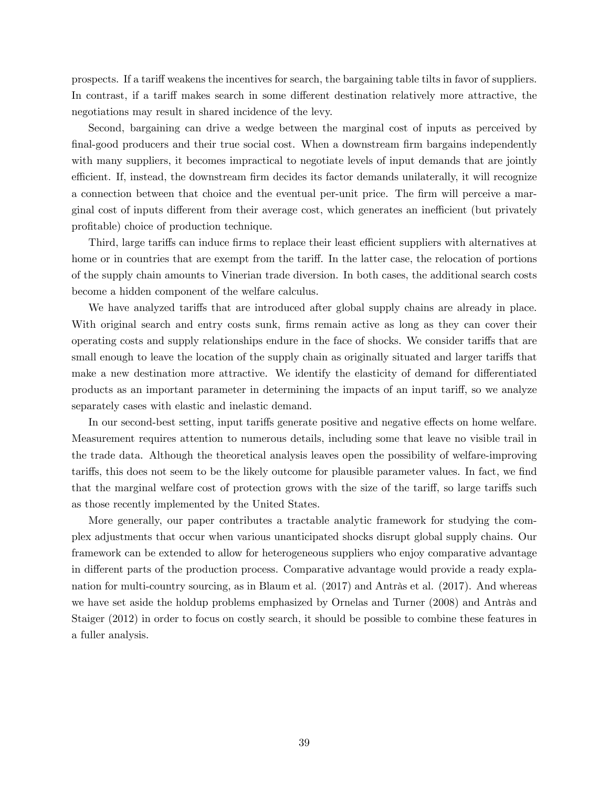prospects. If a tariff weakens the incentives for search, the bargaining table tilts in favor of suppliers. In contrast, if a tariff makes search in some different destination relatively more attractive, the negotiations may result in shared incidence of the levy.

Second, bargaining can drive a wedge between the marginal cost of inputs as perceived by final-good producers and their true social cost. When a downstream firm bargains independently with many suppliers, it becomes impractical to negotiate levels of input demands that are jointly efficient. If, instead, the downstream firm decides its factor demands unilaterally, it will recognize a connection between that choice and the eventual per-unit price. The firm will perceive a marginal cost of inputs different from their average cost, which generates an inefficient (but privately profitable) choice of production technique.

Third, large tariffs can induce firms to replace their least efficient suppliers with alternatives at home or in countries that are exempt from the tariff. In the latter case, the relocation of portions of the supply chain amounts to Vinerian trade diversion. In both cases, the additional search costs become a hidden component of the welfare calculus.

We have analyzed tariffs that are introduced after global supply chains are already in place. With original search and entry costs sunk, firms remain active as long as they can cover their operating costs and supply relationships endure in the face of shocks. We consider tariffs that are small enough to leave the location of the supply chain as originally situated and larger tariffs that make a new destination more attractive. We identify the elasticity of demand for differentiated products as an important parameter in determining the impacts of an input tariff, so we analyze separately cases with elastic and inelastic demand.

In our second-best setting, input tariffs generate positive and negative effects on home welfare. Measurement requires attention to numerous details, including some that leave no visible trail in the trade data. Although the theoretical analysis leaves open the possibility of welfare-improving tariffs, this does not seem to be the likely outcome for plausible parameter values. In fact, we find that the marginal welfare cost of protection grows with the size of the tariff, so large tariffs such as those recently implemented by the United States.

More generally, our paper contributes a tractable analytic framework for studying the complex adjustments that occur when various unanticipated shocks disrupt global supply chains. Our framework can be extended to allow for heterogeneous suppliers who enjoy comparative advantage in different parts of the production process. Comparative advantage would provide a ready explanation for multi-country sourcing, as in Blaum et al.  $(2017)$  and Antràs et al.  $(2017)$ . And whereas we have set aside the holdup problems emphasized by Ornelas and Turner (2008) and Antràs and Staiger (2012) in order to focus on costly search, it should be possible to combine these features in a fuller analysis.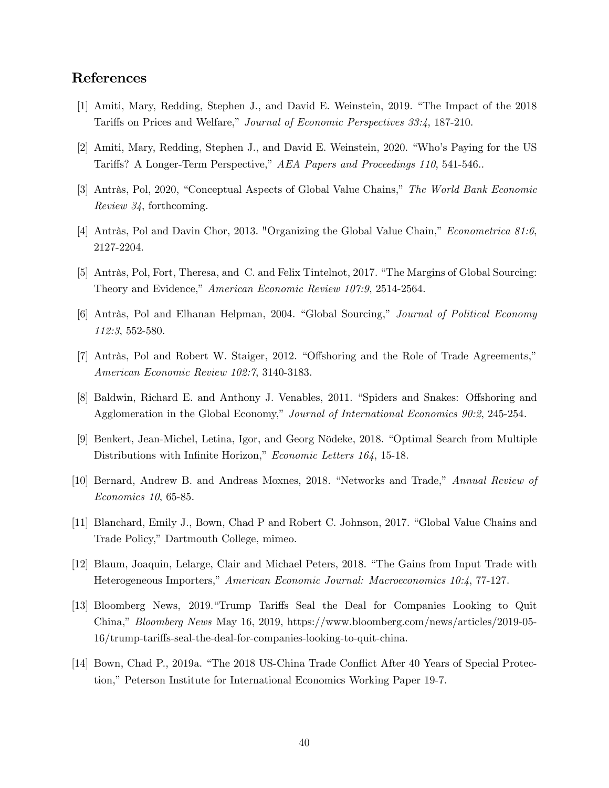## References

- [1] Amiti, Mary, Redding, Stephen J., and David E. Weinstein, 2019. "The Impact of the 2018 Tariffs on Prices and Welfare," Journal of Economic Perspectives 33:4, 187-210.
- [2] Amiti, Mary, Redding, Stephen J., and David E. Weinstein, 2020. "Who's Paying for the US Tariffs? A Longer-Term Perspective," AEA Papers and Proceedings 110, 541-546..
- [3] Antràs, Pol, 2020, "Conceptual Aspects of Global Value Chains," The World Bank Economic Review 34, forthcoming.
- [4] Antràs, Pol and Davin Chor, 2013. "Organizing the Global Value Chain," Econometrica 81:6, 2127-2204.
- [5] Antràs, Pol, Fort, Theresa, and C. and Felix Tintelnot, 2017. "The Margins of Global Sourcing: Theory and Evidence," American Economic Review 107:9, 2514-2564.
- [6] Antràs, Pol and Elhanan Helpman, 2004. "Global Sourcing," Journal of Political Economy 112:3, 552-580.
- [7] Antràs, Pol and Robert W. Staiger, 2012. "Offshoring and the Role of Trade Agreements," American Economic Review 102:7, 3140-3183.
- [8] Baldwin, Richard E. and Anthony J. Venables, 2011. "Spiders and Snakes: Offshoring and Agglomeration in the Global Economy," Journal of International Economics 90:2, 245-254.
- [9] Benkert, Jean-Michel, Letina, Igor, and Georg Nödeke, 2018. "Optimal Search from Multiple Distributions with Infinite Horizon," Economic Letters 164, 15-18.
- [10] Bernard, Andrew B. and Andreas Moxnes, 2018. "Networks and Trade," Annual Review of Economics 10, 65-85.
- [11] Blanchard, Emily J., Bown, Chad P and Robert C. Johnson, 2017. "Global Value Chains and Trade Policy," Dartmouth College, mimeo.
- [12] Blaum, Joaquin, Lelarge, Clair and Michael Peters, 2018. "The Gains from Input Trade with Heterogeneous Importers," American Economic Journal: Macroeconomics 10:4, 77-127.
- [13] Bloomberg News, 2019."Trump Tariffs Seal the Deal for Companies Looking to Quit China," Bloomberg News May 16, 2019, https://www.bloomberg.com/news/articles/2019-05-16/trump-tariffs-seal-the-deal-for-companies-looking-to-quit-china.
- [14] Bown, Chad P., 2019a. "The 2018 US-China Trade Conflict After 40 Years of Special Protection," Peterson Institute for International Economics Working Paper 19-7.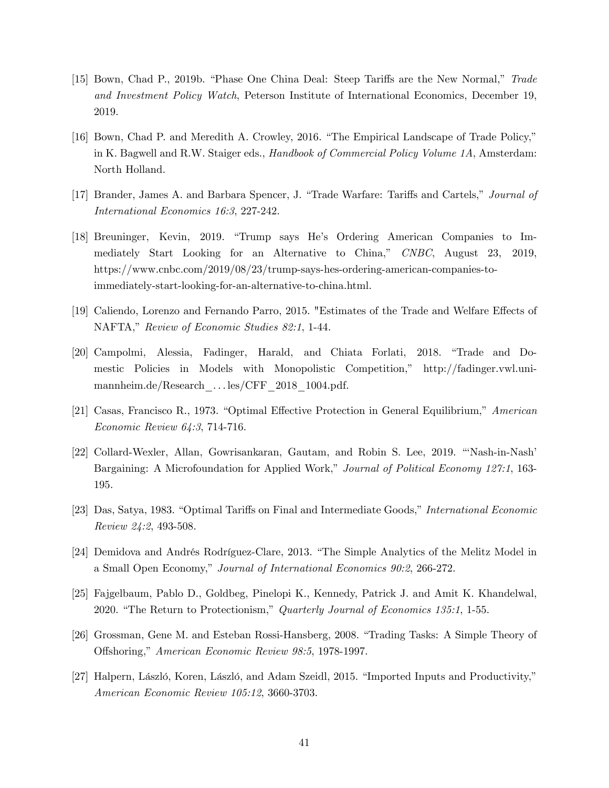- [15] Bown, Chad P., 2019b. "Phase One China Deal: Steep Tariffs are the New Normal," Trade and Investment Policy Watch, Peterson Institute of International Economics, December 19, 2019.
- [16] Bown, Chad P. and Meredith A. Crowley, 2016. "The Empirical Landscape of Trade Policy," in K. Bagwell and R.W. Staiger eds., Handbook of Commercial Policy Volume 1A, Amsterdam: North Holland.
- [17] Brander, James A. and Barbara Spencer, J. "Trade Warfare: Tariffs and Cartels," Journal of International Economics 16:3, 227-242.
- [18] Breuninger, Kevin, 2019. "Trump says He's Ordering American Companies to Immediately Start Looking for an Alternative to China," CNBC, August 23, 2019, https://www.cnbc.com/2019/08/23/trump-says-hes-ordering-american-companies-toimmediately-start-looking-for-an-alternative-to-china.html.
- [19] Caliendo, Lorenzo and Fernando Parro, 2015. "Estimates of the Trade and Welfare Effects of NAFTA," Review of Economic Studies 82:1, 1-44.
- [20] Campolmi, Alessia, Fadinger, Harald, and Chiata Forlati, 2018. "Trade and Domestic Policies in Models with Monopolistic Competition," http://fadinger.vwl.unimannheim.de/Research ... les/CFF 2018 1004.pdf.
- [21] Casas, Francisco R., 1973. "Optimal Effective Protection in General Equilibrium," American Economic Review 64:3, 714-716.
- [22] Collard-Wexler, Allan, Gowrisankaran, Gautam, and Robin S. Lee, 2019. "Nash-in-Nash<sup>?</sup> Bargaining: A Microfoundation for Applied Work," Journal of Political Economy 127:1, 163-195.
- [23] Das, Satya, 1983. "Optimal Tariffs on Final and Intermediate Goods," International Economic Review 24:2, 493-508.
- [24] Demidova and Andrés Rodríguez-Clare, 2013. "The Simple Analytics of the Melitz Model in a Small Open Economy," Journal of International Economics 90:2, 266-272.
- [25] Fajgelbaum, Pablo D., Goldbeg, Pinelopi K., Kennedy, Patrick J. and Amit K. Khandelwal, 2020. "The Return to Protectionism," Quarterly Journal of Economics 135:1, 1-55.
- [26] Grossman, Gene M. and Esteban Rossi-Hansberg, 2008. "Trading Tasks: A Simple Theory of Offshoring," American Economic Review 98:5, 1978-1997.
- [27] Halpern, László, Koren, László, and Adam Szeidl, 2015. "Imported Inputs and Productivity," American Economic Review 105:12, 3660-3703.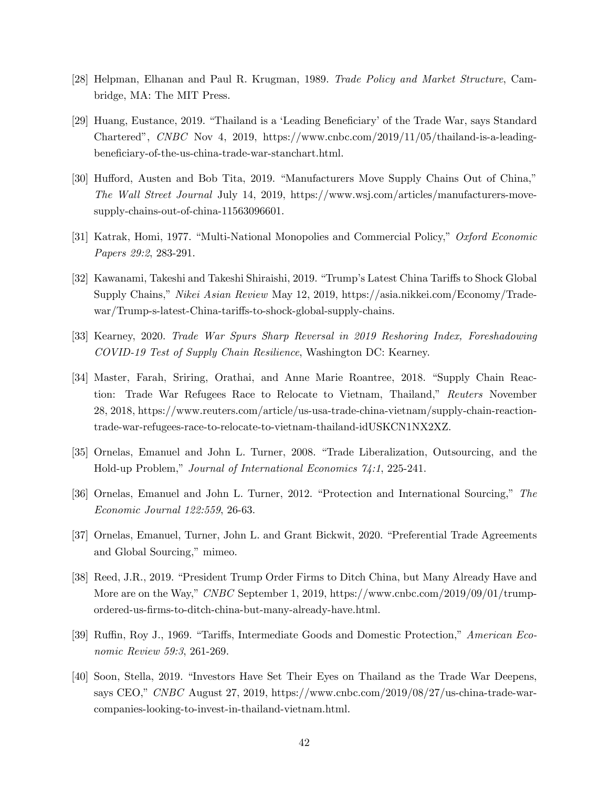- [28] Helpman, Elhanan and Paul R. Krugman, 1989. Trade Policy and Market Structure, Cambridge, MA: The MIT Press.
- [29] Huang, Eustance, 2019. "Thailand is a 'Leading Beneficiary' of the Trade War, says Standard Charteredî, CNBC Nov 4, 2019, https://www.cnbc.com/2019/11/05/thailand-is-a-leadingbeneficiary-of-the-us-china-trade-war-stanchart.html.
- [30] Hufford, Austen and Bob Tita, 2019. "Manufacturers Move Supply Chains Out of China," The Wall Street Journal July 14, 2019, https://www.wsj.com/articles/manufacturers-movesupply-chains-out-of-china-11563096601.
- [31] Katrak, Homi, 1977. "Multi-National Monopolies and Commercial Policy," Oxford Economic Papers 29:2, 283-291.
- [32] Kawanami, Takeshi and Takeshi Shiraishi, 2019. "Trump's Latest China Tariffs to Shock Global Supply Chains," Nikei Asian Review May 12, 2019, https://asia.nikkei.com/Economy/Tradewar/Trump-s-latest-China-tariffs-to-shock-global-supply-chains.
- [33] Kearney, 2020. Trade War Spurs Sharp Reversal in 2019 Reshoring Index, Foreshadowing COVID-19 Test of Supply Chain Resilience, Washington DC: Kearney.
- [34] Master, Farah, Sriring, Orathai, and Anne Marie Roantree, 2018. "Supply Chain Reaction: Trade War Refugees Race to Relocate to Vietnam, Thailand," Reuters November 28, 2018, https://www.reuters.com/article/us-usa-trade-china-vietnam/supply-chain-reactiontrade-war-refugees-race-to-relocate-to-vietnam-thailand-idUSKCN1NX2XZ.
- [35] Ornelas, Emanuel and John L. Turner, 2008. "Trade Liberalization, Outsourcing, and the Hold-up Problem," Journal of International Economics  $\gamma_{4}:1, 225-241$ .
- [36] Ornelas, Emanuel and John L. Turner, 2012. "Protection and International Sourcing," The Economic Journal 122:559, 26-63.
- [37] Ornelas, Emanuel, Turner, John L. and Grant Bickwit, 2020. "Preferential Trade Agreements and Global Sourcing," mimeo.
- [38] Reed, J.R., 2019. "President Trump Order Firms to Ditch China, but Many Already Have and More are on the Way," CNBC September 1, 2019, https://www.cnbc.com/2019/09/01/trumpordered-us-Örms-to-ditch-china-but-many-already-have.html.
- [39] Ruffin, Roy J., 1969. "Tariffs, Intermediate Goods and Domestic Protection," American Economic Review 59:3, 261-269.
- [40] Soon, Stella, 2019. "Investors Have Set Their Eyes on Thailand as the Trade War Deepens, says CEO," CNBC August 27, 2019, https://www.cnbc.com/2019/08/27/us-china-trade-warcompanies-looking-to-invest-in-thailand-vietnam.html.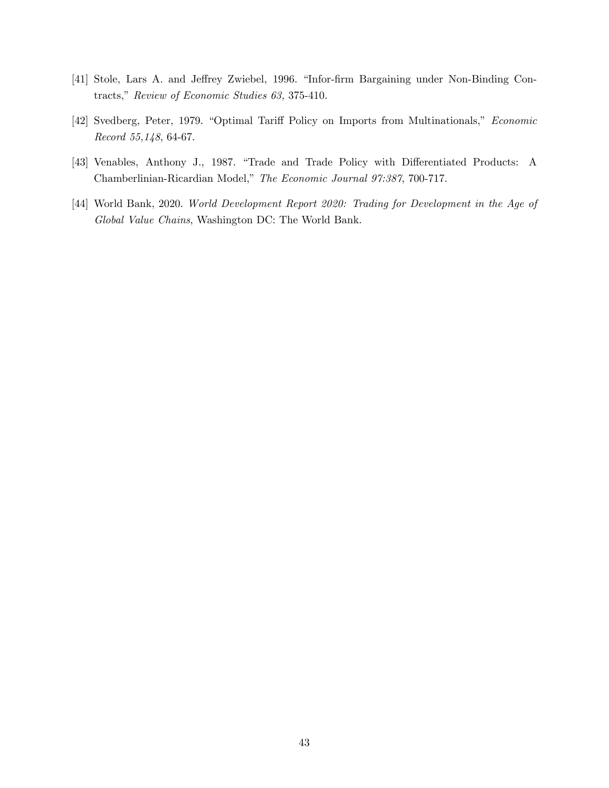- [41] Stole, Lars A. and Jeffrey Zwiebel, 1996. "Infor-firm Bargaining under Non-Binding Contracts," Review of Economic Studies 63, 375-410.
- [42] Svedberg, Peter, 1979. "Optimal Tariff Policy on Imports from Multinationals," Economic Record 55,148, 64-67.
- [43] Venables, Anthony J., 1987. "Trade and Trade Policy with Differentiated Products: A Chamberlinian-Ricardian Model," The Economic Journal 97:387, 700-717.
- [44] World Bank, 2020. World Development Report 2020: Trading for Development in the Age of Global Value Chains, Washington DC: The World Bank.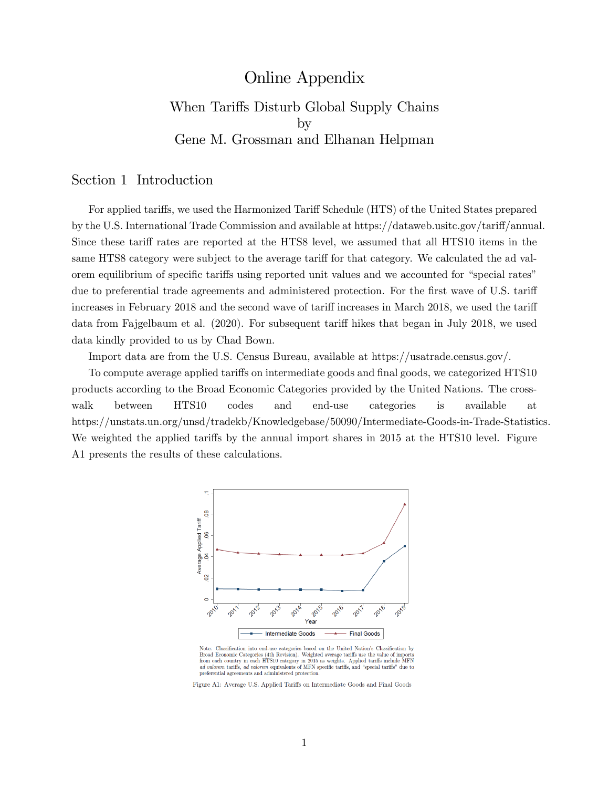# Online Appendix When Tariffs Disturb Global Supply Chains by Gene M. Grossman and Elhanan Helpman

#### Section 1 Introduction

For applied tariffs, we used the Harmonized Tariff Schedule (HTS) of the United States prepared by the U.S. International Trade Commission and available at https://dataweb.usitc.gov/tariff/annual. Since these tariff rates are reported at the HTS8 level, we assumed that all HTS10 items in the same HTS8 category were subject to the average tariff for that category. We calculated the ad valorem equilibrium of specific tariffs using reported unit values and we accounted for "special rates" due to preferential trade agreements and administered protection. For the first wave of U.S. tariff increases in February 2018 and the second wave of tariff increases in March 2018, we used the tariff data from Fajgelbaum et al.  $(2020)$ . For subsequent tariff hikes that began in July 2018, we used data kindly provided to us by Chad Bown.

Import data are from the U.S. Census Bureau, available at https://usatrade.census.gov/.

To compute average applied tariffs on intermediate goods and final goods, we categorized HTS10 products according to the Broad Economic Categories provided by the United Nations. The crosswalk between HTS10 codes and end-use categories is available at https://unstats.un.org/unsd/tradekb/Knowledgebase/50090/Intermediate-Goods-in-Trade-Statistics. We weighted the applied tariffs by the annual import shares in 2015 at the HTS10 level. Figure A1 presents the results of these calculations.



Note: Classification into end-use categories based on the United Nation's Classification by Food Economic Categories (4th Revision). Weighted average tariffs use the value of imports<br>from each country in each HTS10 category in 2015 as weights. Applied tariffs include MFN non each country in each rivino category in 2010 as weights. Appled taniffs due to advalorem tariffs, advalorem equivalents of MFN specific tariffs, and "special tariffs" due to preferential agreements and administered pro

Figure A1: Average U.S. Applied Tariffs on Intermediate Goods and Final Goods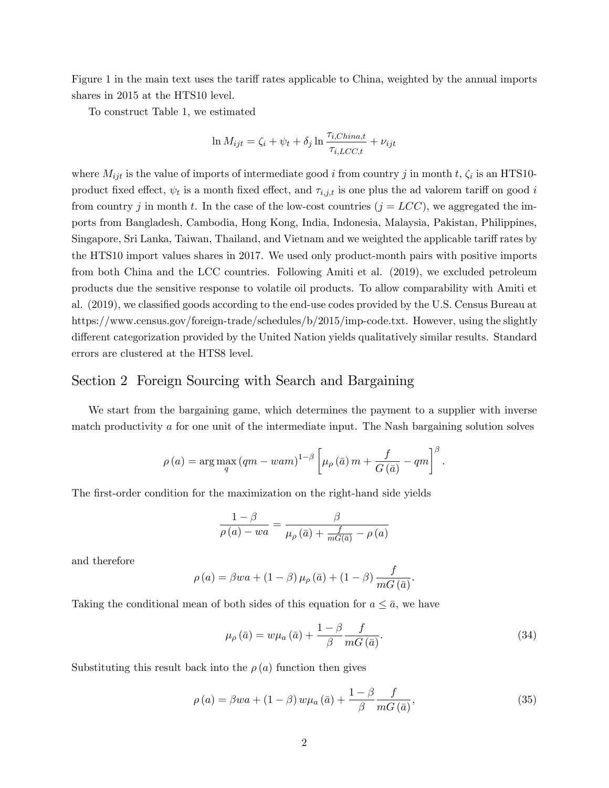Figure 1 in the main text uses the tariff rates applicable to China, weighted by the annual imports shares in 2015 at the HTS10 level.

To construct Table 1, we estimated

$$
\ln M_{ijt} = \zeta_i + \psi_t + \delta_j \ln \frac{\tau_{i,China, t}}{\tau_{i, LCC, t}} + \nu_{ijt}
$$

where  $M_{ijt}$  is the value of imports of intermediate good i from country j in month t,  $\zeta_i$  is an HTS10product fixed effect,  $\psi_t$  is a month fixed effect, and  $\tau_{i,j,t}$  is one plus the ad valorem tariff on good  $i$ from country j in month t. In the case of the low-cost countries  $(j = LCC)$ , we aggregated the imports from Bangladesh, Cambodia, Hong Kong, India, Indonesia, Malaysia, Pakistan, Philippines, Singapore, Sri Lanka, Taiwan, Thailand, and Vietnam and we weighted the applicable tariff rates by the HTS10 import values shares in 2017. We used only product-month pairs with positive imports from both China and the LCC countries. Following Amiti et al. (2019), we excluded petroleum products due the sensitive response to volatile oil products. To allow comparability with Amiti et al. (2019), we classified goods according to the end-use codes provided by the U.S. Census Bureau at https://www.census.gov/foreign-trade/schedules/b/2015/imp-code.txt. However, using the slightly different categorization provided by the United Nation yields qualitatively similar results. Standard errors are clustered at the HTS8 level.

## Section 2 Foreign Sourcing with Search and Bargaining

We start from the bargaining game, which determines the payment to a supplier with inverse match productivity a for one unit of the intermediate input. The Nash bargaining solution solves

$$
\rho(a) = \arg \max_{q} (qm - wam)^{1-\beta} \left[ \mu_{\rho}(\bar{a}) m + \frac{f}{G(\bar{a})} - qm \right]^{\beta}.
$$

The first-order condition for the maximization on the right-hand side yields

$$
\frac{1-\beta}{\rho(a)-wa} = \frac{\beta}{\mu_{\rho}(\bar{a}) + \frac{f}{mG(\bar{a})} - \rho(a)}
$$

and therefore

$$
\rho(a) = \beta wa + (1 - \beta) \mu_{\rho}(\bar{a}) + (1 - \beta) \frac{f}{mG(\bar{a})}.
$$

Taking the conditional mean of both sides of this equation for  $a \leq \bar{a}$ , we have

$$
\mu_{\rho}(\bar{a}) = w\mu_{a}(\bar{a}) + \frac{1-\beta}{\beta} \frac{f}{mG(\bar{a})}.
$$
\n(34)

Substituting this result back into the  $\rho(a)$  function then gives

$$
\rho(a) = \beta wa + (1 - \beta) w \mu_a(\bar{a}) + \frac{1 - \beta}{\beta} \frac{f}{mG(\bar{a})},
$$
\n(35)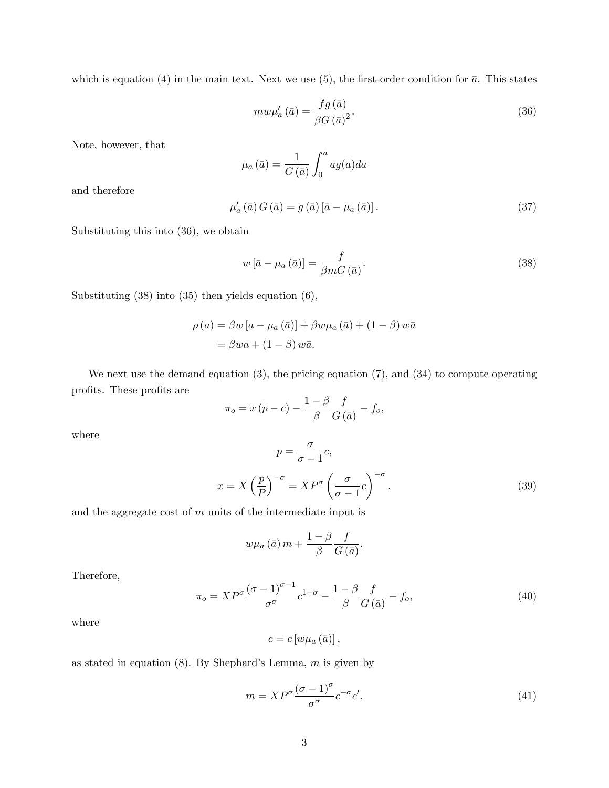which is equation (4) in the main text. Next we use (5), the first-order condition for  $\bar{a}$ . This states

$$
mw\mu'_a(\bar{a}) = \frac{fg(\bar{a})}{\beta G(\bar{a})^2}.
$$
\n(36)

Note, however, that

$$
\mu_a(\bar{a}) = \frac{1}{G(\bar{a})} \int_0^{\bar{a}} a g(a) da
$$

and therefore

$$
\mu'_{a}(\bar{a}) G(\bar{a}) = g(\bar{a}) [\bar{a} - \mu_{a}(\bar{a})]. \qquad (37)
$$

Substituting this into (36), we obtain

$$
w\left[\bar{a} - \mu_a\left(\bar{a}\right)\right] = \frac{f}{\beta m G\left(\bar{a}\right)}.\tag{38}
$$

Substituting (38) into (35) then yields equation (6),

$$
\rho(a) = \beta w [a - \mu_a(\bar{a})] + \beta w \mu_a(\bar{a}) + (1 - \beta) w \bar{a}
$$

$$
= \beta w a + (1 - \beta) w \bar{a}.
$$

We next use the demand equation  $(3)$ , the pricing equation  $(7)$ , and  $(34)$  to compute operating profits. These profits are  $\,$ 

$$
\pi_o = x (p - c) - \frac{1 - \beta}{\beta} \frac{f}{G(\bar{a})} - f_o,
$$

where

$$
p = \frac{\sigma}{\sigma - 1} c,
$$
  

$$
x = X \left(\frac{p}{P}\right)^{-\sigma} = XP^{\sigma} \left(\frac{\sigma}{\sigma - 1} c\right)^{-\sigma},
$$
 (39)

and the aggregate cost of  $m$  units of the intermediate input is

$$
w\mu_{a}\left(\bar{a}\right)m+\frac{1-\beta}{\beta}\frac{f}{G\left(\bar{a}\right)}.
$$

Therefore,

$$
\pi_o = XP^{\sigma} \frac{(\sigma - 1)^{\sigma - 1}}{\sigma^{\sigma}} c^{1 - \sigma} - \frac{1 - \beta}{\beta} \frac{f}{G(\bar{a})} - f_o,
$$
\n(40)

where

$$
c = c \left[ w \mu_a \left( \bar{a} \right) \right],
$$

as stated in equation  $(8)$ . By Shephard's Lemma, m is given by

$$
m = XP^{\sigma} \frac{(\sigma - 1)^{\sigma}}{\sigma^{\sigma}} c^{-\sigma} c'. \tag{41}
$$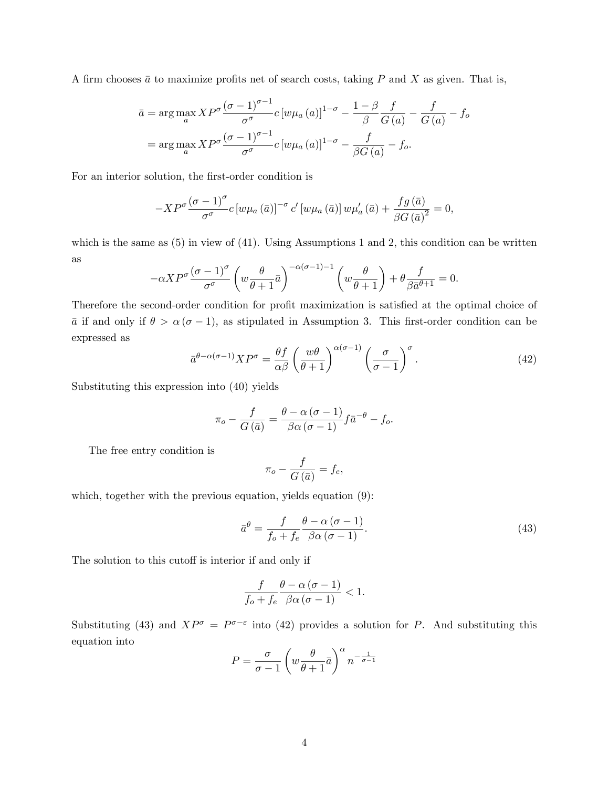A firm chooses  $\bar{a}$  to maximize profits net of search costs, taking P and X as given. That is,

$$
\bar{a} = \arg \max_{a} XP^{\sigma} \frac{(\sigma - 1)^{\sigma - 1}}{\sigma^{\sigma}} c \left[ w \mu_a(a) \right]^{1 - \sigma} - \frac{1 - \beta}{\beta} \frac{f}{G(a)} - \frac{f}{G(a)} - f_o
$$

$$
= \arg \max_{a} XP^{\sigma} \frac{(\sigma - 1)^{\sigma - 1}}{\sigma^{\sigma}} c \left[ w \mu_a(a) \right]^{1 - \sigma} - \frac{f}{\beta G(a)} - f_o.
$$

For an interior solution, the first-order condition is

$$
-XP^{\sigma} \frac{(\sigma-1)^{\sigma}}{\sigma^{\sigma}} c \left[w\mu_a\left(\bar{a}\right)\right]^{-\sigma} c' \left[w\mu_a\left(\bar{a}\right)\right] w\mu_a'\left(\bar{a}\right) + \frac{fg\left(\bar{a}\right)}{\beta G\left(\bar{a}\right)^2} = 0,
$$

which is the same as  $(5)$  in view of  $(41)$ . Using Assumptions 1 and 2, this condition can be written as

$$
-\alpha X P^{\sigma} \frac{(\sigma - 1)^{\sigma}}{\sigma^{\sigma}} \left( w \frac{\theta}{\theta + 1} \bar{a} \right)^{-\alpha(\sigma - 1) - 1} \left( w \frac{\theta}{\theta + 1} \right) + \theta \frac{f}{\beta \bar{a}^{\theta + 1}} = 0.
$$

Therefore the second-order condition for profit maximization is satisfied at the optimal choice of  $\bar{a}$  if and only if  $\theta > \alpha(\sigma - 1)$ , as stipulated in Assumption 3. This first-order condition can be expressed as

$$
\bar{a}^{\theta-\alpha(\sigma-1)}XP^{\sigma} = \frac{\theta f}{\alpha\beta} \left(\frac{w\theta}{\theta+1}\right)^{\alpha(\sigma-1)} \left(\frac{\sigma}{\sigma-1}\right)^{\sigma}.
$$
\n(42)

Substituting this expression into (40) yields

$$
\pi_o - \frac{f}{G(\bar{a})} = \frac{\theta - \alpha(\sigma - 1)}{\beta \alpha(\sigma - 1)} f \bar{a}^{-\theta} - f_o.
$$

The free entry condition is

$$
\pi_o - \frac{f}{G\left(\bar{a}\right)} = f_e,
$$

which, together with the previous equation, yields equation  $(9)$ :

$$
\bar{a}^{\theta} = \frac{f}{f_o + f_e} \frac{\theta - \alpha (\sigma - 1)}{\beta \alpha (\sigma - 1)}.
$$
\n(43)

The solution to this cutoff is interior if and only if

$$
\frac{f}{f_o + f_e} \frac{\theta - \alpha (\sigma - 1)}{\beta \alpha (\sigma - 1)} < 1.
$$

Substituting (43) and  $XP^{\sigma} = P^{\sigma-\epsilon}$  into (42) provides a solution for P. And substituting this equation into

$$
P = \frac{\sigma}{\sigma - 1} \left( w \frac{\theta}{\theta + 1} \bar{a} \right)^{\alpha} n^{-\frac{1}{\sigma - 1}}
$$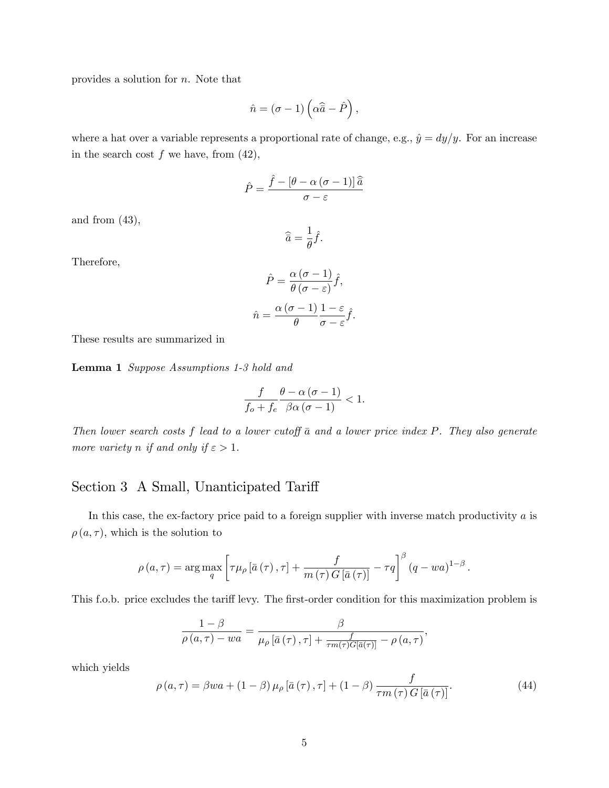provides a solution for n. Note that

$$
\hat{n} = (\sigma - 1) \left( \alpha \hat{\overline{a}} - \hat{P} \right),
$$

where a hat over a variable represents a proportional rate of change, e.g.,  $\hat{y} = dy/y$ . For an increase in the search cost  $f$  we have, from  $(42)$ ,

$$
\hat{P} = \frac{\hat{f} - [\theta - \alpha (\sigma - 1)]\,\hat{\overline{a}}}{\sigma - \varepsilon}
$$

and from  $(43)$ ,

$$
\widehat{\overline{a}} = \frac{1}{\theta}\widehat{f}.
$$

Therefore,

$$
\hat{P} = \frac{\alpha (\sigma - 1)}{\theta (\sigma - \varepsilon)} \hat{f},
$$

$$
\hat{n} = \frac{\alpha (\sigma - 1)}{\theta} \frac{1 - \varepsilon}{\sigma - \varepsilon} \hat{f}.
$$

These results are summarized in

Lemma 1 Suppose Assumptions 1-3 hold and

$$
\frac{f}{f_o+f_e}\frac{\theta-\alpha(\sigma-1)}{\beta\alpha(\sigma-1)}<1.
$$

Then lower search costs  $f$  lead to a lower cutoff  $\bar{a}$  and a lower price index  $P$ . They also generate more variety n if and only if  $\varepsilon > 1$ .

# Section 3 A Small, Unanticipated Tariff

In this case, the ex-factory price paid to a foreign supplier with inverse match productivity  $a$  is  $\rho(a, \tau)$ , which is the solution to

$$
\rho(a,\tau) = \arg \max_{q} \left[ \tau \mu_{\rho} \left[ \bar{a} \left( \tau \right), \tau \right] + \frac{f}{m \left( \tau \right) G \left[ \bar{a} \left( \tau \right) \right]} - \tau q \right]^{\beta} \left( q - wa \right)^{1-\beta}.
$$

This f.o.b. price excludes the tariff levy. The first-order condition for this maximization problem is

$$
\frac{1-\beta}{\rho(a,\tau)-wa} = \frac{\beta}{\mu_{\rho}[\bar{a}(\tau),\tau] + \frac{f}{\tau m(\tau)G[\bar{a}(\tau)]} - \rho(a,\tau)},
$$

which yields

$$
\rho(a,\tau) = \beta wa + (1-\beta)\mu_{\rho} \left[\bar{a}(\tau),\tau\right] + (1-\beta)\frac{f}{\tau m(\tau)G\left[\bar{a}(\tau)\right]}.
$$
\n(44)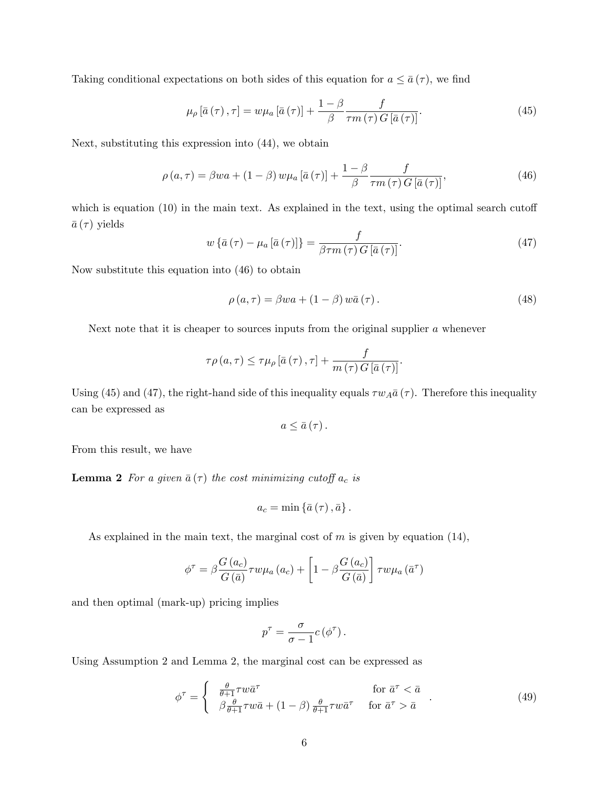Taking conditional expectations on both sides of this equation for  $a \leq \bar{a}(\tau)$ , we find

$$
\mu_{\rho} \left[ \bar{a} \left( \tau \right), \tau \right] = w \mu_{a} \left[ \bar{a} \left( \tau \right) \right] + \frac{1 - \beta}{\beta} \frac{f}{\tau m \left( \tau \right) G \left[ \bar{a} \left( \tau \right) \right]}.
$$
\n(45)

Next, substituting this expression into (44), we obtain

$$
\rho(a,\tau) = \beta wa + (1-\beta) w \mu_a \left[\bar{a}(\tau)\right] + \frac{1-\beta}{\beta} \frac{f}{\tau m(\tau) G \left[\bar{a}(\tau)\right]},\tag{46}
$$

which is equation  $(10)$  in the main text. As explained in the text, using the optimal search cutoff  $\bar{a}(\tau)$  yields

$$
w\left\{\bar{a}\left(\tau\right) - \mu_a\left[\bar{a}\left(\tau\right)\right]\right\} = \frac{f}{\beta \tau m\left(\tau\right)G\left[\bar{a}\left(\tau\right)\right]}.\tag{47}
$$

Now substitute this equation into (46) to obtain

$$
\rho(a,\tau) = \beta wa + (1-\beta) w\bar{a}(\tau).
$$
\n(48)

Next note that it is cheaper to sources inputs from the original supplier  $a$  whenever

$$
\tau \rho(a, \tau) \leq \tau \mu_{\rho} \left[\bar{a} \left(\tau\right), \tau\right] + \frac{f}{m \left(\tau\right) G \left[\bar{a} \left(\tau\right)\right]}.
$$

Using (45) and (47), the right-hand side of this inequality equals  $\tau w_A \bar{a}(\tau)$ . Therefore this inequality can be expressed as

$$
a\leq\bar{a}\left( \tau\right) .
$$

From this result, we have

**Lemma 2** For a given  $\bar{a}(\tau)$  the cost minimizing cutoff  $a_c$  is

$$
a_{c}=\min\left\{ \bar{a}\left(\tau\right),\bar{a}\right\} .
$$

As explained in the main text, the marginal cost of  $m$  is given by equation (14),

$$
\phi^{\tau} = \beta \frac{G(a_c)}{G(\bar{a})} \tau w \mu_a(a_c) + \left[1 - \beta \frac{G(a_c)}{G(\bar{a})}\right] \tau w \mu_a(\bar{a}^{\tau})
$$

and then optimal (mark-up) pricing implies

$$
p^{\tau} = \frac{\sigma}{\sigma - 1} c(\phi^{\tau}).
$$

Using Assumption 2 and Lemma 2, the marginal cost can be expressed as

$$
\phi^{\tau} = \begin{cases} \frac{\theta}{\theta + 1} \tau w \bar{a}^{\tau} & \text{for } \bar{a}^{\tau} < \bar{a} \\ \beta \frac{\theta}{\theta + 1} \tau w \bar{a} + (1 - \beta) \frac{\theta}{\theta + 1} \tau w \bar{a}^{\tau} & \text{for } \bar{a}^{\tau} > \bar{a} \end{cases} (49)
$$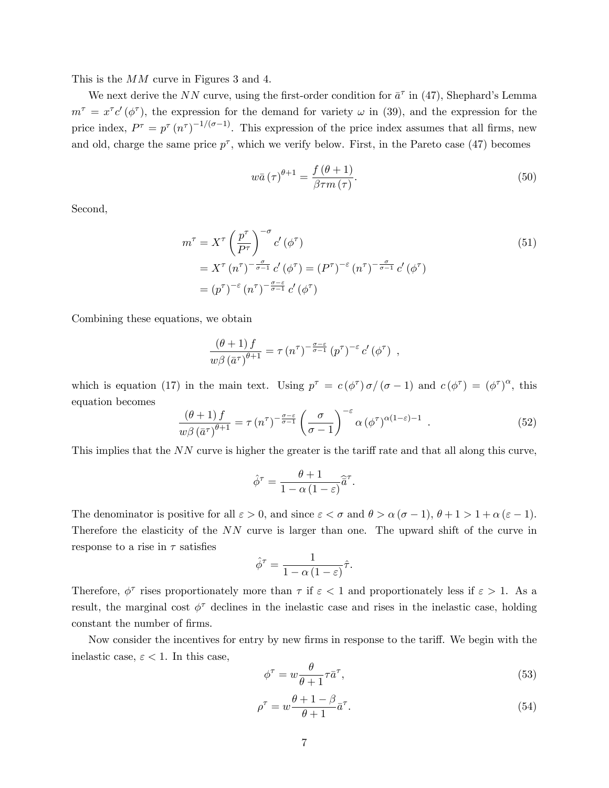This is the MM curve in Figures 3 and 4.

We next derive the NN curve, using the first-order condition for  $\bar{a}^{\tau}$  in (47), Shephard's Lemma  $m^{\tau} = x^{\tau} c' (\phi^{\tau})$ , the expression for the demand for variety  $\omega$  in (39), and the expression for the price index,  $P^{\tau} = p^{\tau} (n^{\tau})^{-1/(\sigma-1)}$ . This expression of the price index assumes that all firms, new and old, charge the same price  $p^{\tau}$ , which we verify below. First, in the Pareto case (47) becomes

$$
w\bar{a}(\tau)^{\theta+1} = \frac{f(\theta+1)}{\beta\tau m(\tau)}.
$$
\n(50)

Second,

$$
m^{\tau} = X^{\tau} \left(\frac{p^{\tau}}{P^{\tau}}\right)^{-\sigma} c' \left(\phi^{\tau}\right)
$$
  
=  $X^{\tau} (n^{\tau})^{-\frac{\sigma}{\sigma-1}} c' \left(\phi^{\tau}\right) = (P^{\tau})^{-\varepsilon} (n^{\tau})^{-\frac{\sigma}{\sigma-1}} c' \left(\phi^{\tau}\right)$   
=  $(p^{\tau})^{-\varepsilon} (n^{\tau})^{-\frac{\sigma-\varepsilon}{\sigma-1}} c' \left(\phi^{\tau}\right)$  (51)

Combining these equations, we obtain

$$
\frac{(\theta+1) f}{w \beta (\bar{a}^{\tau})^{\theta+1}} = \tau (n^{\tau})^{-\frac{\sigma-\varepsilon}{\sigma-1}} (p^{\tau})^{-\varepsilon} c' (\phi^{\tau}),
$$

which is equation (17) in the main text. Using  $p^{\tau} = c(\phi^{\tau}) \sigma/(\sigma - 1)$  and  $c(\phi^{\tau}) = (\phi^{\tau})^{\alpha}$ , this equation becomes

$$
\frac{(\theta+1)f}{w\beta(\bar{a}^{\tau})^{\theta+1}} = \tau(n^{\tau})^{-\frac{\sigma-\varepsilon}{\sigma-1}} \left(\frac{\sigma}{\sigma-1}\right)^{-\varepsilon} \alpha(\phi^{\tau})^{\alpha(1-\varepsilon)-1} . \tag{52}
$$

This implies that the  $NN$  curve is higher the greater is the tariff rate and that all along this curve,

$$
\hat{\phi}^{\tau} = \frac{\theta + 1}{1 - \alpha (1 - \varepsilon)} \hat{\vec{a}}^{\tau}.
$$

The denominator is positive for all  $\varepsilon > 0$ , and since  $\varepsilon < \sigma$  and  $\theta > \alpha (\sigma - 1)$ ,  $\theta + 1 > 1 + \alpha (\varepsilon - 1)$ . Therefore the elasticity of the NN curve is larger than one. The upward shift of the curve in response to a rise in  $\tau$  satisfies

$$
\hat{\phi}^{\tau} = \frac{1}{1 - \alpha (1 - \varepsilon)} \hat{\tau}.
$$

Therefore,  $\phi^{\tau}$  rises proportionately more than  $\tau$  if  $\varepsilon < 1$  and proportionately less if  $\varepsilon > 1$ . As a result, the marginal cost  $\phi^{\tau}$  declines in the inelastic case and rises in the inelastic case, holding constant the number of firms.

Now consider the incentives for entry by new firms in response to the tariff. We begin with the inelastic case,  $\varepsilon < 1$ . In this case,

$$
\phi^{\tau} = w \frac{\theta}{\theta + 1} \tau \bar{a}^{\tau},\tag{53}
$$

$$
\rho^{\tau} = w \frac{\theta + 1 - \beta}{\theta + 1} \bar{a}^{\tau}.
$$
\n(54)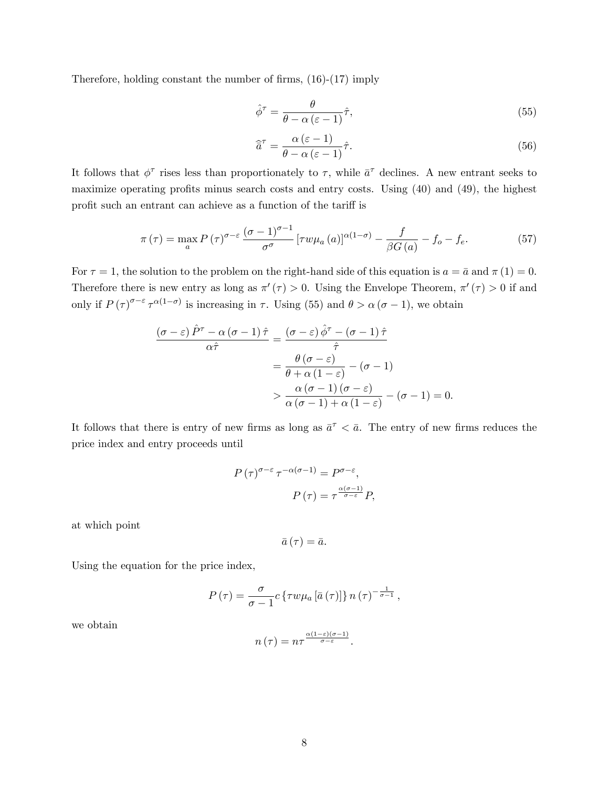Therefore, holding constant the number of firms,  $(16)-(17)$  imply

$$
\hat{\phi}^{\tau} = \frac{\theta}{\theta - \alpha \left(\varepsilon - 1\right)} \hat{\tau},\tag{55}
$$

$$
\hat{\overline{a}}^{\tau} = \frac{\alpha \left(\varepsilon - 1\right)}{\theta - \alpha \left(\varepsilon - 1\right)} \hat{\tau}.\tag{56}
$$

It follows that  $\phi^{\tau}$  rises less than proportionately to  $\tau$ , while  $\bar{a}^{\tau}$  declines. A new entrant seeks to maximize operating profits minus search costs and entry costs. Using  $(40)$  and  $(49)$ , the highest profit such an entrant can achieve as a function of the tariff is

$$
\pi(\tau) = \max_{a} P(\tau)^{\sigma-\varepsilon} \frac{(\sigma-1)^{\sigma-1}}{\sigma^{\sigma}} \left[ \tau w \mu_a(a) \right]^{\alpha(1-\sigma)} - \frac{f}{\beta G(a)} - f_o - f_e. \tag{57}
$$

For  $\tau = 1$ , the solution to the problem on the right-hand side of this equation is  $a = \bar{a}$  and  $\pi(1) = 0$ . Therefore there is new entry as long as  $\pi'(\tau) > 0$ . Using the Envelope Theorem,  $\pi'(\tau) > 0$  if and only if  $P(\tau)^{\sigma-\varepsilon} \tau^{\alpha(1-\sigma)}$  is increasing in  $\tau$ . Using (55) and  $\theta > \alpha(\sigma-1)$ , we obtain

$$
\frac{(\sigma - \varepsilon) \hat{P}^{\tau} - \alpha (\sigma - 1) \hat{\tau}}{\alpha \hat{\tau}} = \frac{(\sigma - \varepsilon) \hat{\phi}^{\tau} - (\sigma - 1) \hat{\tau}}{\hat{\tau}}
$$

$$
= \frac{\theta (\sigma - \varepsilon)}{\theta + \alpha (1 - \varepsilon)} - (\sigma - 1)
$$

$$
> \frac{\alpha (\sigma - 1) (\sigma - \varepsilon)}{\alpha (\sigma - 1) + \alpha (1 - \varepsilon)} - (\sigma - 1) = 0.
$$

It follows that there is entry of new firms as long as  $\bar{a}^{\tau} < \bar{a}$ . The entry of new firms reduces the price index and entry proceeds until

$$
P(\tau)^{\sigma-\varepsilon} \tau^{-\alpha(\sigma-1)} = P^{\sigma-\varepsilon},
$$

$$
P(\tau) = \tau^{\frac{\alpha(\sigma-1)}{\sigma-\varepsilon}} P,
$$

at which point

$$
\bar{a}(\tau)=\bar{a}.
$$

Using the equation for the price index,

$$
P(\tau) = \frac{\sigma}{\sigma - 1} c \left\{ \tau w \mu_a \left[ \bar{a}(\tau) \right] \right\} n(\tau)^{-\frac{1}{\sigma - 1}},
$$

we obtain

$$
n(\tau) = n\tau^{\frac{\alpha(1-\varepsilon)(\sigma-1)}{\sigma-\varepsilon}}.
$$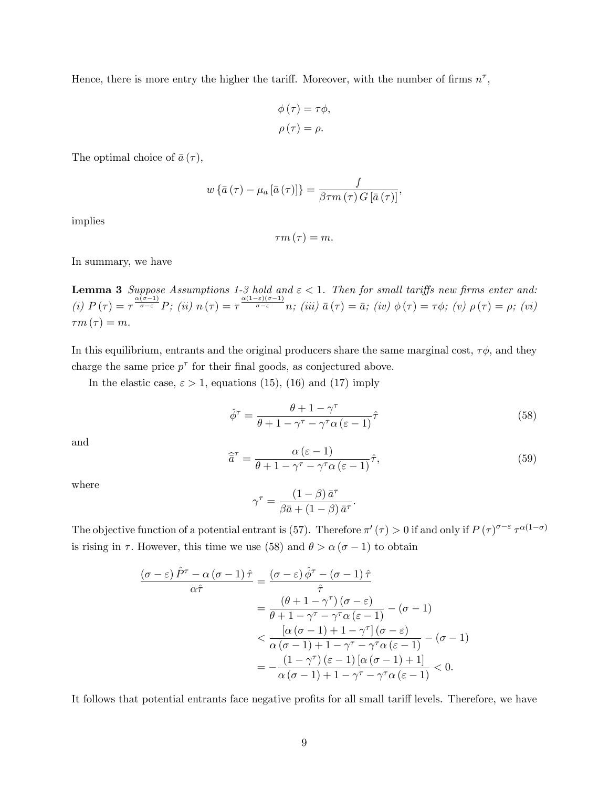Hence, there is more entry the higher the tariff. Moreover, with the number of firms  $n^{\tau}$ ,

$$
\phi(\tau) = \tau \phi,
$$
  

$$
\rho(\tau) = \rho.
$$

The optimal choice of  $\bar{a}(\tau)$ ,

$$
w\left\{\bar{a}\left(\tau\right)-\mu_{a}\left[\bar{a}\left(\tau\right)\right]\right\} = \frac{f}{\beta\tau m\left(\tau\right)G\left[\bar{a}\left(\tau\right)\right]},
$$

implies

$$
\tau m\left( \tau \right) =m.
$$

In summary, we have

**Lemma 3** Suppose Assumptions 1-3 hold and  $\varepsilon < 1$ . Then for small tariffs new firms enter and: (i)  $P(\tau) = \tau^{\frac{\alpha(\sigma-1)}{\sigma-\varepsilon}} P$ ; (ii)  $n(\tau) = \tau^{\frac{\alpha(1-\varepsilon)(\sigma-1)}{\sigma-\varepsilon}} n$ ; (iii)  $\bar{a}(\tau) = \bar{a}$ ; (iv)  $\phi(\tau) = \tau \phi$ ; (v)  $\rho(\tau) = \rho$ ; (vi)  $\tau m(\tau) = m.$ 

In this equilibrium, entrants and the original producers share the same marginal cost,  $\tau\phi$ , and they charge the same price  $p^{\tau}$  for their final goods, as conjectured above.

In the elastic case,  $\varepsilon > 1$ , equations (15), (16) and (17) imply

$$
\hat{\phi}^{\tau} = \frac{\theta + 1 - \gamma^{\tau}}{\theta + 1 - \gamma^{\tau} - \gamma^{\tau} \alpha (\varepsilon - 1)} \hat{\tau}
$$
\n(58)

and

$$
\widehat{\overline{a}}^{\tau} = \frac{\alpha \left(\varepsilon - 1\right)}{\theta + 1 - \gamma^{\tau} - \gamma^{\tau} \alpha \left(\varepsilon - 1\right)} \widehat{\tau},\tag{59}
$$

where

$$
\gamma^{\tau} = \frac{(1-\beta) \,\bar{a}^{\tau}}{\beta \bar{a} + (1-\beta) \,\bar{a}^{\tau}}.
$$

The objective function of a potential entrant is (57). Therefore  $\pi'(\tau) > 0$  if and only if  $P(\tau)^{\sigma-\varepsilon} \tau^{\alpha(1-\sigma)}$ is rising in  $\tau$ . However, this time we use (58) and  $\theta > \alpha (\sigma - 1)$  to obtain

$$
\frac{(\sigma - \varepsilon) \hat{P}^{\tau} - \alpha (\sigma - 1) \hat{\tau}}{\alpha \hat{\tau}} = \frac{(\sigma - \varepsilon) \hat{\phi}^{\tau} - (\sigma - 1) \hat{\tau}}{\hat{\tau}}
$$

$$
= \frac{(\theta + 1 - \gamma^{\tau})(\sigma - \varepsilon)}{\theta + 1 - \gamma^{\tau} - \gamma^{\tau} \alpha (\varepsilon - 1)} - (\sigma - 1)
$$

$$
< \frac{[\alpha (\sigma - 1) + 1 - \gamma^{\tau}](\sigma - \varepsilon)}{\alpha (\sigma - 1) + 1 - \gamma^{\tau} - \gamma^{\tau} \alpha (\varepsilon - 1)} - (\sigma - 1)
$$

$$
= -\frac{(1 - \gamma^{\tau})(\varepsilon - 1)[\alpha (\sigma - 1) + 1]}{\alpha (\sigma - 1) + 1 - \gamma^{\tau} - \gamma^{\tau} \alpha (\varepsilon - 1)} < 0.
$$

It follows that potential entrants face negative profits for all small tariff levels. Therefore, we have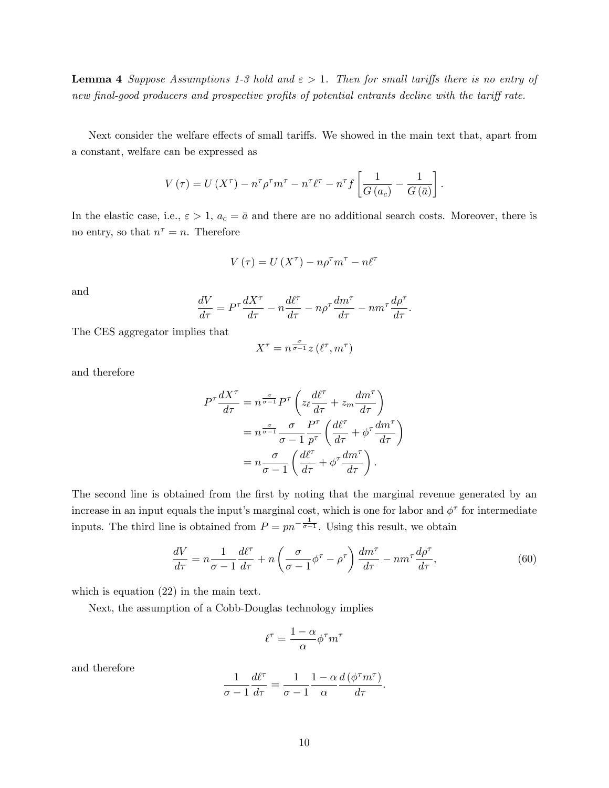**Lemma 4** Suppose Assumptions 1-3 hold and  $\epsilon > 1$ . Then for small tariffs there is no entry of new final-good producers and prospective profits of potential entrants decline with the tariff rate.

Next consider the welfare effects of small tariffs. We showed in the main text that, apart from a constant, welfare can be expressed as

$$
V(\tau) = U(X^{\tau}) - n^{\tau} \rho^{\tau} m^{\tau} - n^{\tau} \ell^{\tau} - n^{\tau} f\left[\frac{1}{G(a_c)} - \frac{1}{G(\bar{a})}\right].
$$

In the elastic case, i.e.,  $\varepsilon > 1$ ,  $a_c = \bar{a}$  and there are no additional search costs. Moreover, there is no entry, so that  $n^{\tau} = n$ . Therefore

$$
V\left(\tau\right) = U\left(X^{\tau}\right) - n\rho^{\tau}m^{\tau} - n\ell^{\tau}
$$

and

$$
\frac{dV}{d\tau} = P^{\tau} \frac{dX^{\tau}}{d\tau} - n \frac{d\ell^{\tau}}{d\tau} - n \rho^{\tau} \frac{dm^{\tau}}{d\tau} - nm^{\tau} \frac{d\rho^{\tau}}{d\tau}.
$$

The CES aggregator implies that

$$
X^{\tau}=n^{\frac{\sigma}{\sigma-1}}z\left(\ell^{\tau},m^{\tau}\right)
$$

and therefore

$$
P^{\tau} \frac{dX^{\tau}}{d\tau} = n^{\frac{\sigma}{\sigma-1}} P^{\tau} \left( z_{\ell} \frac{d\ell^{\tau}}{d\tau} + z_m \frac{dm^{\tau}}{d\tau} \right)
$$
  
=  $n^{\frac{\sigma}{\sigma-1}} \frac{\sigma}{\sigma-1} \frac{P^{\tau}}{p^{\tau}} \left( \frac{d\ell^{\tau}}{d\tau} + \phi^{\tau} \frac{dm^{\tau}}{d\tau} \right)$   
=  $n \frac{\sigma}{\sigma-1} \left( \frac{d\ell^{\tau}}{d\tau} + \phi^{\tau} \frac{dm^{\tau}}{d\tau} \right).$ 

The second line is obtained from the first by noting that the marginal revenue generated by an increase in an input equals the input's marginal cost, which is one for labor and  $\phi^{\tau}$  for intermediate inputs. The third line is obtained from  $P = pn^{-\frac{1}{\sigma-1}}$ . Using this result, we obtain

$$
\frac{dV}{d\tau} = n \frac{1}{\sigma - 1} \frac{d\ell^{\tau}}{d\tau} + n \left( \frac{\sigma}{\sigma - 1} \phi^{\tau} - \rho^{\tau} \right) \frac{dm^{\tau}}{d\tau} - nm^{\tau} \frac{d\rho^{\tau}}{d\tau},\tag{60}
$$

which is equation (22) in the main text.

Next, the assumption of a Cobb-Douglas technology implies

$$
\ell^{\tau} = \frac{1-\alpha}{\alpha} \phi^{\tau} m^{\tau}
$$

and therefore

$$
\frac{1}{\sigma - 1} \frac{d\ell^{\tau}}{d\tau} = \frac{1}{\sigma - 1} \frac{1 - \alpha}{\alpha} \frac{d(\phi^{\tau} m^{\tau})}{d\tau}.
$$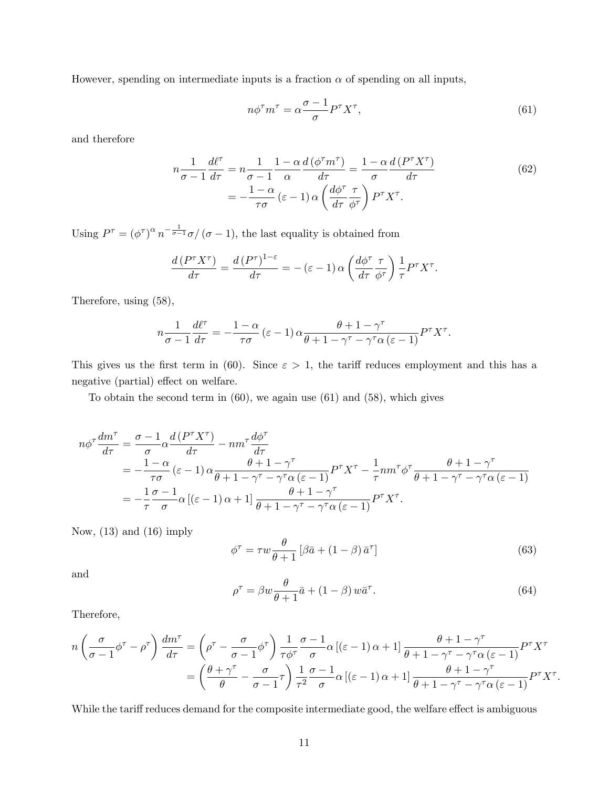However, spending on intermediate inputs is a fraction  $\alpha$  of spending on all inputs,

$$
n\phi^{\tau}m^{\tau} = \alpha \frac{\sigma - 1}{\sigma} P^{\tau}X^{\tau},\tag{61}
$$

and therefore

$$
n\frac{1}{\sigma - 1}\frac{d\ell^{\tau}}{d\tau} = n\frac{1}{\sigma - 1}\frac{1 - \alpha}{\alpha}\frac{d(\phi^{\tau}m^{\tau})}{d\tau} = \frac{1 - \alpha}{\sigma}\frac{d(P^{\tau}X^{\tau})}{d\tau}
$$

$$
= -\frac{1 - \alpha}{\tau\sigma}(\varepsilon - 1)\alpha\left(\frac{d\phi^{\tau}}{d\tau}\frac{\tau}{\phi^{\tau}}\right)P^{\tau}X^{\tau}.
$$
(62)

Using  $P^{\tau} = (\phi^{\tau})^{\alpha} n^{-\frac{1}{\sigma-1}} \sigma / (\sigma - 1)$ , the last equality is obtained from

$$
\frac{d\left(P^{\tau}X^{\tau}\right)}{d\tau} = \frac{d\left(P^{\tau}\right)^{1-\varepsilon}}{d\tau} = -(\varepsilon - 1)\,\alpha\left(\frac{d\phi^{\tau}}{d\tau}\frac{\tau}{\phi^{\tau}}\right)\frac{1}{\tau}P^{\tau}X^{\tau}.
$$

Therefore, using (58),

$$
n\frac{1}{\sigma-1}\frac{d\ell^{\tau}}{d\tau} = -\frac{1-\alpha}{\tau\sigma}(\varepsilon-1)\alpha\frac{\theta+1-\gamma^{\tau}}{\theta+1-\gamma^{\tau}-\gamma^{\tau}\alpha(\varepsilon-1)}P^{\tau}X^{\tau}.
$$

This gives us the first term in (60). Since  $\varepsilon > 1$ , the tariff reduces employment and this has a negative (partial) effect on welfare.

To obtain the second term in  $(60)$ , we again use  $(61)$  and  $(58)$ , which gives

$$
n\phi^{\tau} \frac{dm^{\tau}}{d\tau} = \frac{\sigma - 1}{\sigma} \alpha \frac{d(P^{\tau} X^{\tau})}{d\tau} - nm^{\tau} \frac{d\phi^{\tau}}{d\tau}
$$
  
=  $-\frac{1 - \alpha}{\tau \sigma} (\varepsilon - 1) \alpha \frac{\theta + 1 - \gamma^{\tau}}{\theta + 1 - \gamma^{\tau} - \gamma^{\tau} \alpha (\varepsilon - 1)} P^{\tau} X^{\tau} - \frac{1}{\tau} nm^{\tau} \phi^{\tau} \frac{\theta + 1 - \gamma^{\tau}}{\theta + 1 - \gamma^{\tau} - \gamma^{\tau} \alpha (\varepsilon - 1)}$   
=  $-\frac{1}{\tau} \frac{\sigma - 1}{\sigma} \alpha [(\varepsilon - 1) \alpha + 1] \frac{\theta + 1 - \gamma^{\tau}}{\theta + 1 - \gamma^{\tau} - \gamma^{\tau} \alpha (\varepsilon - 1)} P^{\tau} X^{\tau}.$ 

Now,  $(13)$  and  $(16)$  imply

$$
\phi^{\tau} = \tau w \frac{\theta}{\theta + 1} \left[ \beta \bar{a} + (1 - \beta) \bar{a}^{\tau} \right]
$$
 (63)

and

$$
\rho^{\tau} = \beta w \frac{\theta}{\theta + 1} \bar{a} + (1 - \beta) w \bar{a}^{\tau}.
$$
\n(64)

Therefore,

$$
n\left(\frac{\sigma}{\sigma-1}\phi^{\tau}-\rho^{\tau}\right)\frac{dm^{\tau}}{d\tau} = \left(\rho^{\tau}-\frac{\sigma}{\sigma-1}\phi^{\tau}\right)\frac{1}{\tau\phi^{\tau}}\frac{\sigma-1}{\sigma}\alpha\left[(\varepsilon-1)\alpha+1\right]\frac{\theta+1-\gamma^{\tau}}{\theta+1-\gamma^{\tau}-\gamma^{\tau}\alpha\left(\varepsilon-1\right)}P^{\tau}X^{\tau} =\left(\frac{\theta+\gamma^{\tau}}{\theta}-\frac{\sigma}{\sigma-1}\tau\right)\frac{1}{\tau^{2}}\frac{\sigma-1}{\sigma}\alpha\left[(\varepsilon-1)\alpha+1\right]\frac{\theta+1-\gamma^{\tau}}{\theta+1-\gamma^{\tau}-\gamma^{\tau}\alpha\left(\varepsilon-1\right)}P^{\tau}X^{\tau}.
$$

While the tariff reduces demand for the composite intermediate good, the welfare effect is ambiguous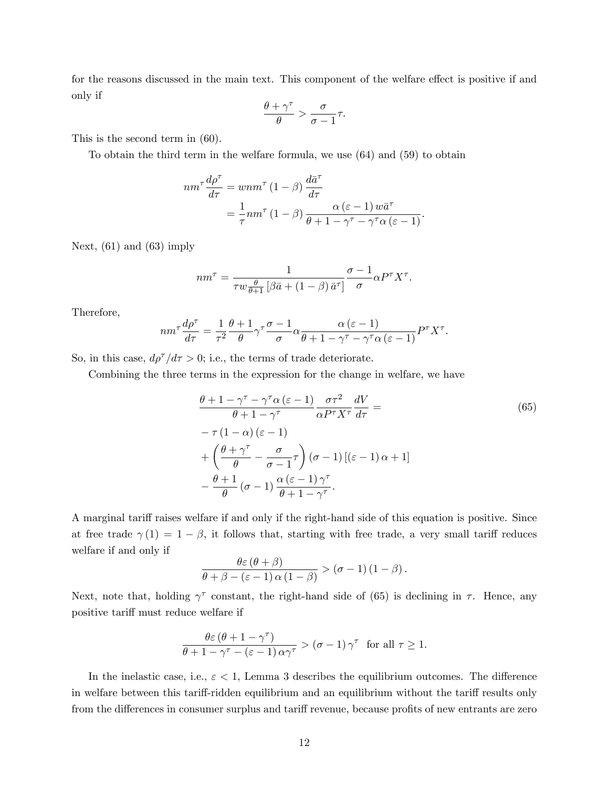for the reasons discussed in the main text. This component of the welfare effect is positive if and only if

$$
\frac{\theta + \gamma^{\tau}}{\theta} > \frac{\sigma}{\sigma - 1} \tau.
$$

This is the second term in (60).

To obtain the third term in the welfare formula, we use (64) and (59) to obtain

$$
nm^{\tau} \frac{d\rho^{\tau}}{d\tau} = wnm^{\tau} (1 - \beta) \frac{d\bar{a}^{\tau}}{d\tau}
$$
  
=  $\frac{1}{\tau}nm^{\tau} (1 - \beta) \frac{\alpha (\varepsilon - 1) w \bar{a}^{\tau}}{\theta + 1 - \gamma^{\tau} - \gamma^{\tau} \alpha (\varepsilon - 1)}.$ 

Next,  $(61)$  and  $(63)$  imply

$$
nm^{\tau} = \frac{1}{\tau w \frac{\theta}{\theta+1} \left[ \beta \bar{a} + (1-\beta) \bar{a}^{\tau} \right]} \frac{\sigma - 1}{\sigma} \alpha P^{\tau} X^{\tau}.
$$

Therefore,

$$
nm^{\tau} \frac{d\rho^{\tau}}{d\tau} = \frac{1}{\tau^2} \frac{\theta + 1}{\theta} \gamma^{\tau} \frac{\sigma - 1}{\sigma} \alpha \frac{\alpha (\varepsilon - 1)}{\theta + 1 - \gamma^{\tau} - \gamma^{\tau} \alpha (\varepsilon - 1)} P^{\tau} X^{\tau}.
$$

So, in this case,  $d\rho^{\tau}/d\tau > 0$ ; i.e., the terms of trade deteriorate.

Combining the three terms in the expression for the change in welfare, we have

$$
\frac{\theta + 1 - \gamma^{\tau} - \gamma^{\tau} \alpha (\varepsilon - 1)}{\theta + 1 - \gamma^{\tau}} \frac{\sigma \tau^2}{\alpha P^{\tau} X^{\tau}} \frac{dV}{d\tau} =
$$
\n
$$
-\tau (1 - \alpha) (\varepsilon - 1)
$$
\n
$$
+ \left( \frac{\theta + \gamma^{\tau}}{\theta} - \frac{\sigma}{\sigma - 1} \tau \right) (\sigma - 1) [(\varepsilon - 1) \alpha + 1]
$$
\n
$$
- \frac{\theta + 1}{\theta} (\sigma - 1) \frac{\alpha (\varepsilon - 1) \gamma^{\tau}}{\theta + 1 - \gamma^{\tau}}.
$$
\n(65)

A marginal tariff raises welfare if and only if the right-hand side of this equation is positive. Since at free trade  $\gamma(1) = 1 - \beta$ , it follows that, starting with free trade, a very small tariff reduces welfare if and only if

$$
\frac{\theta \varepsilon (\theta + \beta)}{\theta + \beta - (\varepsilon - 1) \alpha (1 - \beta)} > (\sigma - 1) (1 - \beta).
$$

Next, note that, holding  $\gamma^{\tau}$  constant, the right-hand side of (65) is declining in  $\tau$ . Hence, any positive tariff must reduce welfare if

$$
\frac{\theta \varepsilon (\theta + 1 - \gamma^{\tau})}{\theta + 1 - \gamma^{\tau} - (\varepsilon - 1) \alpha \gamma^{\tau}} > (\sigma - 1) \gamma^{\tau} \text{ for all } \tau \ge 1.
$$

In the inelastic case, i.e.,  $\varepsilon < 1$ , Lemma 3 describes the equilibrium outcomes. The difference in welfare between this tariff-ridden equilibrium and an equilibrium without the tariff results only from the differences in consumer surplus and tariff revenue, because profits of new entrants are zero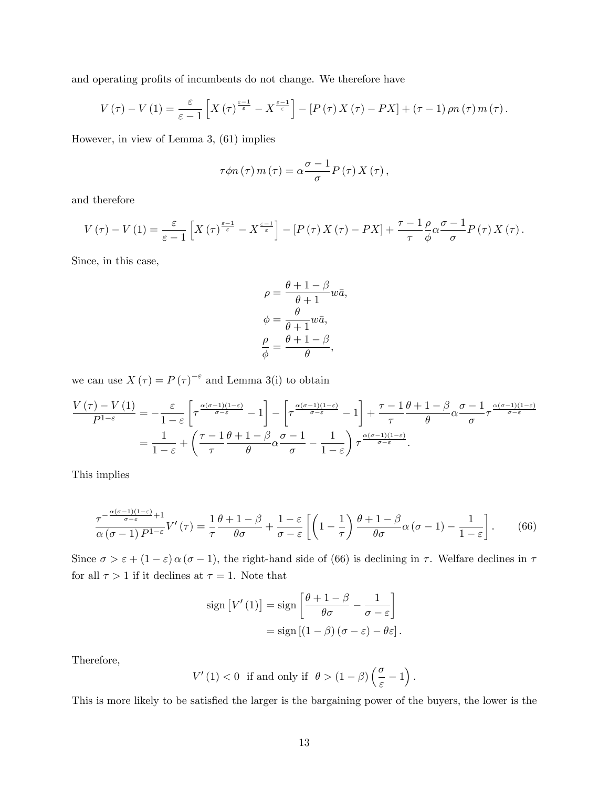and operating profits of incumbents do not change. We therefore have

$$
V(\tau) - V(1) = \frac{\varepsilon}{\varepsilon - 1} \left[ X(\tau)^{\frac{\varepsilon - 1}{\varepsilon}} - X^{\frac{\varepsilon - 1}{\varepsilon}} \right] - \left[ P(\tau) X(\tau) - PX \right] + (\tau - 1) \rho n(\tau) m(\tau).
$$

However, in view of Lemma 3, (61) implies

$$
\tau \phi n(\tau) m(\tau) = \alpha \frac{\sigma - 1}{\sigma} P(\tau) X(\tau),
$$

and therefore

$$
V(\tau) - V(1) = \frac{\varepsilon}{\varepsilon - 1} \left[ X(\tau)^{\frac{\varepsilon - 1}{\varepsilon}} - X^{\frac{\varepsilon - 1}{\varepsilon}} \right] - \left[ P(\tau) X(\tau) - PX \right] + \frac{\tau - 1}{\tau} \frac{\rho}{\phi} \alpha \frac{\sigma - 1}{\sigma} P(\tau) X(\tau).
$$

Since, in this case,

$$
\rho = \frac{\theta + 1 - \beta}{\theta + 1} w\bar{a},
$$

$$
\phi = \frac{\theta}{\theta + 1} w\bar{a},
$$

$$
\frac{\rho}{\phi} = \frac{\theta + 1 - \beta}{\theta},
$$

we can use  $X(\tau) = P(\tau)^{-\varepsilon}$  and Lemma 3(i) to obtain

$$
\frac{V(\tau) - V(1)}{P^{1-\varepsilon}} = -\frac{\varepsilon}{1-\varepsilon} \left[ \tau^{\frac{\alpha(\sigma-1)(1-\varepsilon)}{\sigma-\varepsilon}} - 1 \right] - \left[ \tau^{\frac{\alpha(\sigma-1)(1-\varepsilon)}{\sigma-\varepsilon}} - 1 \right] + \frac{\tau - 1}{\tau} \frac{\theta + 1 - \beta}{\theta} \alpha \frac{\sigma - 1}{\sigma} \tau^{\frac{\alpha(\sigma-1)(1-\varepsilon)}{\sigma-\varepsilon}} \n= \frac{1}{1-\varepsilon} + \left( \frac{\tau - 1}{\tau} \frac{\theta + 1 - \beta}{\theta} \alpha \frac{\sigma - 1}{\sigma} - \frac{1}{1-\varepsilon} \right) \tau^{\frac{\alpha(\sigma-1)(1-\varepsilon)}{\sigma-\varepsilon}}.
$$

This implies

$$
\frac{\tau^{-\frac{\alpha(\sigma-1)(1-\varepsilon)}{\sigma-\varepsilon}+1}}{\alpha(\sigma-1)P^{1-\varepsilon}}V'(\tau) = \frac{1}{\tau}\frac{\theta+1-\beta}{\theta\sigma} + \frac{1-\varepsilon}{\sigma-\varepsilon}\left[\left(1-\frac{1}{\tau}\right)\frac{\theta+1-\beta}{\theta\sigma}\alpha(\sigma-1) - \frac{1}{1-\varepsilon}\right].\tag{66}
$$

Since  $\sigma > \varepsilon + (1 - \varepsilon) \alpha (\sigma - 1)$ , the right-hand side of (66) is declining in  $\tau$ . Welfare declines in  $\tau$ for all  $\tau > 1$  if it declines at  $\tau = 1$ . Note that

$$
\text{sign}\left[V'(1)\right] = \text{sign}\left[\frac{\theta + 1 - \beta}{\theta\sigma} - \frac{1}{\sigma - \varepsilon}\right]
$$

$$
= \text{sign}\left[(1 - \beta)(\sigma - \varepsilon) - \theta\varepsilon\right].
$$

Therefore,

$$
V'(1) < 0 \quad \text{if and only if} \quad \theta > (1 - \beta) \left(\frac{\sigma}{\varepsilon} - 1\right).
$$

This is more likely to be satisfied the larger is the bargaining power of the buyers, the lower is the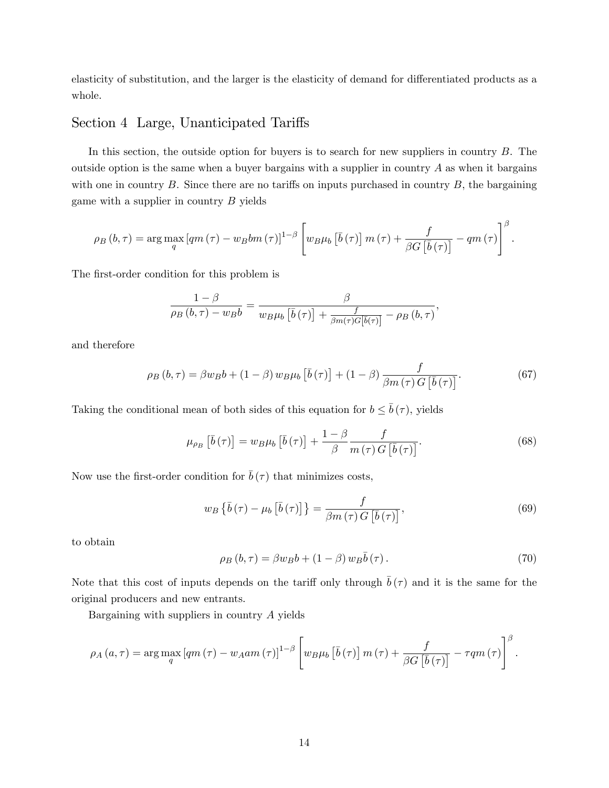elasticity of substitution, and the larger is the elasticity of demand for differentiated products as a whole.

#### Section 4 Large, Unanticipated Tariffs

In this section, the outside option for buyers is to search for new suppliers in country B. The outside option is the same when a buyer bargains with a supplier in country  $A$  as when it bargains with one in country  $B$ . Since there are no tariffs on inputs purchased in country  $B$ , the bargaining game with a supplier in country  $B$  yields

$$
\rho_B(b,\tau) = \arg\max_{q} \left[ qm(\tau) - w_B b m(\tau) \right]^{1-\beta} \left[ w_B \mu_b \left[ \overline{b}(\tau) \right] m(\tau) + \frac{f}{\beta G \left[ \overline{b}(\tau) \right]} - qm(\tau) \right]^{\beta}.
$$

The first-order condition for this problem is

$$
\frac{1-\beta}{\rho_B(b,\tau)-w_Bb} = \frac{\beta}{w_B\mu_b\left[\bar{b}(\tau)\right] + \frac{f}{\beta m(\tau)G\left[\bar{b}(\tau)\right]} - \rho_B(b,\tau)},
$$

and therefore

$$
\rho_B(b,\tau) = \beta w_B b + (1-\beta) w_B \mu_b \left[ \bar{b}(\tau) \right] + (1-\beta) \frac{f}{\beta m(\tau) G \left[ \bar{b}(\tau) \right]}.
$$
\n(67)

Taking the conditional mean of both sides of this equation for  $b \leq \bar{b}(\tau)$ , yields

$$
\mu_{\rho_B} \left[ \bar{b} \left( \tau \right) \right] = w_B \mu_b \left[ \bar{b} \left( \tau \right) \right] + \frac{1 - \beta}{\beta} \frac{f}{m \left( \tau \right) G \left[ \bar{b} \left( \tau \right) \right]}.
$$
\n(68)

Now use the first-order condition for  $\bar{b}(\tau)$  that minimizes costs,

$$
w_B\left\{\bar{b}\left(\tau\right) - \mu_b\left[\bar{b}\left(\tau\right)\right]\right\} = \frac{f}{\beta m\left(\tau\right)G\left[\bar{b}\left(\tau\right)\right]},\tag{69}
$$

to obtain

$$
\rho_B(b,\tau) = \beta w_B b + (1-\beta) w_B \bar{b}(\tau). \tag{70}
$$

Note that this cost of inputs depends on the tariff only through  $\bar{b}(\tau)$  and it is the same for the original producers and new entrants.

Bargaining with suppliers in country A yields

$$
\rho_A(a,\tau) = \arg\max_{q} [qm(\tau) - w_Aam(\tau)]^{1-\beta} \left[ w_B\mu_b \left[\bar{b}(\tau)\right]m(\tau) + \frac{f}{\beta G\left[\bar{b}(\tau)\right]} - \tau qm(\tau) \right]^{\beta}.
$$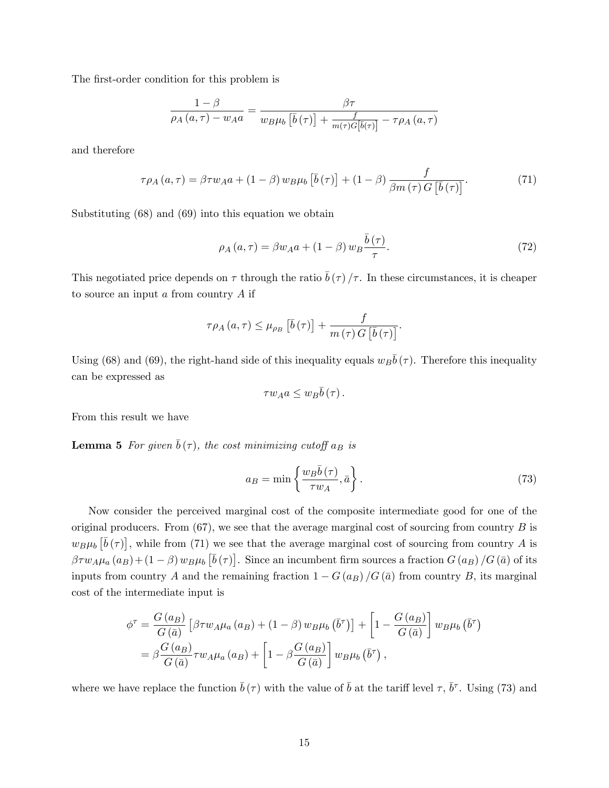The first-order condition for this problem is

$$
\frac{1-\beta}{\rho_A(a,\tau) - w_A a} = \frac{\beta \tau}{w_B \mu_b \left[\bar{b}(\tau)\right] + \frac{f}{m(\tau)G[\bar{b}(\tau)]} - \tau \rho_A(a,\tau)}
$$

and therefore

$$
\tau \rho_A(a, \tau) = \beta \tau w_A a + (1 - \beta) w_B \mu_b \left[ \bar{b}(\tau) \right] + (1 - \beta) \frac{f}{\beta m(\tau) G \left[ \bar{b}(\tau) \right]}.
$$
(71)

Substituting (68) and (69) into this equation we obtain

$$
\rho_A(a,\tau) = \beta w_A a + (1-\beta) w_B \frac{\bar{b}(\tau)}{\tau}.
$$
\n(72)

This negotiated price depends on  $\tau$  through the ratio  $\bar{b}(\tau)/\tau$ . In these circumstances, it is cheaper to source an input a from country A if

$$
\tau \rho_A(a, \tau) \leq \mu_{\rho_B} \left[ \bar{b}(\tau) \right] + \frac{f}{m(\tau) G \left[ \bar{b}(\tau) \right]}.
$$

Using (68) and (69), the right-hand side of this inequality equals  $w_B\bar{b}(\tau)$ . Therefore this inequality can be expressed as

$$
\tau w_A a \leq w_B \bar{b}(\tau).
$$

From this result we have

**Lemma 5** For given  $\bar{b}(\tau)$ , the cost minimizing cutoff  $a_B$  is

$$
a_B = \min\left\{\frac{w_B \bar{b}(\tau)}{\tau w_A}, \bar{a}\right\}.
$$
\n(73)

Now consider the perceived marginal cost of the composite intermediate good for one of the original producers. From  $(67)$ , we see that the average marginal cost of sourcing from country B is  $w_B\mu_b \left[\bar{b}(\tau)\right]$ , while from (71) we see that the average marginal cost of sourcing from country A is  $\beta \tau w_A \mu_a(a_B) + (1 - \beta) w_B \mu_b \left[\bar{b}(\tau)\right]$ . Since an incumbent firm sources a fraction  $G(a_B)/G(\bar{a})$  of its inputs from country A and the remaining fraction  $1 - G(a_B)/G(\bar{a})$  from country B, its marginal cost of the intermediate input is

$$
\phi^{\tau} = \frac{G(a_B)}{G(\bar{a})} \left[ \beta \tau w_A \mu_a (a_B) + (1 - \beta) w_B \mu_b (\bar{b}^{\tau}) \right] + \left[ 1 - \frac{G(a_B)}{G(\bar{a})} \right] w_B \mu_b (\bar{b}^{\tau})
$$
  
=  $\beta \frac{G(a_B)}{G(\bar{a})} \tau w_A \mu_a (a_B) + \left[ 1 - \beta \frac{G(a_B)}{G(\bar{a})} \right] w_B \mu_b (\bar{b}^{\tau}),$ 

where we have replace the function  $\bar{b}(\tau)$  with the value of  $\bar{b}$  at the tariff level  $\tau$ ,  $\bar{b}^{\tau}$ . Using (73) and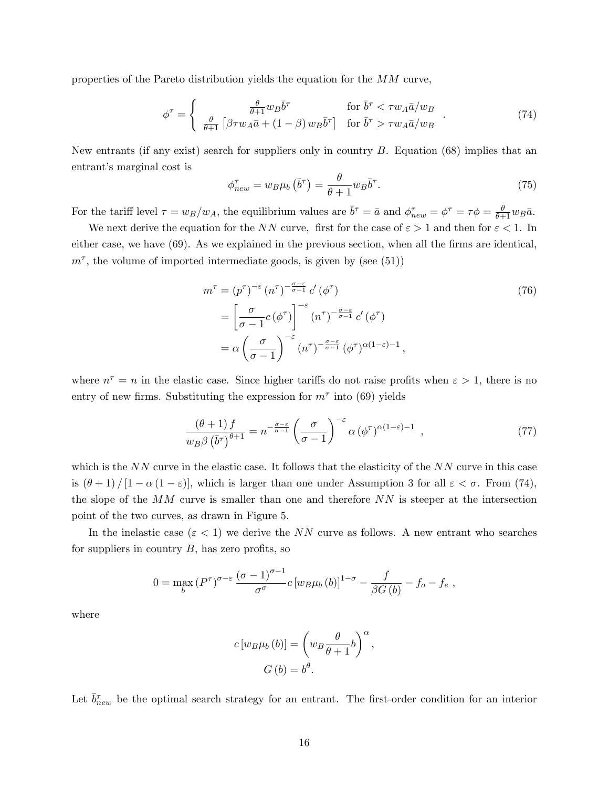properties of the Pareto distribution yields the equation for the MM curve,

$$
\phi^{\tau} = \begin{cases} \frac{\theta}{\theta+1} w_B \bar{b}^{\tau} & \text{for } \bar{b}^{\tau} < \tau w_A \bar{a}/w_B\\ \frac{\theta}{\theta+1} \left[ \beta \tau w_A \bar{a} + (1-\beta) w_B \bar{b}^{\tau} \right] & \text{for } \bar{b}^{\tau} > \tau w_A \bar{a}/w_B \end{cases} (74)
$$

New entrants (if any exist) search for suppliers only in country  $B$ . Equation (68) implies that an entrant's marginal cost is

$$
\phi_{new}^{\tau} = w_B \mu_b \left( \bar{b}^{\tau} \right) = \frac{\theta}{\theta + 1} w_B \bar{b}^{\tau}.
$$
\n(75)

For the tariff level  $\tau = w_B/w_A$ , the equilibrium values are  $\bar{b}^{\tau} = \bar{a}$  and  $\phi_{new}^{\tau} = \phi^{\tau} = \tau \phi = \frac{\theta}{\theta+1} w_B \bar{a}$ .

We next derive the equation for the NN curve, first for the case of  $\varepsilon > 1$  and then for  $\varepsilon < 1$ . In either case, we have (69). As we explained in the previous section, when all the firms are identical,  $m^{\tau}$ , the volume of imported intermediate goods, is given by (see (51))

$$
m^{\tau} = (p^{\tau})^{-\varepsilon} (n^{\tau})^{-\frac{\sigma - \varepsilon}{\sigma - 1}} c' (\phi^{\tau})
$$
  
\n
$$
= \left[\frac{\sigma}{\sigma - 1} c (\phi^{\tau})\right]^{-\varepsilon} (n^{\tau})^{-\frac{\sigma - \varepsilon}{\sigma - 1}} c' (\phi^{\tau})
$$
  
\n
$$
= \alpha \left(\frac{\sigma}{\sigma - 1}\right)^{-\varepsilon} (n^{\tau})^{-\frac{\sigma - \varepsilon}{\sigma - 1}} (\phi^{\tau})^{\alpha(1 - \varepsilon) - 1},
$$
\n(76)

where  $n^{\tau} = n$  in the elastic case. Since higher tariffs do not raise profits when  $\varepsilon > 1$ , there is no entry of new firms. Substituting the expression for  $m^{\tau}$  into (69) yields

$$
\frac{(\theta+1)f}{w_B \beta \left(\bar{b}^\tau\right)^{\theta+1}} = n^{-\frac{\sigma-\varepsilon}{\sigma-1}} \left(\frac{\sigma}{\sigma-1}\right)^{-\varepsilon} \alpha \left(\phi^\tau\right)^{\alpha(1-\varepsilon)-1},\tag{77}
$$

which is the  $NN$  curve in the elastic case. It follows that the elasticity of the  $NN$  curve in this case is  $(\theta + 1) / [1 - \alpha (1 - \varepsilon)]$ , which is larger than one under Assumption 3 for all  $\varepsilon < \sigma$ . From (74), the slope of the  $MM$  curve is smaller than one and therefore  $NN$  is steeper at the intersection point of the two curves, as drawn in Figure 5.

In the inelastic case ( $\varepsilon$  < 1) we derive the NN curve as follows. A new entrant who searches for suppliers in country  $B$ , has zero profits, so

$$
0 = \max_{b} (P^{\tau})^{\sigma-\varepsilon} \frac{(\sigma-1)^{\sigma-1}}{\sigma^{\sigma}} c \left[w_B \mu_b(b)\right]^{1-\sigma} - \frac{f}{\beta G(b)} - f_o - f_e,
$$

where

$$
c[w_B\mu_b(b)] = \left(w_B\frac{\theta}{\theta+1}b\right)^{\alpha},
$$

$$
G(b) = b^{\theta}.
$$

Let  $\bar{b}_{new}^{\tau}$  be the optimal search strategy for an entrant. The first-order condition for an interior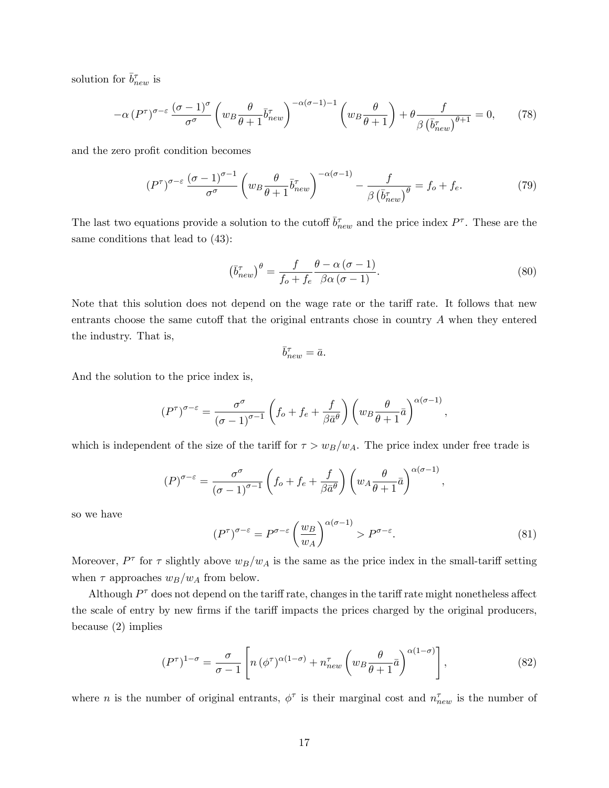solution for  $\bar{b}^{\tau}_{new}$  is

$$
-\alpha \left(P^{\tau}\right)^{\sigma-\varepsilon} \frac{\left(\sigma-1\right)^{\sigma}}{\sigma^{\sigma}} \left(w_B \frac{\theta}{\theta+1} \bar{b}_{new}^{\tau}\right)^{-\alpha(\sigma-1)-1} \left(w_B \frac{\theta}{\theta+1}\right) + \theta \frac{f}{\beta \left(\bar{b}_{new}^{\tau}\right)^{\theta+1}} = 0, \qquad (78)
$$

and the zero profit condition becomes

$$
(P^{\tau})^{\sigma-\varepsilon} \frac{(\sigma-1)^{\sigma-1}}{\sigma^{\sigma}} \left( w_B \frac{\theta}{\theta+1} \bar{b}_{new}^{\tau} \right)^{-\alpha(\sigma-1)} - \frac{f}{\beta \left( \bar{b}_{new}^{\tau} \right)^{\theta}} = f_o + f_e. \tag{79}
$$

The last two equations provide a solution to the cutoff  $\bar{b}_{new}^{\tau}$  and the price index  $P^{\tau}$ . These are the same conditions that lead to (43):

$$
\left(\bar{b}_{new}^{\tau}\right)^{\theta} = \frac{f}{f_o + f_e} \frac{\theta - \alpha \left(\sigma - 1\right)}{\beta \alpha \left(\sigma - 1\right)}.\tag{80}
$$

Note that this solution does not depend on the wage rate or the tariff rate. It follows that new entrants choose the same cutoff that the original entrants chose in country  $A$  when they entered the industry. That is,

$$
\bar{b}_{new}^{\tau} = \bar{a}.
$$

And the solution to the price index is,

$$
(P^{\tau})^{\sigma-\varepsilon} = \frac{\sigma^{\sigma}}{(\sigma-1)^{\sigma-1}} \left( f_o + f_e + \frac{f}{\beta \bar{a}^{\theta}} \right) \left( w_B \frac{\theta}{\theta+1} \bar{a} \right)^{\alpha(\sigma-1)},
$$

which is independent of the size of the tariff for  $\tau > w_B/w_A$ . The price index under free trade is

$$
(P)^{\sigma-\varepsilon} = \frac{\sigma^{\sigma}}{(\sigma-1)^{\sigma-1}} \left( f_o + f_e + \frac{f}{\beta \bar{a}^{\theta}} \right) \left( w_A \frac{\theta}{\theta+1} \bar{a} \right)^{\alpha(\sigma-1)},
$$

so we have

$$
(P^{\tau})^{\sigma-\varepsilon} = P^{\sigma-\varepsilon} \left(\frac{w_B}{w_A}\right)^{\alpha(\sigma-1)} > P^{\sigma-\varepsilon}.\tag{81}
$$

Moreover,  $P^{\tau}$  for  $\tau$  slightly above  $w_B/w_A$  is the same as the price index in the small-tariff setting when  $\tau$  approaches  $w_B/w_A$  from below.

Although  $P^{\tau}$  does not depend on the tariff rate, changes in the tariff rate might nonetheless affect the scale of entry by new firms if the tariff impacts the prices charged by the original producers, because (2) implies

$$
(P^{\tau})^{1-\sigma} = \frac{\sigma}{\sigma - 1} \left[ n \left( \phi^{\tau} \right)^{\alpha(1-\sigma)} + n_{new}^{\tau} \left( w_B \frac{\theta}{\theta + 1} \bar{a} \right)^{\alpha(1-\sigma)} \right], \tag{82}
$$

where *n* is the number of original entrants,  $\phi^{\tau}$  is their marginal cost and  $n_{new}^{\tau}$  is the number of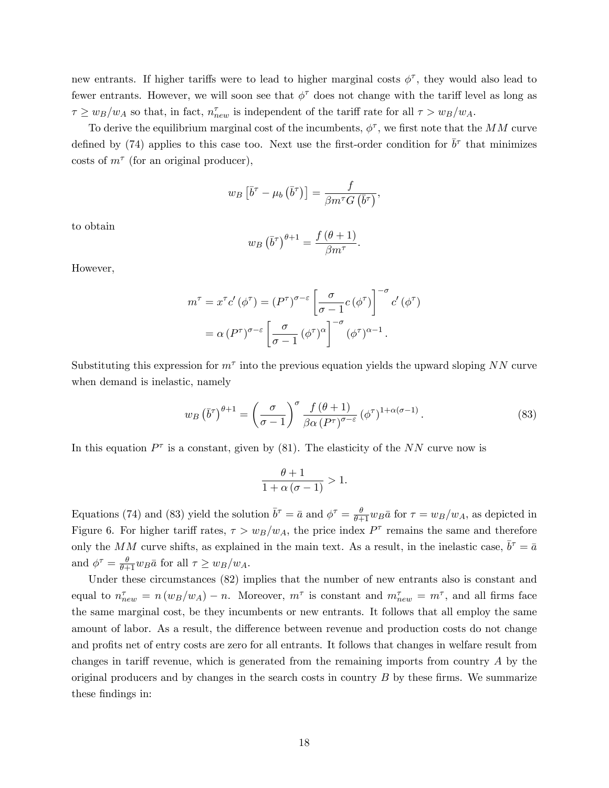new entrants. If higher tariffs were to lead to higher marginal costs  $\phi^{\tau}$ , they would also lead to fewer entrants. However, we will soon see that  $\phi^{\tau}$  does not change with the tariff level as long as  $\tau \geq w_B/w_A$  so that, in fact,  $n_{new}^{\tau}$  is independent of the tariff rate for all  $\tau > w_B/w_A$ .

To derive the equilibrium marginal cost of the incumbents,  $\phi^{\tau}$ , we first note that the MM curve defined by (74) applies to this case too. Next use the first-order condition for  $\bar{b}^{\tau}$  that minimizes costs of  $m^{\tau}$  (for an original producer),

$$
w_B\left[\bar{b}^{\tau}-\mu_b\left(\bar{b}^{\tau}\right)\right]=\frac{f}{\beta m^{\tau}G\left(\bar{b}^{\tau}\right)},
$$

to obtain

$$
w_B\left(\bar{b}^{\tau}\right)^{\theta+1} = \frac{f\left(\theta+1\right)}{\beta m^{\tau}}.
$$

However,

$$
m^{\tau} = x^{\tau} c' (\phi^{\tau}) = (P^{\tau})^{\sigma - \varepsilon} \left[ \frac{\sigma}{\sigma - 1} c (\phi^{\tau}) \right]^{-\sigma} c' (\phi^{\tau})
$$

$$
= \alpha (P^{\tau})^{\sigma - \varepsilon} \left[ \frac{\sigma}{\sigma - 1} (\phi^{\tau})^{\alpha} \right]^{-\sigma} (\phi^{\tau})^{\alpha - 1}.
$$

Substituting this expression for  $m^{\tau}$  into the previous equation yields the upward sloping NN curve when demand is inelastic, namely

$$
w_B\left(\bar{b}^\tau\right)^{\theta+1} = \left(\frac{\sigma}{\sigma-1}\right)^\sigma \frac{f\left(\theta+1\right)}{\beta\alpha \left(P^\tau\right)^{\sigma-\varepsilon}} \left(\phi^\tau\right)^{1+\alpha(\sigma-1)}.\tag{83}
$$

In this equation  $P^{\tau}$  is a constant, given by (81). The elasticity of the NN curve now is

$$
\frac{\theta + 1}{1 + \alpha (\sigma - 1)} > 1.
$$

Equations (74) and (83) yield the solution  $\bar{b}^{\tau} = \bar{a}$  and  $\phi^{\tau} = \frac{\theta}{\theta+1} w_B \bar{a}$  for  $\tau = w_B/w_A$ , as depicted in Figure 6. For higher tariff rates,  $\tau > w_B/w_A$ , the price index  $P^{\tau}$  remains the same and therefore only the MM curve shifts, as explained in the main text. As a result, in the inelastic case,  $\bar{b}^{\tau} = \bar{a}$ and  $\phi^{\tau} = \frac{\theta}{\theta+1} w_B \bar{a}$  for all  $\tau \geq w_B/w_A$ .

Under these circumstances (82) implies that the number of new entrants also is constant and equal to  $n_{new}^{\tau} = n(w_B/w_A) - n$ . Moreover,  $m^{\tau}$  is constant and  $m_{new}^{\tau} = m^{\tau}$ , and all firms face the same marginal cost, be they incumbents or new entrants. It follows that all employ the same amount of labor. As a result, the difference between revenue and production costs do not change and profits net of entry costs are zero for all entrants. It follows that changes in welfare result from changes in tariff revenue, which is generated from the remaining imports from country  $A$  by the original producers and by changes in the search costs in country  $B$  by these firms. We summarize these findings in: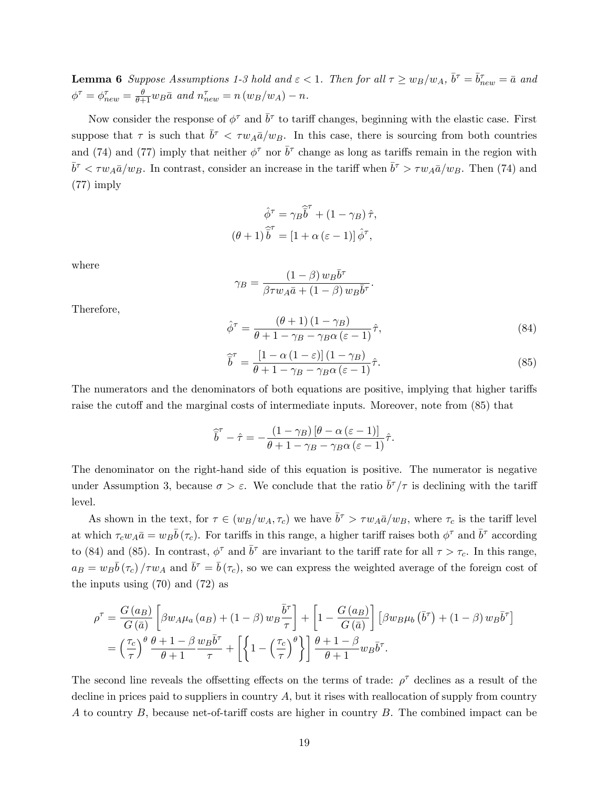**Lemma 6** Suppose Assumptions 1-3 hold and  $\varepsilon < 1$ . Then for all  $\tau \ge w_B/w_A$ ,  $\bar{b}^{\tau} = \bar{b}^{\tau}_{new} = \bar{a}$  and  $\phi^{\tau} = \phi_{new}^{\tau} = \frac{\theta}{\theta + 1} w_B \bar{a}$  and  $n_{new}^{\tau} = n (w_B/w_A) - n$ .

Now consider the response of  $\phi^{\tau}$  and  $\bar{b}^{\tau}$  to tariff changes, beginning with the elastic case. First suppose that  $\tau$  is such that  $\bar{b}^{\tau} < \tau w_A \bar{a}/w_B$ . In this case, there is sourcing from both countries and (74) and (77) imply that neither  $\phi^{\tau}$  nor  $\bar{b}^{\tau}$  change as long as tariffs remain in the region with  $\bar{b}^{\tau} < \tau w_A \bar{a}/w_B$ . In contrast, consider an increase in the tariff when  $\bar{b}^{\tau} > \tau w_A \bar{a}/w_B$ . Then (74) and (77) imply

$$
\hat{\phi}^{\tau} = \gamma_B \hat{\overline{b}}^{\tau} + (1 - \gamma_B) \hat{\tau},
$$

$$
(\theta + 1) \hat{\overline{b}}^{\tau} = [1 + \alpha (\varepsilon - 1)] \hat{\phi}^{\tau},
$$

where

$$
\gamma_B = \frac{(1-\beta) w_B \bar{b}^{\tau}}{\beta \tau w_A \bar{a} + (1-\beta) w_B \bar{b}^{\tau}}.
$$

Therefore,

$$
\hat{\phi}^{\tau} = \frac{(\theta + 1)(1 - \gamma_B)}{\theta + 1 - \gamma_B - \gamma_B \alpha (\varepsilon - 1)} \hat{\tau},\tag{84}
$$

$$
\widehat{\overline{b}}^{\tau} = \frac{\left[1 - \alpha \left(1 - \varepsilon\right)\right]\left(1 - \gamma_B\right)}{\theta + 1 - \gamma_B - \gamma_B \alpha \left(\varepsilon - 1\right)} \widehat{\tau}.\tag{85}
$$

The numerators and the denominators of both equations are positive, implying that higher tariffs raise the cutoff and the marginal costs of intermediate inputs. Moreover, note from  $(85)$  that

$$
\widehat{\overline{b}}^{\tau} - \widehat{\tau} = -\frac{(1 - \gamma_B) [\theta - \alpha (\varepsilon - 1)]}{\theta + 1 - \gamma_B - \gamma_B \alpha (\varepsilon - 1)} \widehat{\tau}.
$$

The denominator on the right-hand side of this equation is positive. The numerator is negative under Assumption 3, because  $\sigma > \varepsilon$ . We conclude that the ratio  $\bar{b}^{\tau}/\tau$  is declining with the tariff level.

As shown in the text, for  $\tau \in (w_B/w_A, \tau_c)$  we have  $\bar{b}^{\tau} > \tau w_A \bar{a}/w_B$ , where  $\tau_c$  is the tariff level at which  $\tau_c w_A \bar{a} = w_B \bar{b} (\tau_c)$ . For tariffs in this range, a higher tariff raises both  $\phi^{\tau}$  and  $\bar{b}^{\tau}$  according to (84) and (85). In contrast,  $\phi^{\tau}$  and  $\bar{b}^{\tau}$  are invariant to the tariff rate for all  $\tau > \tau_c$ . In this range,  $a_B = w_B \bar{b} (\tau_c) / \tau w_A$  and  $\bar{b}^{\tau} = \bar{b} (\tau_c)$ , so we can express the weighted average of the foreign cost of the inputs using (70) and (72) as

$$
\rho^{\tau} = \frac{G(a_B)}{G(\bar{a})} \left[ \beta w_A \mu_a (a_B) + (1 - \beta) w_B \frac{\bar{b}^{\tau}}{\tau} \right] + \left[ 1 - \frac{G(a_B)}{G(\bar{a})} \right] \left[ \beta w_B \mu_b (\bar{b}^{\tau}) + (1 - \beta) w_B \bar{b}^{\tau} \right]
$$
  
=  $\left( \frac{\tau_c}{\tau} \right)^{\theta} \frac{\theta + 1 - \beta}{\theta + 1} \frac{w_B \bar{b}^{\tau}}{\tau} + \left[ \left\{ 1 - \left( \frac{\tau_c}{\tau} \right)^{\theta} \right\} \right] \frac{\theta + 1 - \beta}{\theta + 1} w_B \bar{b}^{\tau}.$ 

The second line reveals the offsetting effects on the terms of trade:  $\rho^{\tau}$  declines as a result of the decline in prices paid to suppliers in country  $A$ , but it rises with reallocation of supply from country A to country  $B$ , because net-of-tariff costs are higher in country  $B$ . The combined impact can be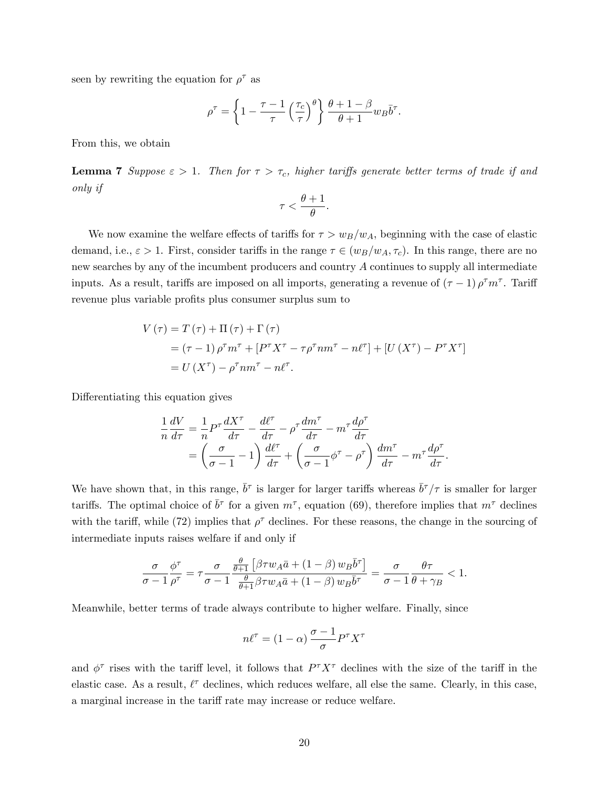seen by rewriting the equation for  $\rho^{\tau}$  as

$$
\rho^{\tau} = \left\{ 1 - \frac{\tau - 1}{\tau} \left( \frac{\tau_c}{\tau} \right)^{\theta} \right\} \frac{\theta + 1 - \beta}{\theta + 1} w_B \bar{b}^{\tau}.
$$

From this, we obtain

**Lemma 7** Suppose  $\epsilon > 1$ . Then for  $\tau > \tau_c$ , higher tariffs generate better terms of trade if and only if

$$
\tau < \frac{\theta + 1}{\theta}.
$$

We now examine the welfare effects of tariffs for  $\tau > w_B/w_A$ , beginning with the case of elastic demand, i.e.,  $\varepsilon > 1$ . First, consider tariffs in the range  $\tau \in (w_B/w_A, \tau_c)$ . In this range, there are no new searches by any of the incumbent producers and country A continues to supply all intermediate inputs. As a result, tariffs are imposed on all imports, generating a revenue of  $(\tau - 1) \rho^{\tau} m^{\tau}$ . Tariff revenue plus variable profits plus consumer surplus sum to

$$
V(\tau) = T(\tau) + \Pi(\tau) + \Gamma(\tau)
$$
  
= (\tau - 1) \rho^{\tau} m^{\tau} + [P^{\tau} X^{\tau} - \tau \rho^{\tau} n m^{\tau} - n \ell^{\tau}] + [U(X^{\tau}) - P^{\tau} X^{\tau}]  
= U(X^{\tau}) - \rho^{\tau} n m^{\tau} - n \ell^{\tau}.

Differentiating this equation gives

$$
\frac{1}{n}\frac{dV}{d\tau} = \frac{1}{n}P^{\tau}\frac{dX^{\tau}}{d\tau} - \frac{d\ell^{\tau}}{d\tau} - \rho^{\tau}\frac{dm^{\tau}}{d\tau} - m^{\tau}\frac{d\rho^{\tau}}{d\tau} \n= \left(\frac{\sigma}{\sigma - 1} - 1\right)\frac{d\ell^{\tau}}{d\tau} + \left(\frac{\sigma}{\sigma - 1}\phi^{\tau} - \rho^{\tau}\right)\frac{dm^{\tau}}{d\tau} - m^{\tau}\frac{d\rho^{\tau}}{d\tau}.
$$

We have shown that, in this range,  $\bar{b}^{\tau}$  is larger for larger tariffs whereas  $\bar{b}^{\tau}/\tau$  is smaller for larger tariffs. The optimal choice of  $\bar{b}^{\tau}$  for a given  $m^{\tau}$ , equation (69), therefore implies that  $m^{\tau}$  declines with the tariff, while (72) implies that  $\rho^{\tau}$  declines. For these reasons, the change in the sourcing of intermediate inputs raises welfare if and only if

$$
\frac{\sigma}{\sigma-1}\frac{\phi^\tau}{\rho^\tau}=\tau\frac{\sigma}{\sigma-1}\frac{\frac{\theta}{\theta+1}\left[\beta\tau w_A\bar{a}+\left(1-\beta\right)w_B\bar{b}^\tau\right]}{\frac{\theta}{\theta+1}\beta\tau w_A\bar{a}+\left(1-\beta\right)w_B\bar{b}^\tau}=\frac{\sigma}{\sigma-1}\frac{\theta\tau}{\theta+\gamma_B}<1.
$$

Meanwhile, better terms of trade always contribute to higher welfare. Finally, since

$$
n\ell^{\tau} = (1 - \alpha) \frac{\sigma - 1}{\sigma} P^{\tau} X^{\tau}
$$

and  $\phi^{\tau}$  rises with the tariff level, it follows that  $P^{\tau}X^{\tau}$  declines with the size of the tariff in the elastic case. As a result,  $\ell^{\tau}$  declines, which reduces welfare, all else the same. Clearly, in this case, a marginal increase in the tariff rate may increase or reduce welfare.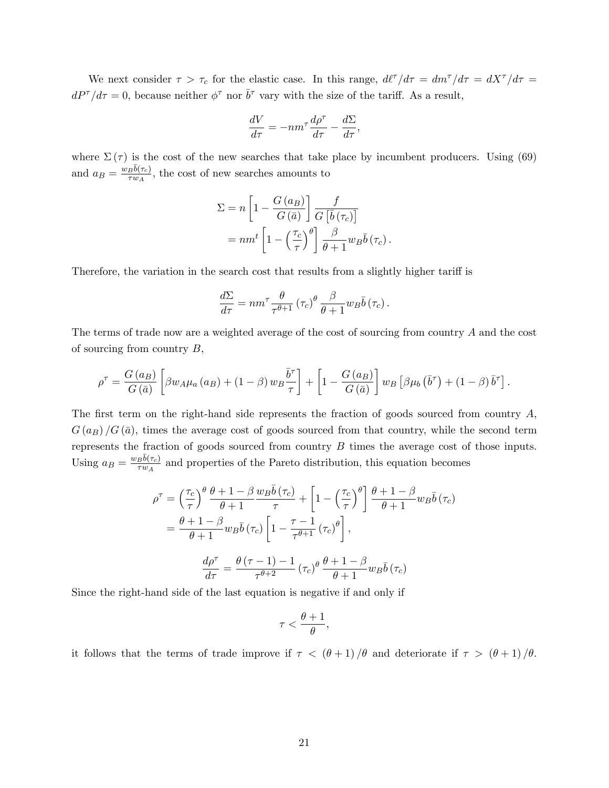We next consider  $\tau > \tau_c$  for the elastic case. In this range,  $d\ell^{\tau}/d\tau = dm^{\tau}/d\tau = dX^{\tau}/d\tau =$  $dP^{\tau}/d\tau = 0$ , because neither  $\phi^{\tau}$  nor  $\bar{b}^{\tau}$  vary with the size of the tariff. As a result,

$$
\frac{dV}{d\tau}=-nm^\tau\frac{d\rho^\tau}{d\tau}-\frac{d\Sigma}{d\tau},
$$

where  $\Sigma(\tau)$  is the cost of the new searches that take place by incumbent producers. Using (69) and  $a_B = \frac{w_B \bar{b}(\tau_c)}{\tau w_A}$  $\frac{B^{O(7c)}}{\sigma w_A}$ , the cost of new searches amounts to

$$
\Sigma = n \left[ 1 - \frac{G(a_B)}{G(\bar{a})} \right] \frac{f}{G[\bar{b}(\tau_c)]}
$$
  
=  $nm^t \left[ 1 - \left(\frac{\tau_c}{\tau}\right)^{\theta} \right] \frac{\beta}{\theta + 1} w_B \bar{b}(\tau_c).$ 

Therefore, the variation in the search cost that results from a slightly higher tariff is

$$
\frac{d\Sigma}{d\tau} = nm^{\tau} \frac{\theta}{\tau^{\theta+1}} (\tau_c)^{\theta} \frac{\beta}{\theta+1} w_B \bar{b} (\tau_c).
$$

The terms of trade now are a weighted average of the cost of sourcing from country A and the cost of sourcing from country  $B$ ,

$$
\rho^{\tau} = \frac{G(a_B)}{G(\bar{a})} \left[ \beta w_A \mu_a(a_B) + (1 - \beta) w_B \frac{\bar{b}^{\tau}}{\tau} \right] + \left[ 1 - \frac{G(a_B)}{G(\bar{a})} \right] w_B \left[ \beta \mu_b(\bar{b}^{\tau}) + (1 - \beta) \bar{b}^{\tau} \right].
$$

The first term on the right-hand side represents the fraction of goods sourced from country  $A$ ,  $G(a_B)/G(\bar{a})$ , times the average cost of goods sourced from that country, while the second term represents the fraction of goods sourced from country B times the average cost of those inputs. Using  $a_B = \frac{w_B \bar{b}(\tau_c)}{\tau w_A}$  $\frac{B^{o(\tau_c)}}{\tau_{w_A}}$  and properties of the Pareto distribution, this equation becomes

$$
\rho^{\tau} = \left(\frac{\tau_c}{\tau}\right)^{\theta} \frac{\theta + 1 - \beta}{\theta + 1} \frac{w_B \bar{b}(\tau_c)}{\tau} + \left[1 - \left(\frac{\tau_c}{\tau}\right)^{\theta}\right] \frac{\theta + 1 - \beta}{\theta + 1} w_B \bar{b}(\tau_c)
$$

$$
= \frac{\theta + 1 - \beta}{\theta + 1} w_B \bar{b}(\tau_c) \left[1 - \frac{\tau - 1}{\tau^{\theta + 1}} (\tau_c)^{\theta}\right],
$$

$$
\frac{d\rho^{\tau}}{d\tau} = \frac{\theta(\tau - 1) - 1}{\tau^{\theta + 2}} (\tau_c)^{\theta} \frac{\theta + 1 - \beta}{\theta + 1} w_B \bar{b}(\tau_c)
$$

Since the right-hand side of the last equation is negative if and only if

$$
\tau < \frac{\theta + 1}{\theta},
$$

it follows that the terms of trade improve if  $\tau < (\theta + 1)/\theta$  and deteriorate if  $\tau > (\theta + 1)/\theta$ .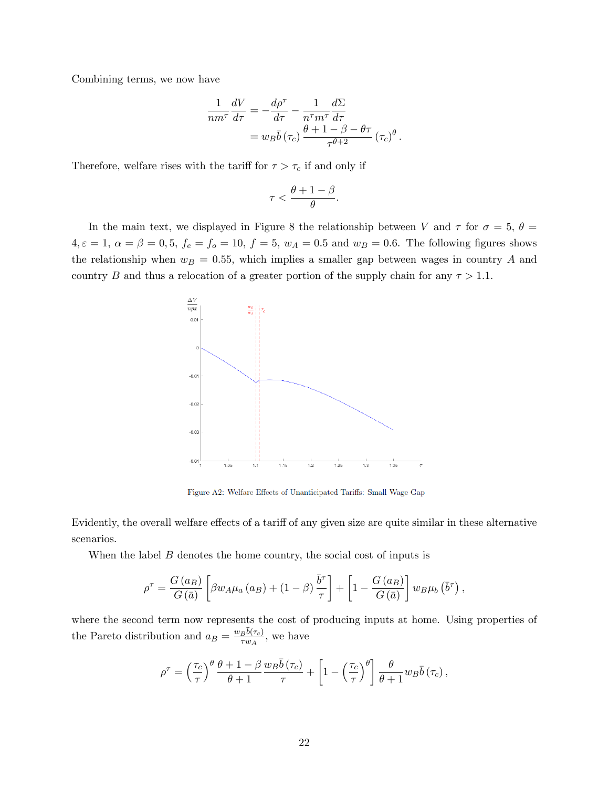Combining terms, we now have

$$
\frac{1}{nm^{\tau}} \frac{dV}{d\tau} = -\frac{d\rho^{\tau}}{d\tau} - \frac{1}{n^{\tau}m^{\tau}} \frac{d\Sigma}{d\tau}
$$

$$
= w_B \bar{b} (\tau_c) \frac{\theta + 1 - \beta - \theta \tau}{\tau^{\theta + 2}} (\tau_c)^{\theta}.
$$

Therefore, welfare rises with the tariff for  $\tau > \tau_c$  if and only if

$$
\tau < \frac{\theta + 1 - \beta}{\theta}.
$$

In the main text, we displayed in Figure 8 the relationship between V and  $\tau$  for  $\sigma = 5, \theta =$  $4, \varepsilon = 1, \ \alpha = \beta = 0, 5, \ f_e = f_o = 10, \ f = 5, \ w_A = 0.5 \text{ and } w_B = 0.6.$  The following figures shows the relationship when  $w_B = 0.55$ , which implies a smaller gap between wages in country A and country B and thus a relocation of a greater portion of the supply chain for any  $\tau > 1.1$ .



Figure A2: Welfare Effects of Unanticipated Tariffs: Small Wage Gap

Evidently, the overall welfare effects of a tariff of any given size are quite similar in these alternative scenarios.

When the label  $B$  denotes the home country, the social cost of inputs is

$$
\rho^{\tau} = \frac{G(a_B)}{G(\bar{a})} \left[ \beta w_A \mu_a (a_B) + (1 - \beta) \frac{\bar{b}^{\tau}}{\tau} \right] + \left[ 1 - \frac{G(a_B)}{G(\bar{a})} \right] w_B \mu_b (\bar{b}^{\tau}),
$$

where the second term now represents the cost of producing inputs at home. Using properties of the Pareto distribution and  $a_B = \frac{w_B \bar{b}(\tau_c)}{\tau w_A}$  $\frac{B^{v(\tau_c)}}{\tau w_A}$ , we have

$$
\rho^{\tau} = \left(\frac{\tau_c}{\tau}\right)^{\theta} \frac{\theta + 1 - \beta}{\theta + 1} \frac{w_B \bar{b}(\tau_c)}{\tau} + \left[1 - \left(\frac{\tau_c}{\tau}\right)^{\theta}\right] \frac{\theta}{\theta + 1} w_B \bar{b}(\tau_c),
$$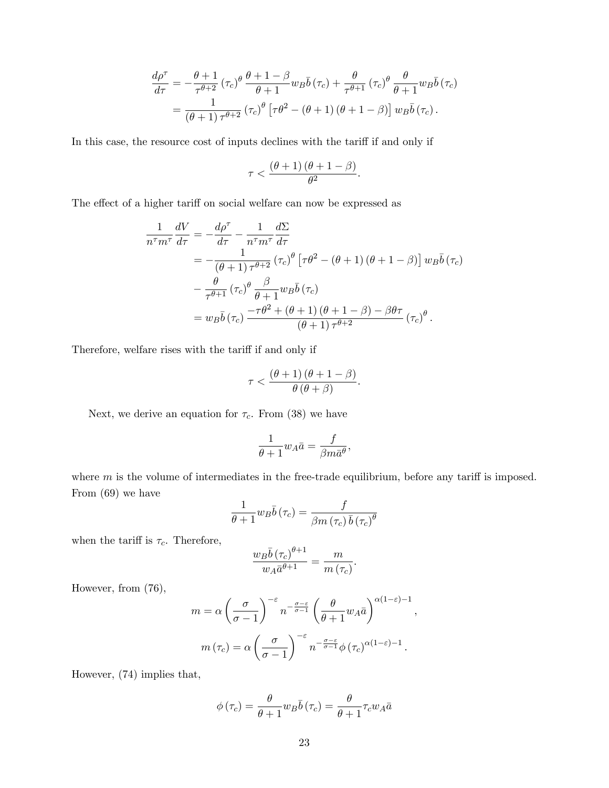$$
\frac{d\rho^{\tau}}{d\tau} = -\frac{\theta+1}{\tau^{\theta+2}} (\tau_c)^{\theta} \frac{\theta+1-\beta}{\theta+1} w_B \bar{b} (\tau_c) + \frac{\theta}{\tau^{\theta+1}} (\tau_c)^{\theta} \frac{\theta}{\theta+1} w_B \bar{b} (\tau_c)
$$
  
= 
$$
\frac{1}{(\theta+1)\tau^{\theta+2}} (\tau_c)^{\theta} [\tau \theta^2 - (\theta+1) (\theta+1-\beta)] w_B \bar{b} (\tau_c).
$$

In this case, the resource cost of inputs declines with the tariff if and only if

$$
\tau < \frac{(\theta + 1) (\theta + 1 - \beta)}{\theta^2}.
$$

The effect of a higher tariff on social welfare can now be expressed as

$$
\frac{1}{n^{\tau}m^{\tau}} \frac{dV}{d\tau} = -\frac{d\rho^{\tau}}{d\tau} - \frac{1}{n^{\tau}m^{\tau}} \frac{d\Sigma}{d\tau}
$$
\n
$$
= -\frac{1}{(\theta+1)\tau^{\theta+2}} (\tau_c)^{\theta} \left[\tau\theta^2 - (\theta+1)(\theta+1-\beta)\right] w_B \bar{b}(\tau_c)
$$
\n
$$
- \frac{\theta}{\tau^{\theta+1}} (\tau_c)^{\theta} \frac{\beta}{\theta+1} w_B \bar{b}(\tau_c)
$$
\n
$$
= w_B \bar{b}(\tau_c) \frac{-\tau\theta^2 + (\theta+1)(\theta+1-\beta) - \beta\theta\tau}{(\theta+1)\tau^{\theta+2}} (\tau_c)^{\theta}.
$$

Therefore, welfare rises with the tariff if and only if

$$
\tau < \frac{(\theta + 1) (\theta + 1 - \beta)}{\theta (\theta + \beta)}.
$$

Next, we derive an equation for  $\tau_c$ . From (38) we have

$$
\frac{1}{\theta+1}w_A\bar{a} = \frac{f}{\beta m\bar{a}^{\theta}},
$$

where  $m$  is the volume of intermediates in the free-trade equilibrium, before any tariff is imposed. From (69) we have

$$
\frac{1}{\theta+1} w_B \bar{b}(\tau_c) = \frac{f}{\beta m (\tau_c) \bar{b} (\tau_c)^\theta}
$$

when the tariff is  $\tau_c$ . Therefore,

$$
\frac{w_B \bar{b} (\tau_c)^{\theta+1}}{w_A \bar{a}^{\theta+1}} = \frac{m}{m (\tau_c)}.
$$

However, from (76),

$$
m = \alpha \left(\frac{\sigma}{\sigma - 1}\right)^{-\varepsilon} n^{-\frac{\sigma - \varepsilon}{\sigma - 1}} \left(\frac{\theta}{\theta + 1} w_A \bar{a}\right)^{\alpha(1-\varepsilon) - 1},
$$

$$
m(\tau_c) = \alpha \left(\frac{\sigma}{\sigma - 1}\right)^{-\varepsilon} n^{-\frac{\sigma - \varepsilon}{\sigma - 1}} \phi(\tau_c)^{\alpha(1-\varepsilon) - 1}.
$$

However, (74) implies that,

$$
\phi\left(\tau_c\right) = \frac{\theta}{\theta+1} w_B \bar{b}\left(\tau_c\right) = \frac{\theta}{\theta+1} \tau_c w_A \bar{a}
$$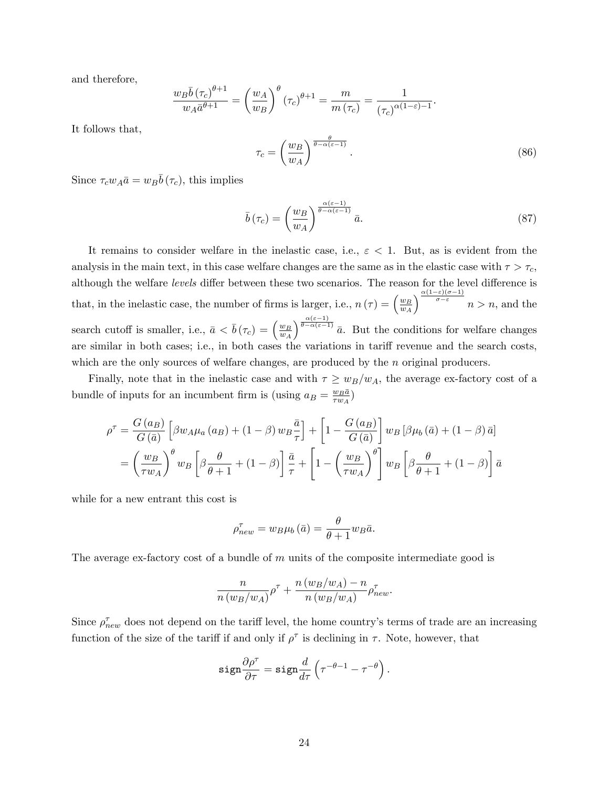and therefore,

$$
\frac{w_B \overline{b} (\tau_c)^{\theta+1}}{w_A \overline{a}^{\theta+1}} = \left(\frac{w_A}{w_B}\right)^{\theta} (\tau_c)^{\theta+1} = \frac{m}{m(\tau_c)} = \frac{1}{(\tau_c)^{\alpha(1-\varepsilon)-1}}.
$$

It follows that,

$$
\tau_c = \left(\frac{w_B}{w_A}\right)^{\frac{\theta}{\theta - \alpha(\varepsilon - 1)}}.\tag{86}
$$

Since  $\tau_c w_A \bar{a} = w_B \bar{b} (\tau_c)$ , this implies

$$
\bar{b}(\tau_c) = \left(\frac{w_B}{w_A}\right)^{\frac{\alpha(\varepsilon - 1)}{\theta - \alpha(\varepsilon - 1)}} \bar{a}.\tag{87}
$$

It remains to consider welfare in the inelastic case, i.e.,  $\varepsilon < 1$ . But, as is evident from the analysis in the main text, in this case welfare changes are the same as in the elastic case with  $\tau > \tau_c$ , although the welfare levels differ between these two scenarios. The reason for the level difference is that, in the inelastic case, the number of firms is larger, i.e.,  $n(\tau) = \left(\frac{w_B}{w_A}\right)^2$  $\overline{w_A}$  $\int_{0}^{\frac{\alpha(1-\varepsilon)(\sigma-1)}{\sigma-\varepsilon}} n > n$ , and the search cutoff is smaller, i.e.,  $\bar{a} < \bar{b}(\tau_c) = \left(\frac{w_B}{w_A}\right)^2$  $w_A$  $\int_{0}^{\frac{\alpha(\varepsilon-1)}{\alpha(\varepsilon-1)}} \bar{a}$ . But the conditions for welfare changes are similar in both cases; i.e., in both cases the variations in tariff revenue and the search costs, which are the only sources of welfare changes, are produced by the n original producers.

Finally, note that in the inelastic case and with  $\tau \geq w_B/w_A$ , the average ex-factory cost of a bundle of inputs for an incumbent firm is (using  $a_B = \frac{w_B \bar{a}}{\tau w_A}$  $\frac{w_B a}{\tau w_A})$ 

$$
\rho^{\tau} = \frac{G(a_B)}{G(\bar{a})} \left[ \beta w_A \mu_a (a_B) + (1 - \beta) w_B \frac{\bar{a}}{\tau} \right] + \left[ 1 - \frac{G(a_B)}{G(\bar{a})} \right] w_B \left[ \beta \mu_b (\bar{a}) + (1 - \beta) \bar{a} \right]
$$

$$
= \left( \frac{w_B}{\tau w_A} \right)^{\theta} w_B \left[ \beta \frac{\theta}{\theta + 1} + (1 - \beta) \right] \frac{\bar{a}}{\tau} + \left[ 1 - \left( \frac{w_B}{\tau w_A} \right)^{\theta} \right] w_B \left[ \beta \frac{\theta}{\theta + 1} + (1 - \beta) \right] \bar{a}
$$

while for a new entrant this cost is

$$
\rho_{new}^{\tau} = w_B \mu_b (\bar{a}) = \frac{\theta}{\theta + 1} w_B \bar{a}.
$$

The average ex-factory cost of a bundle of  $m$  units of the composite intermediate good is

$$
\frac{n}{n(w_B/w_A)}\rho^{\tau} + \frac{n(w_B/w_A) - n}{n(w_B/w_A)}\rho_{new}^{\tau}.
$$

Since  $\rho_{new}^{\tau}$  does not depend on the tariff level, the home country's terms of trade are an increasing function of the size of the tariff if and only if  $\rho^{\tau}$  is declining in  $\tau$ . Note, however, that

$$
\mathtt{sign}\frac{\partial \rho^\tau}{\partial \tau} = \mathtt{sign}\frac{d}{d\tau}\left(\tau^{-\theta-1} - \tau^{-\theta}\right).
$$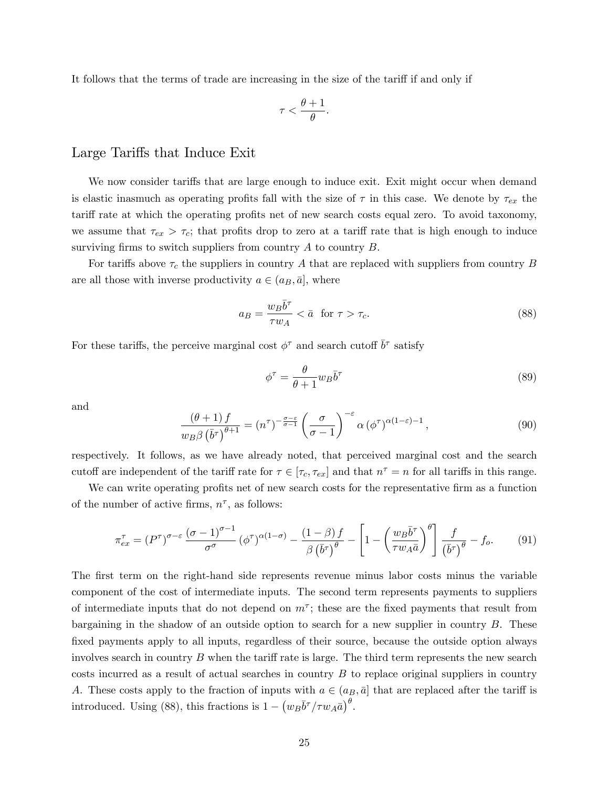It follows that the terms of trade are increasing in the size of the tariff if and only if

$$
\tau < \frac{\theta + 1}{\theta}.
$$

#### Large Tariffs that Induce Exit

We now consider tariffs that are large enough to induce exit. Exit might occur when demand is elastic inasmuch as operating profits fall with the size of  $\tau$  in this case. We denote by  $\tau_{ex}$  the tariff rate at which the operating profits net of new search costs equal zero. To avoid taxonomy, we assume that  $\tau_{ex} > \tau_c$ ; that profits drop to zero at a tariff rate that is high enough to induce surviving firms to switch suppliers from country  $A$  to country  $B$ .

For tariffs above  $\tau_c$  the suppliers in country A that are replaced with suppliers from country B are all those with inverse productivity  $a \in (a_B, \bar{a}]$ , where

$$
a_B = \frac{w_B \bar{b}^\tau}{\tau w_A} < \bar{a} \quad \text{for } \tau > \tau_c. \tag{88}
$$

For these tariffs, the perceive marginal cost  $\phi^{\tau}$  and search cutoff  $\bar{b}^{\tau}$  satisfy

$$
\phi^{\tau} = \frac{\theta}{\theta + 1} w_B \bar{b}^{\tau} \tag{89}
$$

and

$$
\frac{(\theta+1)f}{w_B\beta\left(\bar{b}^\tau\right)^{\theta+1}} = (n^\tau)^{-\frac{\sigma-\varepsilon}{\sigma-1}} \left(\frac{\sigma}{\sigma-1}\right)^{-\varepsilon} \alpha\left(\phi^\tau\right)^{\alpha(1-\varepsilon)-1},\tag{90}
$$

respectively. It follows, as we have already noted, that perceived marginal cost and the search cutoff are independent of the tariff rate for  $\tau \in [\tau_c, \tau_{ex}]$  and that  $n^{\tau} = n$  for all tariffs in this range.

We can write operating profits net of new search costs for the representative firm as a function of the number of active firms,  $n^{\tau}$ , as follows:

$$
\pi_{ex}^{\tau} = (P^{\tau})^{\sigma - \varepsilon} \frac{(\sigma - 1)^{\sigma - 1}}{\sigma^{\sigma}} (\phi^{\tau})^{\alpha (1 - \sigma)} - \frac{(1 - \beta) f}{\beta (\bar{b}^{\tau})^{\theta}} - \left[ 1 - \left( \frac{w_B \bar{b}^{\tau}}{\tau w_A \bar{a}} \right)^{\theta} \right] \frac{f}{(\bar{b}^{\tau})^{\theta}} - f_o. \tag{91}
$$

The first term on the right-hand side represents revenue minus labor costs minus the variable component of the cost of intermediate inputs. The second term represents payments to suppliers of intermediate inputs that do not depend on  $m^{\tau}$ ; these are the fixed payments that result from bargaining in the shadow of an outside option to search for a new supplier in country B. These fixed payments apply to all inputs, regardless of their source, because the outside option always involves search in country  $B$  when the tariff rate is large. The third term represents the new search costs incurred as a result of actual searches in country B to replace original suppliers in country A. These costs apply to the fraction of inputs with  $a \in (a_B, \bar{a}]$  that are replaced after the tariff is introduced. Using (88), this fractions is  $1 - (w_B \bar{b}^{\tau}/\tau w_A \bar{a})^{\theta}$ .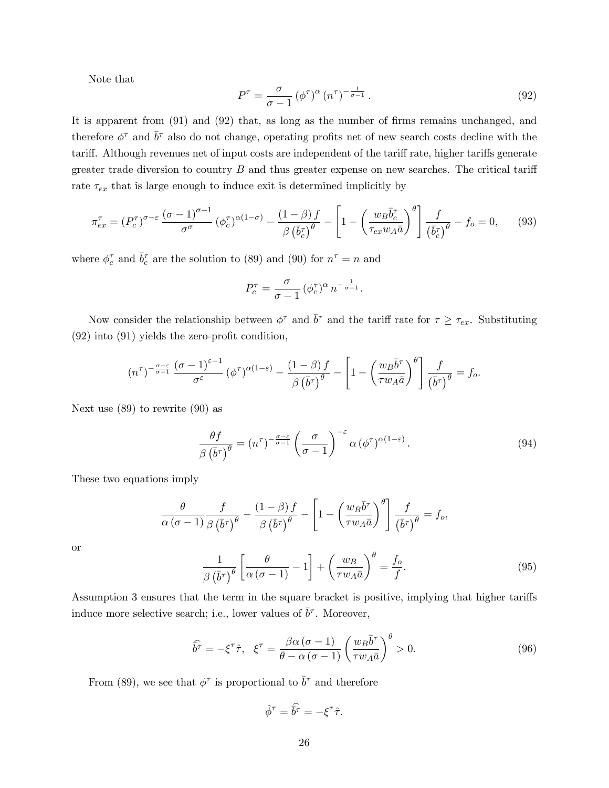Note that

$$
P^{\tau} = \frac{\sigma}{\sigma - 1} \left( \phi^{\tau} \right)^{\alpha} \left( n^{\tau} \right)^{-\frac{1}{\sigma - 1}}.
$$
\n(92)

It is apparent from  $(91)$  and  $(92)$  that, as long as the number of firms remains unchanged, and therefore  $\phi^{\tau}$  and  $\bar{b}^{\tau}$  also do not change, operating profits net of new search costs decline with the tariff. Although revenues net of input costs are independent of the tariff rate, higher tariffs generate greater trade diversion to country  $B$  and thus greater expense on new searches. The critical tariff rate  $\tau_{ex}$  that is large enough to induce exit is determined implicitly by

$$
\pi_{ex}^{\tau} = (P_c^{\tau})^{\sigma-\varepsilon} \frac{(\sigma-1)^{\sigma-1}}{\sigma^{\sigma}} (\phi_c^{\tau})^{\alpha(1-\sigma)} - \frac{(1-\beta)f}{\beta(\bar{b}_c^{\tau})^{\theta}} - \left[1 - \left(\frac{w_B \bar{b}_c^{\tau}}{\tau_{ex} w_A \bar{a}}\right)^{\theta}\right] \frac{f}{(\bar{b}_c^{\tau})^{\theta}} - f_o = 0, \qquad (93)
$$

where  $\phi_c^{\tau}$  and  $\bar{b}_c^{\tau}$  are the solution to (89) and (90) for  $n^{\tau} = n$  and

$$
P_c^{\tau} = \frac{\sigma}{\sigma - 1} \left( \phi_c^{\tau} \right)^{\alpha} n^{-\frac{1}{\sigma - 1}}.
$$

Now consider the relationship between  $\phi^{\tau}$  and  $\bar{b}^{\tau}$  and the tariff rate for  $\tau \geq \tau_{ex}$ . Substituting  $(92)$  into  $(91)$  yields the zero-profit condition,

$$
(n^{\tau})^{-\frac{\sigma-\varepsilon}{\sigma-1}}\frac{(\sigma-1)^{\varepsilon-1}}{\sigma^{\varepsilon}}(\phi^{\tau})^{\alpha(1-\varepsilon)}-\frac{(1-\beta) f}{\beta(\bar{b}^{\tau})^{\theta}}-\left[1-\left(\frac{w_{B}\bar{b}^{\tau}}{\tau w_{A}\bar{a}}\right)^{\theta}\right]\frac{f}{(\bar{b}^{\tau})^{\theta}}=f_{o}.
$$

Next use (89) to rewrite (90) as

$$
\frac{\theta f}{\beta (\bar{b}^{\tau})^{\theta}} = (n^{\tau})^{-\frac{\sigma - \varepsilon}{\sigma - 1}} \left(\frac{\sigma}{\sigma - 1}\right)^{-\varepsilon} \alpha (\phi^{\tau})^{\alpha (1 - \varepsilon)}.
$$
\n(94)

These two equations imply

$$
\frac{\theta}{\alpha(\sigma-1)}\frac{f}{\beta(\bar{b}^{\tau})^{\theta}} - \frac{(1-\beta)f}{\beta(\bar{b}^{\tau})^{\theta}} - \left[1 - \left(\frac{w_{B}\bar{b}^{\tau}}{\tau w_{A}\bar{a}}\right)^{\theta}\right]\frac{f}{(\bar{b}^{\tau})^{\theta}} = f_{o},
$$

or

$$
\frac{1}{\beta(\bar{b}^{\tau})^{\theta}} \left[ \frac{\theta}{\alpha(\sigma - 1)} - 1 \right] + \left( \frac{w_B}{\tau w_A \bar{a}} \right)^{\theta} = \frac{f_o}{f}.
$$
\n(95)

Assumption 3 ensures that the term in the square bracket is positive, implying that higher tariffs induce more selective search; i.e., lower values of  $\bar{b}^{\tau}$ . Moreover,

$$
\widehat{\overline{b}^{\tau}} = -\xi^{\tau}\widehat{\tau}, \quad \xi^{\tau} = \frac{\beta\alpha\left(\sigma - 1\right)}{\theta - \alpha\left(\sigma - 1\right)} \left(\frac{w_B\overline{b}^{\tau}}{\tau w_A\overline{a}}\right)^{\theta} > 0. \tag{96}
$$

From (89), we see that  $\phi^{\tau}$  is proportional to  $\bar{b}^{\tau}$  and therefore

$$
\hat{\phi}^{\tau} = \widehat{\bar{b}^{\tau}} = -\xi^{\tau}\hat{\tau}.
$$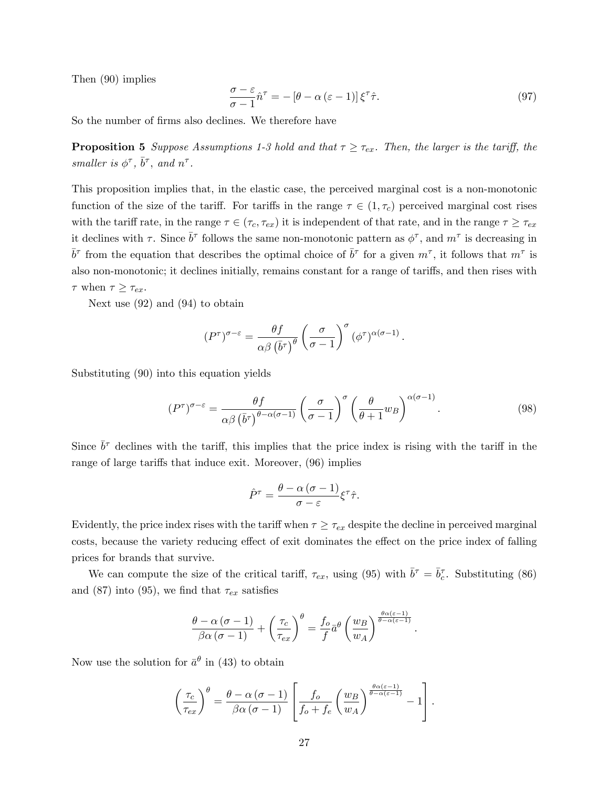Then (90) implies

$$
\frac{\sigma - \varepsilon}{\sigma - 1} \hat{n}^{\tau} = -[\theta - \alpha (\varepsilon - 1)] \xi^{\tau} \hat{\tau}.
$$
\n(97)

So the number of firms also declines. We therefore have

**Proposition 5** Suppose Assumptions 1-3 hold and that  $\tau \geq \tau_{ex}$ . Then, the larger is the tariff, the smaller is  $\phi^{\tau}$ ,  $\bar{b}^{\tau}$ , and  $n^{\tau}$ .

This proposition implies that, in the elastic case, the perceived marginal cost is a non-monotonic function of the size of the tariff. For tariffs in the range  $\tau \in (1, \tau_c)$  perceived marginal cost rises with the tariff rate, in the range  $\tau \in (\tau_c, \tau_{ex})$  it is independent of that rate, and in the range  $\tau \geq \tau_{ex}$ it declines with  $\tau$ . Since  $\bar{b}^{\tau}$  follows the same non-monotonic pattern as  $\phi^{\tau}$ , and  $m^{\tau}$  is decreasing in  $\bar{b}^{\tau}$  from the equation that describes the optimal choice of  $\bar{b}^{\tau}$  for a given  $m^{\tau}$ , it follows that  $m^{\tau}$  is also non-monotonic; it declines initially, remains constant for a range of tariffs, and then rises with  $\tau$  when  $\tau \geq \tau_{ex}$ .

Next use (92) and (94) to obtain

$$
(P^{\tau})^{\sigma-\varepsilon} = \frac{\theta f}{\alpha \beta (\bar{b}^{\tau})^{\theta}} \left(\frac{\sigma}{\sigma-1}\right)^{\sigma} (\phi^{\tau})^{\alpha(\sigma-1)}.
$$

Substituting (90) into this equation yields

$$
(P^{\tau})^{\sigma-\varepsilon} = \frac{\theta f}{\alpha \beta \left(\bar{b}^{\tau}\right)^{\theta-\alpha(\sigma-1)}} \left(\frac{\sigma}{\sigma-1}\right)^{\sigma} \left(\frac{\theta}{\theta+1} w_B\right)^{\alpha(\sigma-1)}.\tag{98}
$$

Since  $\bar{b}^{\tau}$  declines with the tariff, this implies that the price index is rising with the tariff in the range of large tariffs that induce exit. Moreover,  $(96)$  implies

$$
\hat{P}^{\tau} = \frac{\theta - \alpha (\sigma - 1)}{\sigma - \varepsilon} \xi^{\tau} \hat{\tau}.
$$

Evidently, the price index rises with the tariff when  $\tau \geq \tau_{ex}$  despite the decline in perceived marginal costs, because the variety reducing effect of exit dominates the effect on the price index of falling prices for brands that survive.

We can compute the size of the critical tariff,  $\tau_{ex}$ , using (95) with  $\bar{b}^{\tau} = \bar{b}_{c}^{\tau}$ . Substituting (86) and (87) into (95), we find that  $\tau_{ex}$  satisfies

$$
\frac{\theta - \alpha (\sigma - 1)}{\beta \alpha (\sigma - 1)} + \left(\frac{\tau_c}{\tau_{ex}}\right)^{\theta} = \frac{f_o}{f} \bar{a}^{\theta} \left(\frac{w_B}{w_A}\right)^{\frac{\theta \alpha (\varepsilon - 1)}{\theta - \alpha (\varepsilon - 1)}}.
$$

Now use the solution for  $\bar{a}^{\theta}$  in (43) to obtain

$$
\left(\frac{\tau_c}{\tau_{ex}}\right)^{\theta} = \frac{\theta - \alpha(\sigma - 1)}{\beta \alpha(\sigma - 1)} \left[\frac{f_o}{f_o + f_e} \left(\frac{w_B}{w_A}\right)^{\frac{\theta \alpha(\varepsilon - 1)}{\theta - \alpha(\varepsilon - 1)}} - 1\right].
$$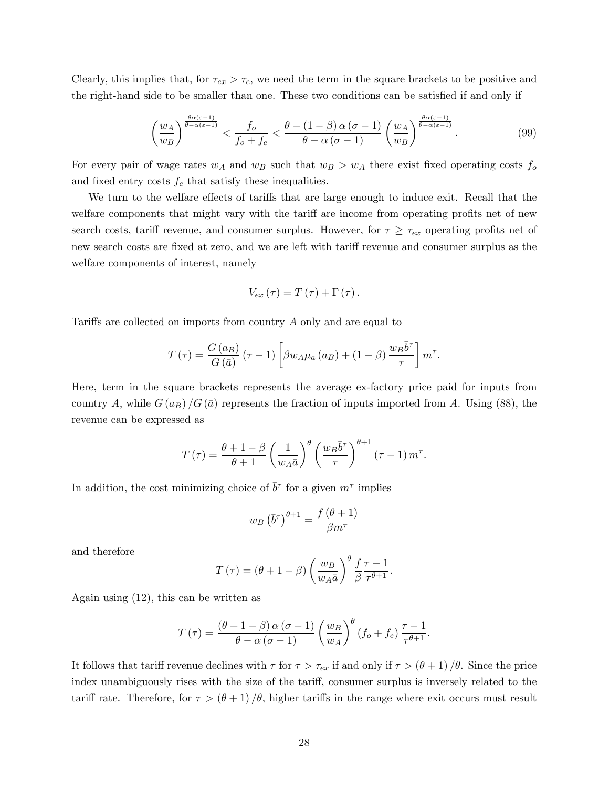Clearly, this implies that, for  $\tau_{ex} > \tau_c$ , we need the term in the square brackets to be positive and the right-hand side to be smaller than one. These two conditions can be satisfied if and only if

$$
\left(\frac{w_A}{w_B}\right)^{\frac{\theta\alpha(\varepsilon-1)}{\theta-\alpha(\varepsilon-1)}} < \frac{f_o}{f_o+f_e} < \frac{\theta-(1-\beta)\alpha(\sigma-1)}{\theta-\alpha(\sigma-1)} \left(\frac{w_A}{w_B}\right)^{\frac{\theta\alpha(\varepsilon-1)}{\theta-\alpha(\varepsilon-1)}}.\tag{99}
$$

For every pair of wage rates  $w_A$  and  $w_B$  such that  $w_B > w_A$  there exist fixed operating costs  $f_o$ and fixed entry costs  $f_e$  that satisfy these inequalities.

We turn to the welfare effects of tariffs that are large enough to induce exit. Recall that the welfare components that might vary with the tariff are income from operating profits net of new search costs, tariff revenue, and consumer surplus. However, for  $\tau \geq \tau_{ex}$  operating profits net of new search costs are fixed at zero, and we are left with tariff revenue and consumer surplus as the welfare components of interest, namely

$$
V_{ex}(\tau)=T(\tau)+\Gamma(\tau).
$$

Tariffs are collected on imports from country  $A$  only and are equal to

$$
T(\tau) = \frac{G(a_B)}{G(\bar{a})} (\tau - 1) \left[ \beta w_A \mu_a(a_B) + (1 - \beta) \frac{w_B \bar{b}^{\tau}}{\tau} \right] m^{\tau}.
$$

Here, term in the square brackets represents the average ex-factory price paid for inputs from country A, while  $G(a_B)/G(\bar{a})$  represents the fraction of inputs imported from A. Using (88), the revenue can be expressed as

$$
T(\tau) = \frac{\theta + 1 - \beta}{\theta + 1} \left(\frac{1}{w_A \bar{a}}\right)^{\theta} \left(\frac{w_B \bar{b}^{\tau}}{\tau}\right)^{\theta + 1} (\tau - 1) m^{\tau}.
$$

In addition, the cost minimizing choice of  $\bar{b}^{\tau}$  for a given  $m^{\tau}$  implies

$$
w_B\left(\bar{b}^{\tau}\right)^{\theta+1} = \frac{f\left(\theta+1\right)}{\beta m^{\tau}}
$$

and therefore

$$
T(\tau) = (\theta + 1 - \beta) \left(\frac{w_B}{w_A \bar{a}}\right)^{\theta} \frac{f}{\beta} \frac{\tau - 1}{\tau^{\theta + 1}}.
$$

Again using (12), this can be written as

$$
T(\tau) = \frac{(\theta + 1 - \beta) \alpha (\sigma - 1)}{\theta - \alpha (\sigma - 1)} \left(\frac{w_B}{w_A}\right)^{\theta} (f_o + f_e) \frac{\tau - 1}{\tau^{\theta + 1}}.
$$

It follows that tariff revenue declines with  $\tau$  for  $\tau > \tau_{ex}$  if and only if  $\tau > (\theta + 1)/\theta$ . Since the price index unambiguously rises with the size of the tariff, consumer surplus is inversely related to the tariff rate. Therefore, for  $\tau > (\theta + 1)/\theta$ , higher tariffs in the range where exit occurs must result